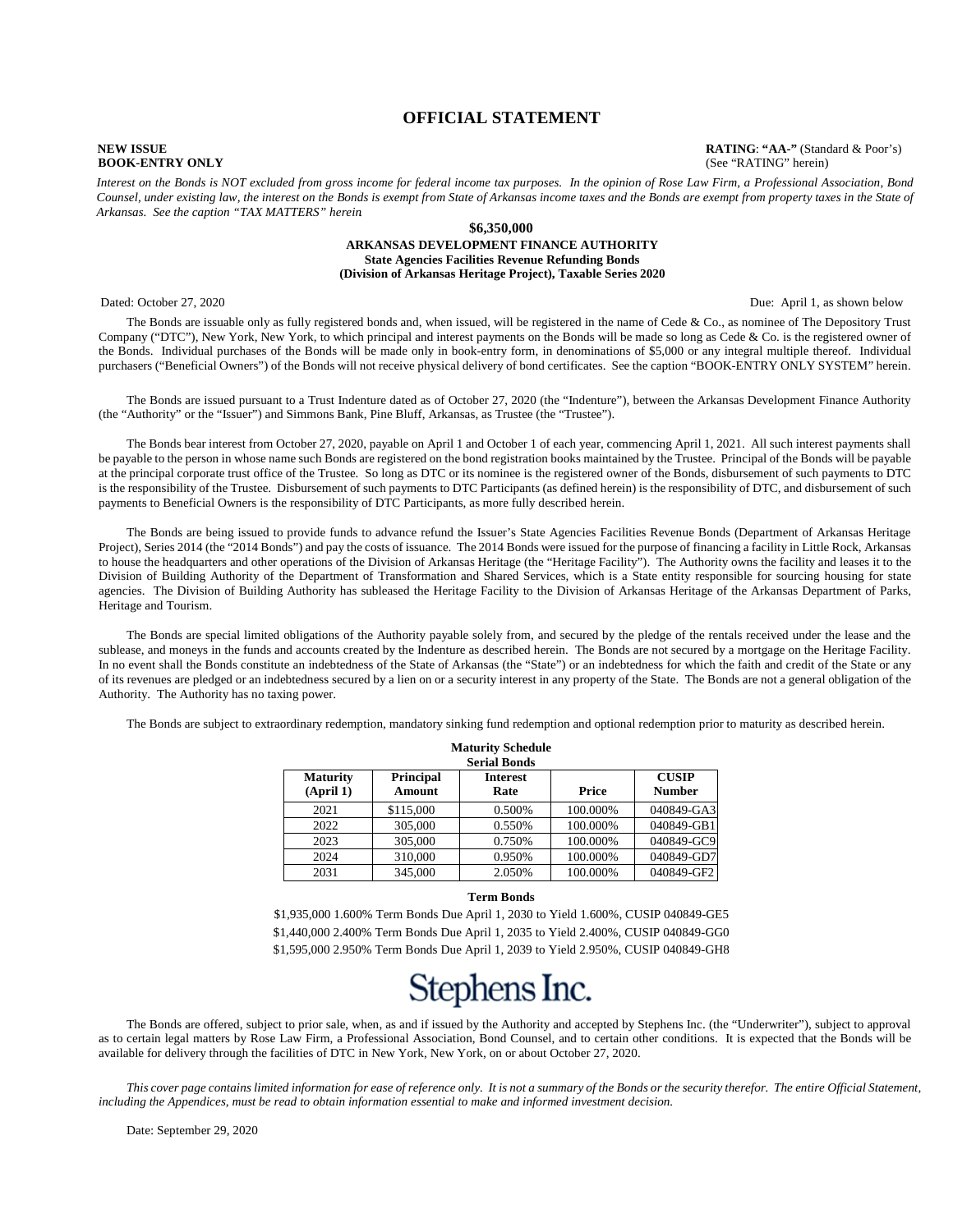#### **OFFICIAL STATEMENT**

**NEW ISSUE**<br>**RATING**: **"AA-"** (Standard & Poor's)<br>**ROOK-ENTRY ONLY** (See "RATING" herein) **BOOK-ENTRY ONLY** (See "RATING" herein)

*Interest on the Bonds is NOT excluded from gross income for federal income tax purposes. In the opinion of Rose Law Firm, a Professional Association, Bond Counsel, under existing law, the interest on the Bonds is exempt from State of Arkansas income taxes and the Bonds are exempt from property taxes in the State of Arkansas. See the caption "TAX MATTERS" herein*.

#### **\$6,350,000 ARKANSAS DEVELOPMENT FINANCE AUTHORITY State Agencies Facilities Revenue Refunding Bonds (Division of Arkansas Heritage Project), Taxable Series 2020**

Dated: October 27, 2020 Due: April 1, as shown below

The Bonds are issuable only as fully registered bonds and, when issued, will be registered in the name of Cede & Co., as nominee of The Depository Trust Company ("DTC"), New York, New York, to which principal and interest payments on the Bonds will be made so long as Cede & Co. is the registered owner of the Bonds. Individual purchases of the Bonds will be made only in book-entry form, in denominations of \$5,000 or any integral multiple thereof. Individual purchasers ("Beneficial Owners") of the Bonds will not receive physical delivery of bond certificates. See the caption "BOOK-ENTRY ONLY SYSTEM" herein.

The Bonds are issued pursuant to a Trust Indenture dated as of October 27, 2020 (the "Indenture"), between the Arkansas Development Finance Authority (the "Authority" or the "Issuer") and Simmons Bank, Pine Bluff, Arkansas, as Trustee (the "Trustee").

The Bonds bear interest from October 27, 2020, payable on April 1 and October 1 of each year, commencing April 1, 2021. All such interest payments shall be payable to the person in whose name such Bonds are registered on the bond registration books maintained by the Trustee. Principal of the Bonds will be payable at the principal corporate trust office of the Trustee. So long as DTC or its nominee is the registered owner of the Bonds, disbursement of such payments to DTC is the responsibility of the Trustee. Disbursement of such payments to DTC Participants (as defined herein) is the responsibility of DTC, and disbursement of such payments to Beneficial Owners is the responsibility of DTC Participants, as more fully described herein.

The Bonds are being issued to provide funds to advance refund the Issuer's State Agencies Facilities Revenue Bonds (Department of Arkansas Heritage Project), Series 2014 (the "2014 Bonds") and pay the costs of issuance. The 2014 Bonds were issued for the purpose of financing a facility in Little Rock, Arkansas to house the headquarters and other operations of the Division of Arkansas Heritage (the "Heritage Facility"). The Authority owns the facility and leases it to the Division of Building Authority of the Department of Transformation and Shared Services, which is a State entity responsible for sourcing housing for state agencies. The Division of Building Authority has subleased the Heritage Facility to the Division of Arkansas Heritage of the Arkansas Department of Parks, Heritage and Tourism.

The Bonds are special limited obligations of the Authority payable solely from, and secured by the pledge of the rentals received under the lease and the sublease, and moneys in the funds and accounts created by the Indenture as described herein. The Bonds are not secured by a mortgage on the Heritage Facility. In no event shall the Bonds constitute an indebtedness of the State of Arkansas (the "State") or an indebtedness for which the faith and credit of the State or any of its revenues are pledged or an indebtedness secured by a lien on or a security interest in any property of the State. The Bonds are not a general obligation of the Authority. The Authority has no taxing power.

The Bonds are subject to extraordinary redemption, mandatory sinking fund redemption and optional redemption prior to maturity as described herein.

| <b>Maturity Schedule</b><br><b>Serial Bonds</b> |                            |                         |          |                               |
|-------------------------------------------------|----------------------------|-------------------------|----------|-------------------------------|
| <b>Maturity</b><br>(April 1)                    | <b>Principal</b><br>Amount | <b>Interest</b><br>Rate | Price    | <b>CUSIP</b><br><b>Number</b> |
| 2021                                            | \$115,000                  | 0.500%                  | 100.000% | 040849-GA3                    |
| 2022                                            | 305,000                    | 0.550%                  | 100.000% | 040849-GB1                    |
| 2023                                            | 305,000                    | 0.750%                  | 100.000% | 040849-GC9                    |
| 2024                                            | 310,000                    | 0.950%                  | 100.000% | 040849-GD7                    |
| 2031                                            | 345,000                    | 2.050%                  | 100.000% | 040849-GF2                    |

#### **Term Bonds**

\$1,935,000 1.600% Term Bonds Due April 1, 2030 to Yield 1.600%, CUSIP 040849-GE5 \$1,440,000 2.400% Term Bonds Due April 1, 2035 to Yield 2.400%, CUSIP 040849-GG0 \$1,595,000 2.950% Term Bonds Due April 1, 2039 to Yield 2.950%, CUSIP 040849-GH8

# Stephens Inc.

The Bonds are offered, subject to prior sale, when, as and if issued by the Authority and accepted by Stephens Inc. (the "Underwriter"), subject to approval as to certain legal matters by Rose Law Firm, a Professional Association, Bond Counsel, and to certain other conditions. It is expected that the Bonds will be available for delivery through the facilities of DTC in New York, New York, on or about October 27, 2020.

*This cover page contains limited information for ease of reference only. It is not a summary of the Bonds or the security therefor. The entire Official Statement, including the Appendices, must be read to obtain information essential to make and informed investment decision.*

Date: September 29, 2020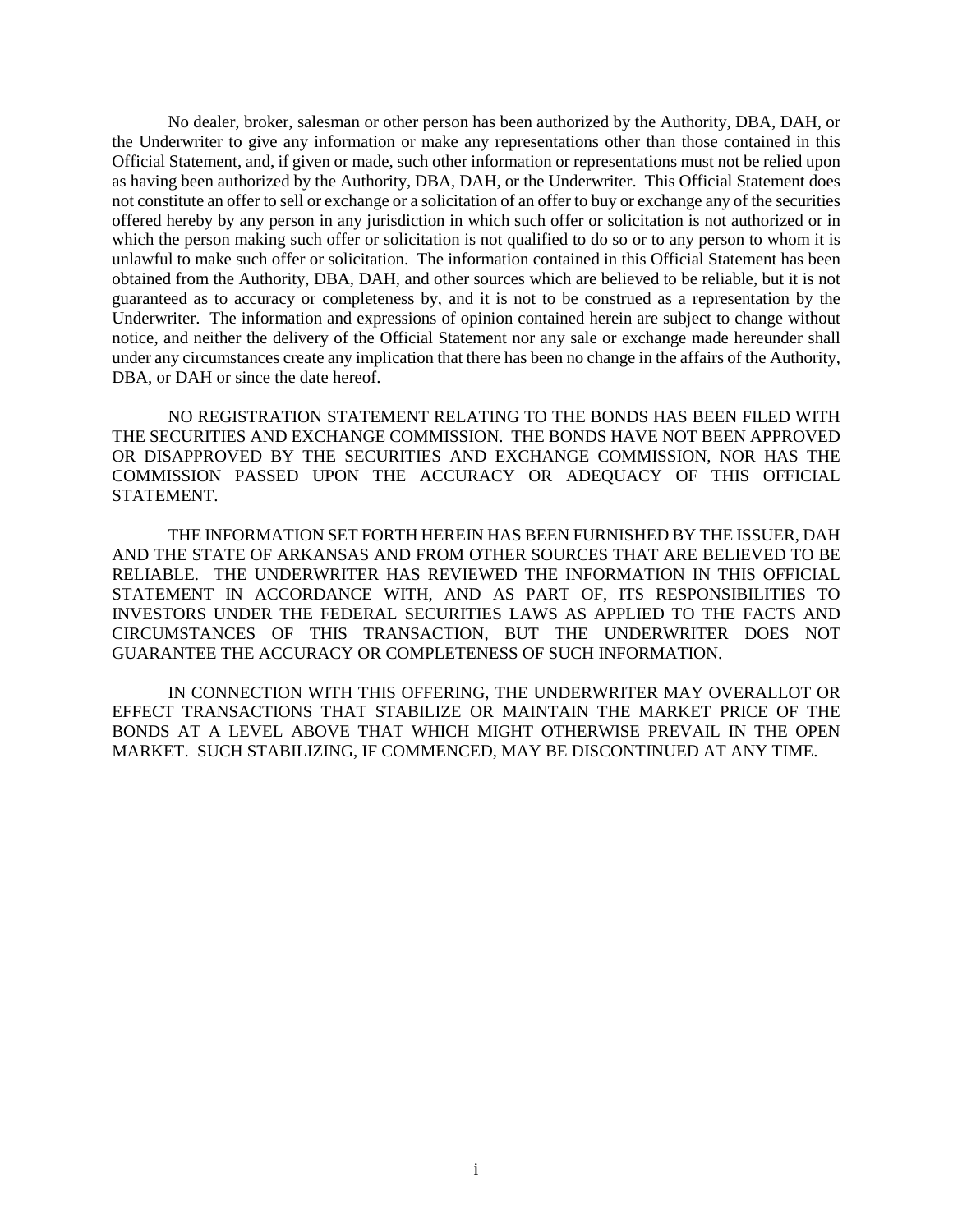No dealer, broker, salesman or other person has been authorized by the Authority, DBA, DAH, or the Underwriter to give any information or make any representations other than those contained in this Official Statement, and, if given or made, such other information or representations must not be relied upon as having been authorized by the Authority, DBA, DAH, or the Underwriter. This Official Statement does not constitute an offer to sell or exchange or a solicitation of an offer to buy or exchange any of the securities offered hereby by any person in any jurisdiction in which such offer or solicitation is not authorized or in which the person making such offer or solicitation is not qualified to do so or to any person to whom it is unlawful to make such offer or solicitation. The information contained in this Official Statement has been obtained from the Authority, DBA, DAH, and other sources which are believed to be reliable, but it is not guaranteed as to accuracy or completeness by, and it is not to be construed as a representation by the Underwriter. The information and expressions of opinion contained herein are subject to change without notice, and neither the delivery of the Official Statement nor any sale or exchange made hereunder shall under any circumstances create any implication that there has been no change in the affairs of the Authority, DBA, or DAH or since the date hereof.

NO REGISTRATION STATEMENT RELATING TO THE BONDS HAS BEEN FILED WITH THE SECURITIES AND EXCHANGE COMMISSION. THE BONDS HAVE NOT BEEN APPROVED OR DISAPPROVED BY THE SECURITIES AND EXCHANGE COMMISSION, NOR HAS THE COMMISSION PASSED UPON THE ACCURACY OR ADEQUACY OF THIS OFFICIAL STATEMENT.

THE INFORMATION SET FORTH HEREIN HAS BEEN FURNISHED BY THE ISSUER, DAH AND THE STATE OF ARKANSAS AND FROM OTHER SOURCES THAT ARE BELIEVED TO BE RELIABLE. THE UNDERWRITER HAS REVIEWED THE INFORMATION IN THIS OFFICIAL STATEMENT IN ACCORDANCE WITH, AND AS PART OF, ITS RESPONSIBILITIES TO INVESTORS UNDER THE FEDERAL SECURITIES LAWS AS APPLIED TO THE FACTS AND CIRCUMSTANCES OF THIS TRANSACTION, BUT THE UNDERWRITER DOES NOT GUARANTEE THE ACCURACY OR COMPLETENESS OF SUCH INFORMATION.

IN CONNECTION WITH THIS OFFERING, THE UNDERWRITER MAY OVERALLOT OR EFFECT TRANSACTIONS THAT STABILIZE OR MAINTAIN THE MARKET PRICE OF THE BONDS AT A LEVEL ABOVE THAT WHICH MIGHT OTHERWISE PREVAIL IN THE OPEN MARKET. SUCH STABILIZING, IF COMMENCED, MAY BE DISCONTINUED AT ANY TIME.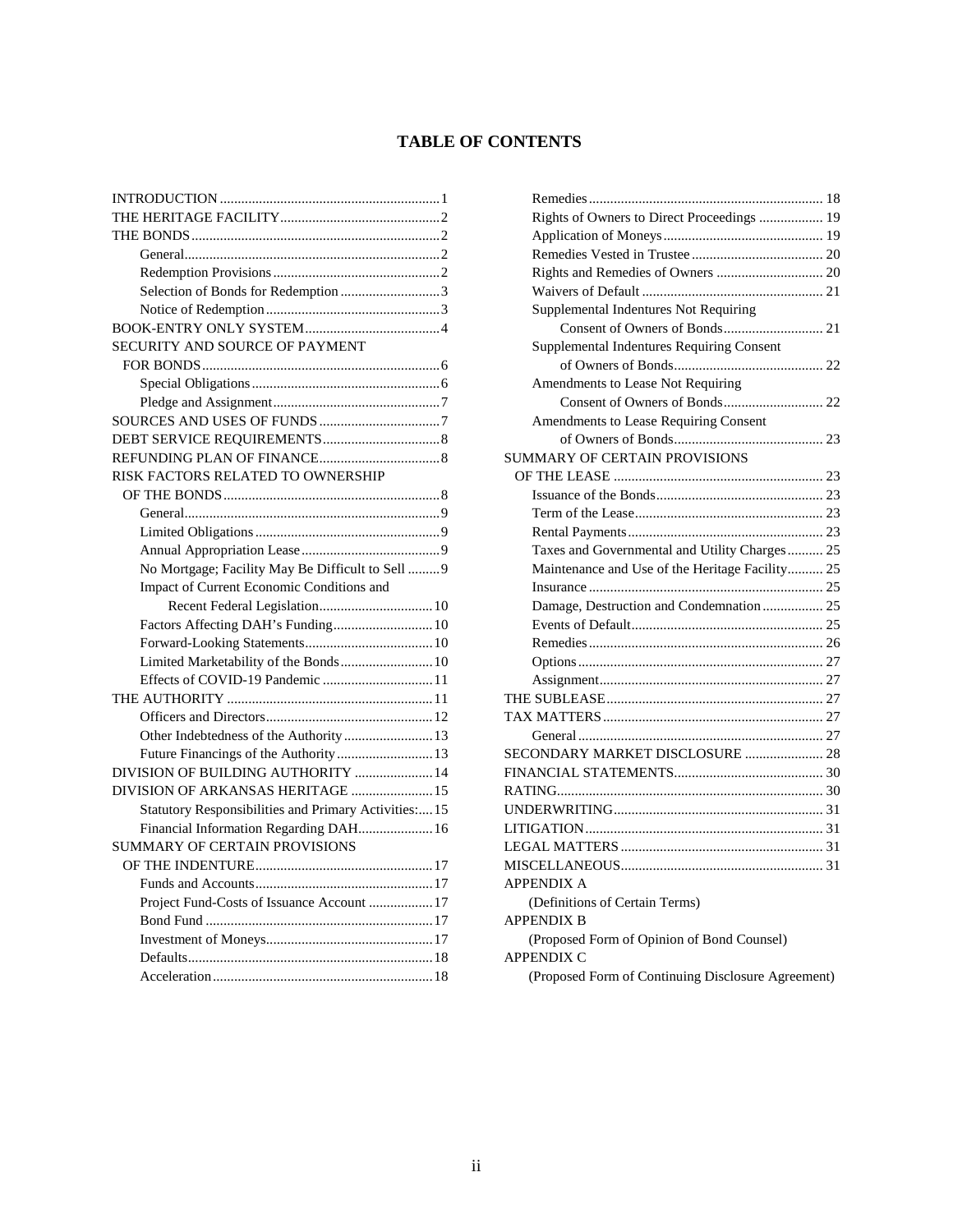# **TABLE OF CONTENTS**

| Selection of Bonds for Redemption 3                   |
|-------------------------------------------------------|
|                                                       |
|                                                       |
| SECURITY AND SOURCE OF PAYMENT                        |
|                                                       |
|                                                       |
|                                                       |
|                                                       |
|                                                       |
|                                                       |
| RISK FACTORS RELATED TO OWNERSHIP                     |
|                                                       |
|                                                       |
|                                                       |
|                                                       |
| No Mortgage; Facility May Be Difficult to Sell  9     |
|                                                       |
| Impact of Current Economic Conditions and             |
|                                                       |
| Factors Affecting DAH's Funding 10                    |
|                                                       |
| Limited Marketability of the Bonds 10                 |
| Effects of COVID-19 Pandemic  11                      |
|                                                       |
|                                                       |
| Other Indebtedness of the Authority  13               |
| Future Financings of the Authority  13                |
| DIVISION OF BUILDING AUTHORITY  14                    |
| DIVISION OF ARKANSAS HERITAGE  15                     |
| Statutory Responsibilities and Primary Activities: 15 |
| Financial Information Regarding DAH 16                |
| <b>SUMMARY OF CERTAIN PROVISIONS</b>                  |
|                                                       |
|                                                       |
| Project Fund-Costs of Issuance Account  17            |
|                                                       |
|                                                       |
|                                                       |

| Rights of Owners to Direct Proceedings  19         |
|----------------------------------------------------|
|                                                    |
|                                                    |
|                                                    |
|                                                    |
| Supplemental Indentures Not Requiring              |
|                                                    |
| Supplemental Indentures Requiring Consent          |
|                                                    |
| Amendments to Lease Not Requiring                  |
|                                                    |
| Amendments to Lease Requiring Consent              |
|                                                    |
| <b>SUMMARY OF CERTAIN PROVISIONS</b>               |
|                                                    |
|                                                    |
|                                                    |
|                                                    |
| Taxes and Governmental and Utility Charges 25      |
| Maintenance and Use of the Heritage Facility 25    |
|                                                    |
| Damage, Destruction and Condemnation  25           |
|                                                    |
|                                                    |
|                                                    |
|                                                    |
|                                                    |
|                                                    |
|                                                    |
| SECONDARY MARKET DISCLOSURE  28                    |
|                                                    |
|                                                    |
|                                                    |
|                                                    |
|                                                    |
|                                                    |
| <b>APPENDIX A</b>                                  |
| (Definitions of Certain Terms)                     |
| <b>APPENDIX B</b>                                  |
| (Proposed Form of Opinion of Bond Counsel)         |
| <b>APPENDIX C</b>                                  |
| (Proposed Form of Continuing Disclosure Agreement) |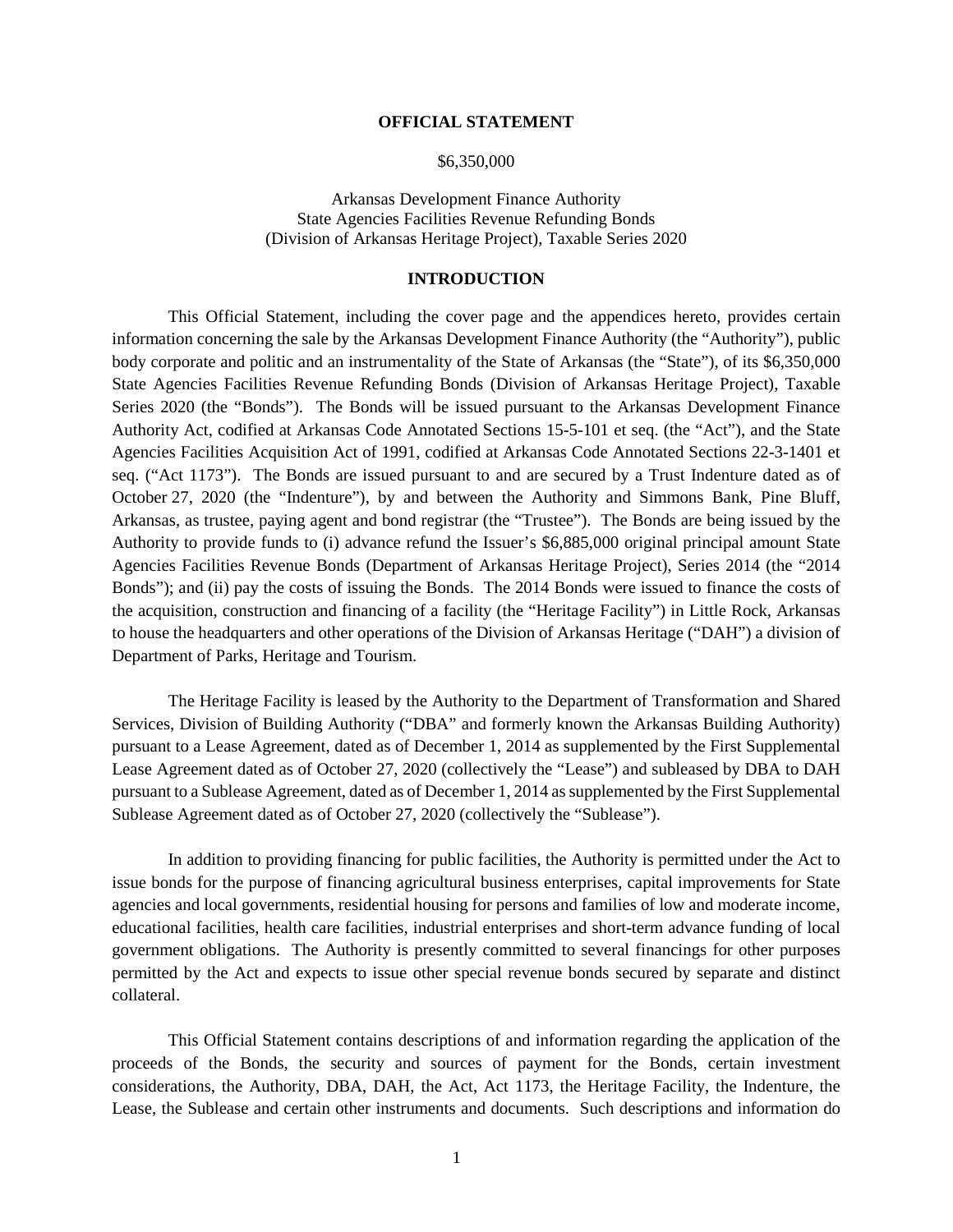#### **OFFICIAL STATEMENT**

#### \$6,350,000

Arkansas Development Finance Authority State Agencies Facilities Revenue Refunding Bonds (Division of Arkansas Heritage Project), Taxable Series 2020

#### **INTRODUCTION**

This Official Statement, including the cover page and the appendices hereto, provides certain information concerning the sale by the Arkansas Development Finance Authority (the "Authority"), public body corporate and politic and an instrumentality of the State of Arkansas (the "State"), of its \$6,350,000 State Agencies Facilities Revenue Refunding Bonds (Division of Arkansas Heritage Project), Taxable Series 2020 (the "Bonds"). The Bonds will be issued pursuant to the Arkansas Development Finance Authority Act, codified at Arkansas Code Annotated Sections 15-5-101 et seq. (the "Act"), and the State Agencies Facilities Acquisition Act of 1991, codified at Arkansas Code Annotated Sections 22-3-1401 et seq. ("Act 1173"). The Bonds are issued pursuant to and are secured by a Trust Indenture dated as of October 27, 2020 (the "Indenture"), by and between the Authority and Simmons Bank, Pine Bluff, Arkansas, as trustee, paying agent and bond registrar (the "Trustee"). The Bonds are being issued by the Authority to provide funds to (i) advance refund the Issuer's \$6,885,000 original principal amount State Agencies Facilities Revenue Bonds (Department of Arkansas Heritage Project), Series 2014 (the "2014 Bonds"); and (ii) pay the costs of issuing the Bonds. The 2014 Bonds were issued to finance the costs of the acquisition, construction and financing of a facility (the "Heritage Facility") in Little Rock, Arkansas to house the headquarters and other operations of the Division of Arkansas Heritage ("DAH") a division of Department of Parks, Heritage and Tourism.

The Heritage Facility is leased by the Authority to the Department of Transformation and Shared Services, Division of Building Authority ("DBA" and formerly known the Arkansas Building Authority) pursuant to a Lease Agreement, dated as of December 1, 2014 as supplemented by the First Supplemental Lease Agreement dated as of October 27, 2020 (collectively the "Lease") and subleased by DBA to DAH pursuant to a Sublease Agreement, dated as of December 1, 2014 as supplemented by the First Supplemental Sublease Agreement dated as of October 27, 2020 (collectively the "Sublease").

In addition to providing financing for public facilities, the Authority is permitted under the Act to issue bonds for the purpose of financing agricultural business enterprises, capital improvements for State agencies and local governments, residential housing for persons and families of low and moderate income, educational facilities, health care facilities, industrial enterprises and short-term advance funding of local government obligations. The Authority is presently committed to several financings for other purposes permitted by the Act and expects to issue other special revenue bonds secured by separate and distinct collateral.

This Official Statement contains descriptions of and information regarding the application of the proceeds of the Bonds, the security and sources of payment for the Bonds, certain investment considerations, the Authority, DBA, DAH, the Act, Act 1173, the Heritage Facility, the Indenture, the Lease, the Sublease and certain other instruments and documents. Such descriptions and information do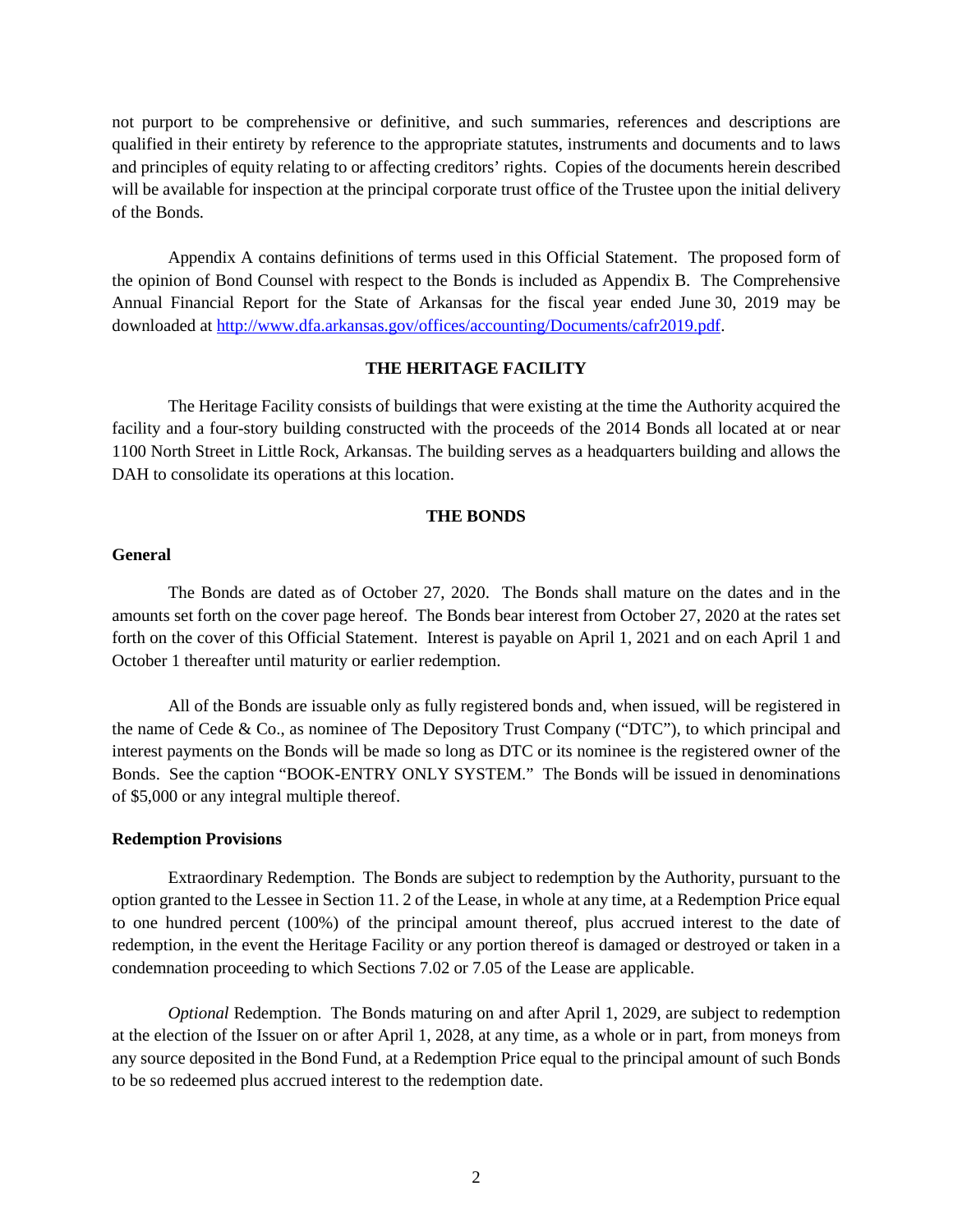not purport to be comprehensive or definitive, and such summaries, references and descriptions are qualified in their entirety by reference to the appropriate statutes, instruments and documents and to laws and principles of equity relating to or affecting creditors' rights. Copies of the documents herein described will be available for inspection at the principal corporate trust office of the Trustee upon the initial delivery of the Bonds.

Appendix A contains definitions of terms used in this Official Statement. The proposed form of the opinion of Bond Counsel with respect to the Bonds is included as Appendix B. The Comprehensive Annual Financial Report for the State of Arkansas for the fiscal year ended June 30, 2019 may be downloaded at http://www.dfa.arkansas.gov/offices/accounting/Documents/cafr2019.pdf.

# **THE HERITAGE FACILITY**

The Heritage Facility consists of buildings that were existing at the time the Authority acquired the facility and a four-story building constructed with the proceeds of the 2014 Bonds all located at or near 1100 North Street in Little Rock, Arkansas. The building serves as a headquarters building and allows the DAH to consolidate its operations at this location.

#### **THE BONDS**

# **General**

The Bonds are dated as of October 27, 2020. The Bonds shall mature on the dates and in the amounts set forth on the cover page hereof. The Bonds bear interest from October 27, 2020 at the rates set forth on the cover of this Official Statement. Interest is payable on April 1, 2021 and on each April 1 and October 1 thereafter until maturity or earlier redemption.

All of the Bonds are issuable only as fully registered bonds and, when issued, will be registered in the name of Cede & Co., as nominee of The Depository Trust Company ("DTC"), to which principal and interest payments on the Bonds will be made so long as DTC or its nominee is the registered owner of the Bonds. See the caption "BOOK-ENTRY ONLY SYSTEM." The Bonds will be issued in denominations of \$5,000 or any integral multiple thereof.

#### **Redemption Provisions**

Extraordinary Redemption. The Bonds are subject to redemption by the Authority, pursuant to the option granted to the Lessee in Section 11. 2 of the Lease, in whole at any time, at a Redemption Price equal to one hundred percent (100%) of the principal amount thereof, plus accrued interest to the date of redemption, in the event the Heritage Facility or any portion thereof is damaged or destroyed or taken in a condemnation proceeding to which Sections 7.02 or 7.05 of the Lease are applicable.

*Optional* Redemption. The Bonds maturing on and after April 1, 2029, are subject to redemption at the election of the Issuer on or after April 1, 2028, at any time, as a whole or in part, from moneys from any source deposited in the Bond Fund, at a Redemption Price equal to the principal amount of such Bonds to be so redeemed plus accrued interest to the redemption date.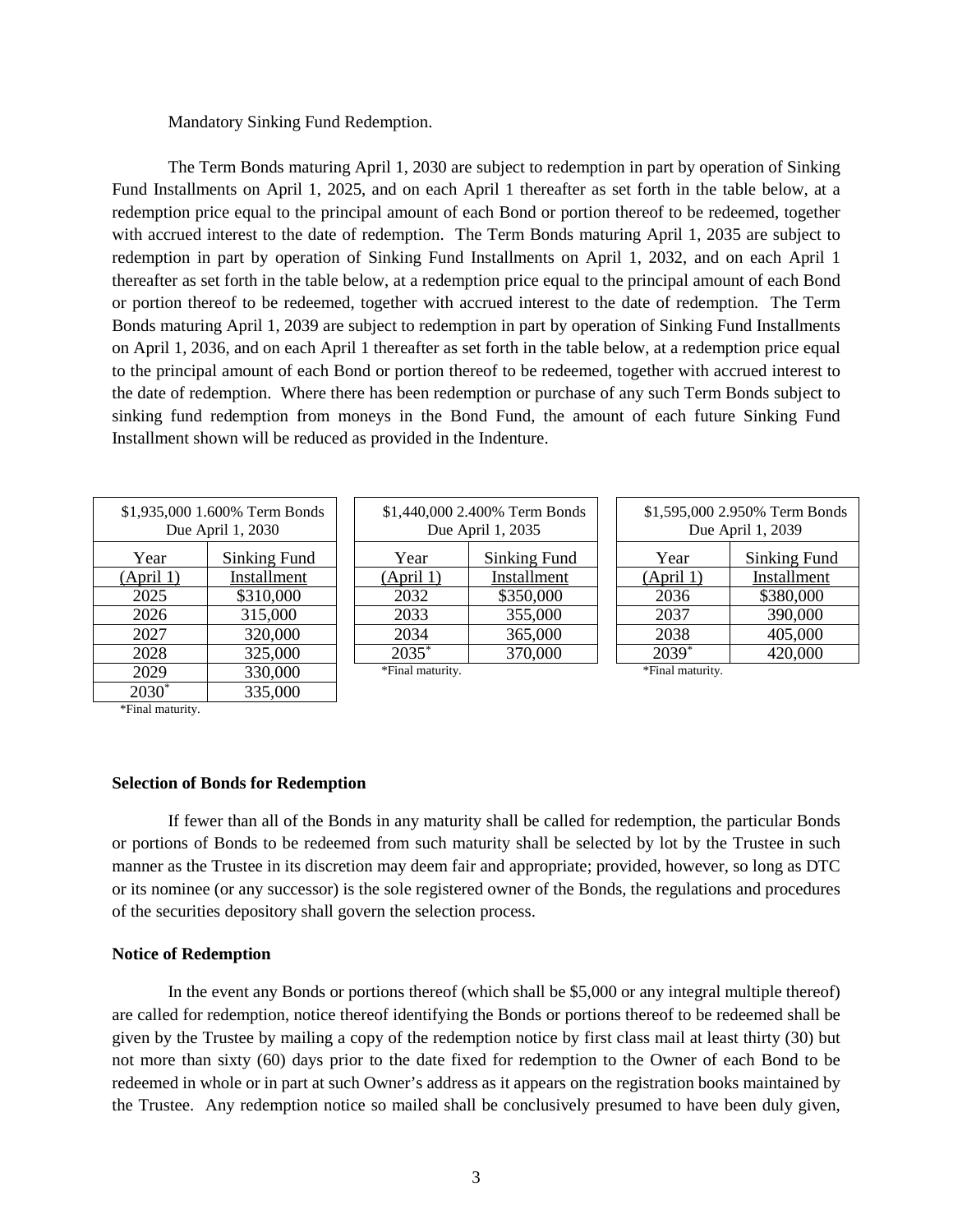#### Mandatory Sinking Fund Redemption.

The Term Bonds maturing April 1, 2030 are subject to redemption in part by operation of Sinking Fund Installments on April 1, 2025, and on each April 1 thereafter as set forth in the table below, at a redemption price equal to the principal amount of each Bond or portion thereof to be redeemed, together with accrued interest to the date of redemption. The Term Bonds maturing April 1, 2035 are subject to redemption in part by operation of Sinking Fund Installments on April 1, 2032, and on each April 1 thereafter as set forth in the table below, at a redemption price equal to the principal amount of each Bond or portion thereof to be redeemed, together with accrued interest to the date of redemption. The Term Bonds maturing April 1, 2039 are subject to redemption in part by operation of Sinking Fund Installments on April 1, 2036, and on each April 1 thereafter as set forth in the table below, at a redemption price equal to the principal amount of each Bond or portion thereof to be redeemed, together with accrued interest to the date of redemption. Where there has been redemption or purchase of any such Term Bonds subject to sinking fund redemption from moneys in the Bond Fund, the amount of each future Sinking Fund Installment shown will be reduced as provided in the Indenture.

> \$1,440,000 2.400% Term Bonds Due April 1, 2035 Year Sinking Fund (April 1) Installment 2032 | \$350,000 2033 355,000 2034 365,000 2035\* 370,000

| \$1,935,000 1.600% Term Bonds<br>Due April 1, 2030 |                      |  |
|----------------------------------------------------|----------------------|--|
| Year                                               | Sinking Fund         |  |
| (April 1)                                          | Installment          |  |
| 2025                                               | \$310,000            |  |
| 2026                                               | 315,000              |  |
| 2027                                               | 320,000              |  |
| 2028                                               | 325,000              |  |
| 2029                                               | 330,000              |  |
| 2030                                               | $\overline{335,000}$ |  |

\*Final maturity.

#### **Selection of Bonds for Redemption**

If fewer than all of the Bonds in any maturity shall be called for redemption, the particular Bonds or portions of Bonds to be redeemed from such maturity shall be selected by lot by the Trustee in such manner as the Trustee in its discretion may deem fair and appropriate; provided, however, so long as DTC or its nominee (or any successor) is the sole registered owner of the Bonds, the regulations and procedures of the securities depository shall govern the selection process.

\*Final maturity.

## **Notice of Redemption**

In the event any Bonds or portions thereof (which shall be \$5,000 or any integral multiple thereof) are called for redemption, notice thereof identifying the Bonds or portions thereof to be redeemed shall be given by the Trustee by mailing a copy of the redemption notice by first class mail at least thirty (30) but not more than sixty (60) days prior to the date fixed for redemption to the Owner of each Bond to be redeemed in whole or in part at such Owner's address as it appears on the registration books maintained by the Trustee. Any redemption notice so mailed shall be conclusively presumed to have been duly given,

| \$1,595,000 2.950% Term Bonds<br>Due April 1, 2039 |              |  |
|----------------------------------------------------|--------------|--|
| Year                                               | Sinking Fund |  |
| (April 1)                                          | Installment  |  |
| $\overline{2036}$                                  | \$380,000    |  |
| 2037                                               | 390,000      |  |
| 2038                                               | 405,000      |  |
| $2039*$                                            | 420,000      |  |

\*Final maturity.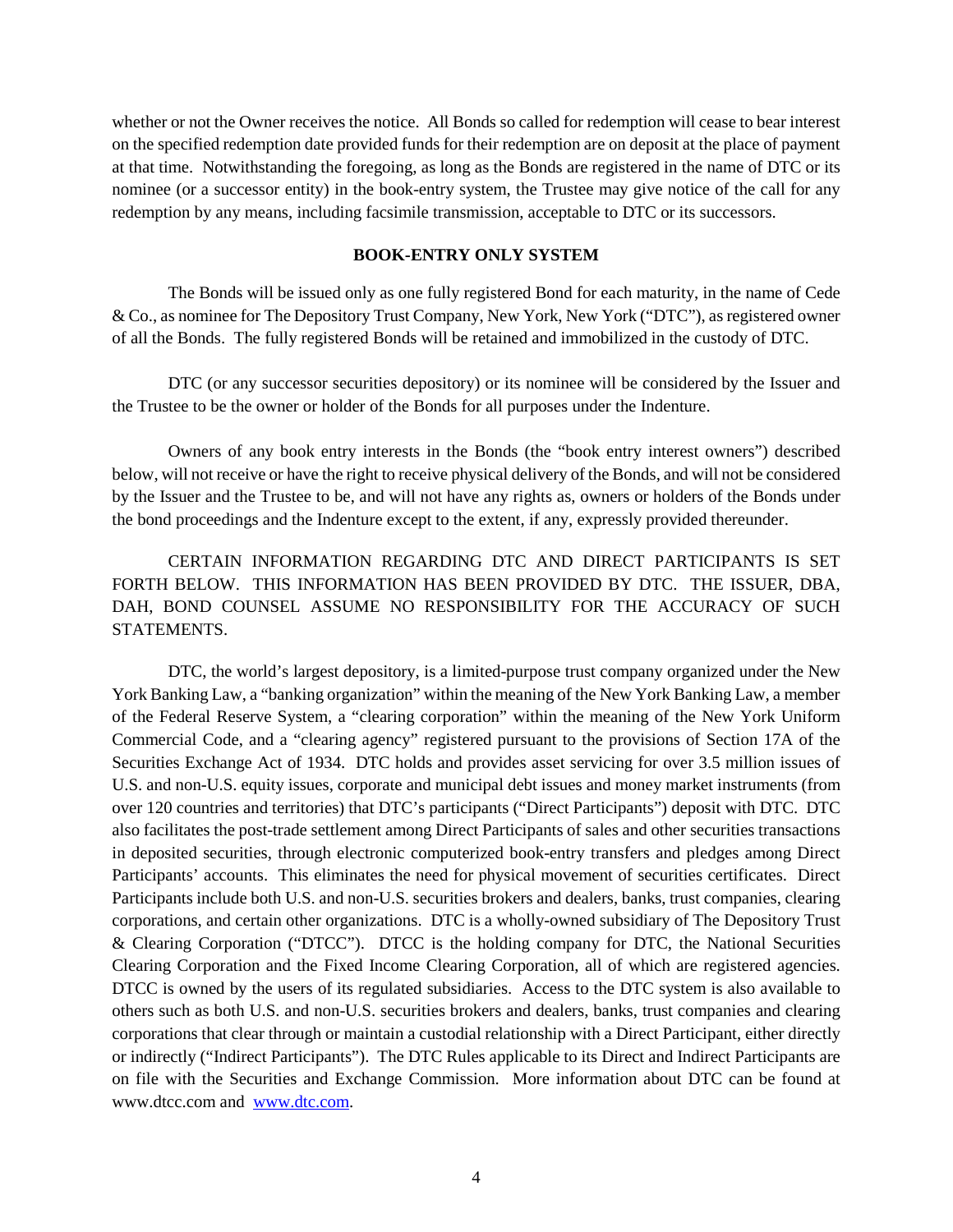whether or not the Owner receives the notice. All Bonds so called for redemption will cease to bear interest on the specified redemption date provided funds for their redemption are on deposit at the place of payment at that time. Notwithstanding the foregoing, as long as the Bonds are registered in the name of DTC or its nominee (or a successor entity) in the book-entry system, the Trustee may give notice of the call for any redemption by any means, including facsimile transmission, acceptable to DTC or its successors.

# **BOOK-ENTRY ONLY SYSTEM**

The Bonds will be issued only as one fully registered Bond for each maturity, in the name of Cede & Co., as nominee for The Depository Trust Company, New York, New York ("DTC"), as registered owner of all the Bonds. The fully registered Bonds will be retained and immobilized in the custody of DTC.

DTC (or any successor securities depository) or its nominee will be considered by the Issuer and the Trustee to be the owner or holder of the Bonds for all purposes under the Indenture.

Owners of any book entry interests in the Bonds (the "book entry interest owners") described below, will not receive or have the right to receive physical delivery of the Bonds, and will not be considered by the Issuer and the Trustee to be, and will not have any rights as, owners or holders of the Bonds under the bond proceedings and the Indenture except to the extent, if any, expressly provided thereunder.

CERTAIN INFORMATION REGARDING DTC AND DIRECT PARTICIPANTS IS SET FORTH BELOW. THIS INFORMATION HAS BEEN PROVIDED BY DTC. THE ISSUER, DBA, DAH, BOND COUNSEL ASSUME NO RESPONSIBILITY FOR THE ACCURACY OF SUCH **STATEMENTS** 

DTC, the world's largest depository, is a limited-purpose trust company organized under the New York Banking Law, a "banking organization" within the meaning of the New York Banking Law, a member of the Federal Reserve System, a "clearing corporation" within the meaning of the New York Uniform Commercial Code, and a "clearing agency" registered pursuant to the provisions of Section 17A of the Securities Exchange Act of 1934. DTC holds and provides asset servicing for over 3.5 million issues of U.S. and non-U.S. equity issues, corporate and municipal debt issues and money market instruments (from over 120 countries and territories) that DTC's participants ("Direct Participants") deposit with DTC. DTC also facilitates the post-trade settlement among Direct Participants of sales and other securities transactions in deposited securities, through electronic computerized book-entry transfers and pledges among Direct Participants' accounts. This eliminates the need for physical movement of securities certificates. Direct Participants include both U.S. and non-U.S. securities brokers and dealers, banks, trust companies, clearing corporations, and certain other organizations. DTC is a wholly-owned subsidiary of The Depository Trust & Clearing Corporation ("DTCC"). DTCC is the holding company for DTC, the National Securities Clearing Corporation and the Fixed Income Clearing Corporation, all of which are registered agencies. DTCC is owned by the users of its regulated subsidiaries. Access to the DTC system is also available to others such as both U.S. and non-U.S. securities brokers and dealers, banks, trust companies and clearing corporations that clear through or maintain a custodial relationship with a Direct Participant, either directly or indirectly ("Indirect Participants"). The DTC Rules applicable to its Direct and Indirect Participants are on file with the Securities and Exchange Commission. More information about DTC can be found at www.dtcc.com and www.dtc.com.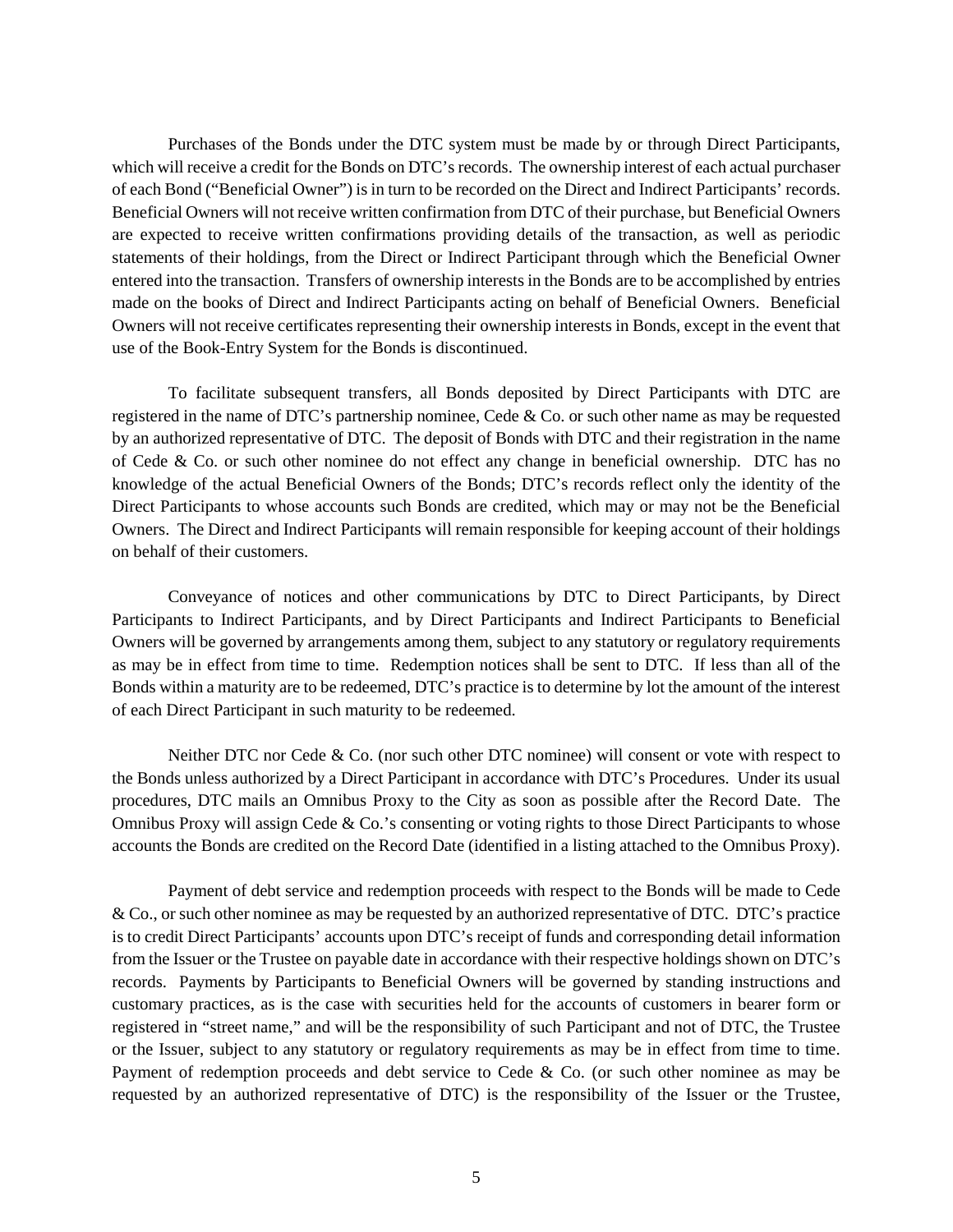Purchases of the Bonds under the DTC system must be made by or through Direct Participants, which will receive a credit for the Bonds on DTC's records. The ownership interest of each actual purchaser of each Bond ("Beneficial Owner") is in turn to be recorded on the Direct and Indirect Participants' records. Beneficial Owners will not receive written confirmation from DTC of their purchase, but Beneficial Owners are expected to receive written confirmations providing details of the transaction, as well as periodic statements of their holdings, from the Direct or Indirect Participant through which the Beneficial Owner entered into the transaction. Transfers of ownership interests in the Bonds are to be accomplished by entries made on the books of Direct and Indirect Participants acting on behalf of Beneficial Owners. Beneficial Owners will not receive certificates representing their ownership interests in Bonds, except in the event that use of the Book-Entry System for the Bonds is discontinued.

To facilitate subsequent transfers, all Bonds deposited by Direct Participants with DTC are registered in the name of DTC's partnership nominee, Cede & Co. or such other name as may be requested by an authorized representative of DTC. The deposit of Bonds with DTC and their registration in the name of Cede & Co. or such other nominee do not effect any change in beneficial ownership. DTC has no knowledge of the actual Beneficial Owners of the Bonds; DTC's records reflect only the identity of the Direct Participants to whose accounts such Bonds are credited, which may or may not be the Beneficial Owners. The Direct and Indirect Participants will remain responsible for keeping account of their holdings on behalf of their customers.

Conveyance of notices and other communications by DTC to Direct Participants, by Direct Participants to Indirect Participants, and by Direct Participants and Indirect Participants to Beneficial Owners will be governed by arrangements among them, subject to any statutory or regulatory requirements as may be in effect from time to time. Redemption notices shall be sent to DTC. If less than all of the Bonds within a maturity are to be redeemed, DTC's practice is to determine by lot the amount of the interest of each Direct Participant in such maturity to be redeemed.

Neither DTC nor Cede & Co. (nor such other DTC nominee) will consent or vote with respect to the Bonds unless authorized by a Direct Participant in accordance with DTC's Procedures. Under its usual procedures, DTC mails an Omnibus Proxy to the City as soon as possible after the Record Date. The Omnibus Proxy will assign Cede & Co.'s consenting or voting rights to those Direct Participants to whose accounts the Bonds are credited on the Record Date (identified in a listing attached to the Omnibus Proxy).

Payment of debt service and redemption proceeds with respect to the Bonds will be made to Cede & Co., or such other nominee as may be requested by an authorized representative of DTC. DTC's practice is to credit Direct Participants' accounts upon DTC's receipt of funds and corresponding detail information from the Issuer or the Trustee on payable date in accordance with their respective holdings shown on DTC's records. Payments by Participants to Beneficial Owners will be governed by standing instructions and customary practices, as is the case with securities held for the accounts of customers in bearer form or registered in "street name," and will be the responsibility of such Participant and not of DTC, the Trustee or the Issuer, subject to any statutory or regulatory requirements as may be in effect from time to time. Payment of redemption proceeds and debt service to Cede & Co. (or such other nominee as may be requested by an authorized representative of DTC) is the responsibility of the Issuer or the Trustee,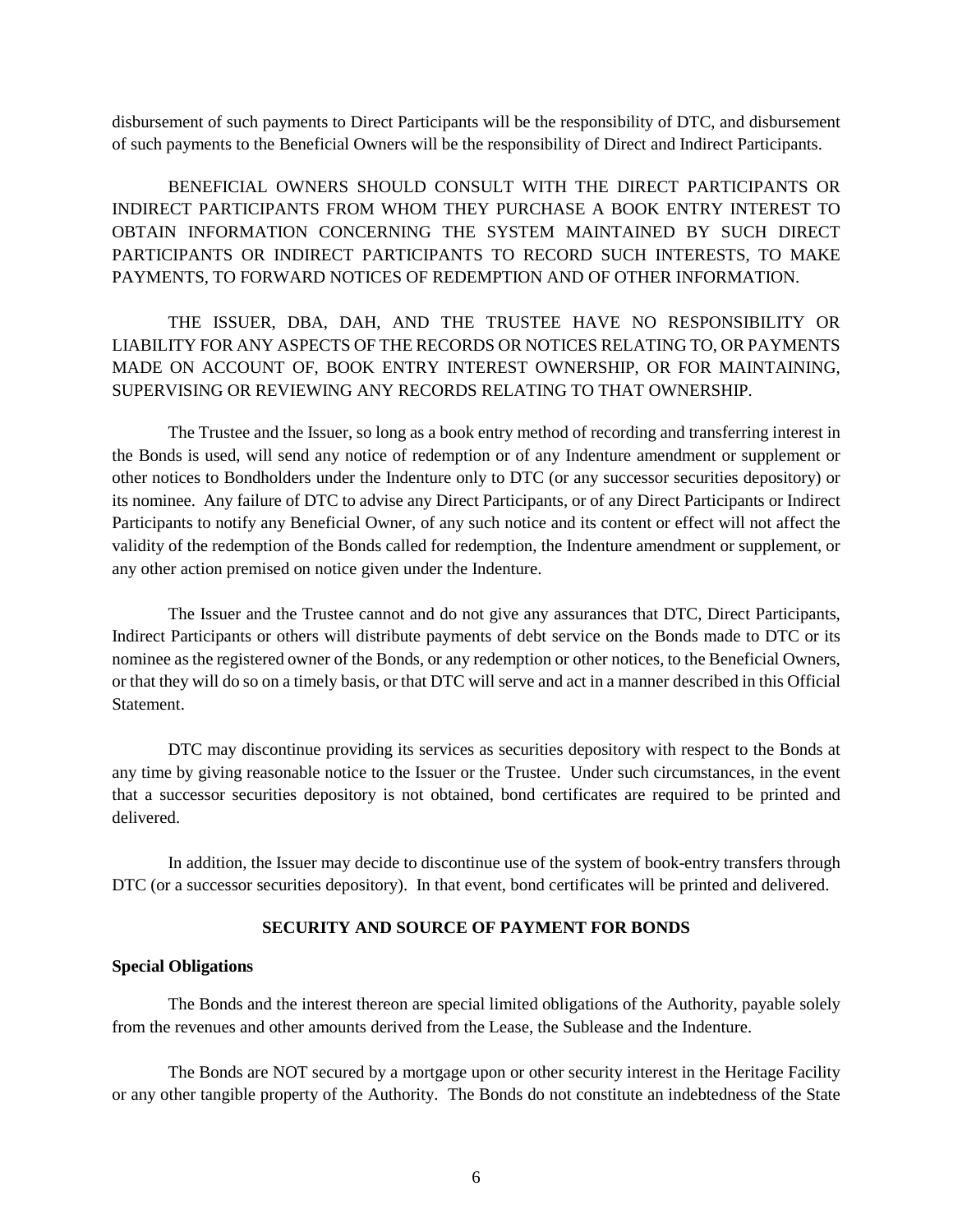disbursement of such payments to Direct Participants will be the responsibility of DTC, and disbursement of such payments to the Beneficial Owners will be the responsibility of Direct and Indirect Participants.

BENEFICIAL OWNERS SHOULD CONSULT WITH THE DIRECT PARTICIPANTS OR INDIRECT PARTICIPANTS FROM WHOM THEY PURCHASE A BOOK ENTRY INTEREST TO OBTAIN INFORMATION CONCERNING THE SYSTEM MAINTAINED BY SUCH DIRECT PARTICIPANTS OR INDIRECT PARTICIPANTS TO RECORD SUCH INTERESTS, TO MAKE PAYMENTS, TO FORWARD NOTICES OF REDEMPTION AND OF OTHER INFORMATION.

THE ISSUER, DBA, DAH, AND THE TRUSTEE HAVE NO RESPONSIBILITY OR LIABILITY FOR ANY ASPECTS OF THE RECORDS OR NOTICES RELATING TO, OR PAYMENTS MADE ON ACCOUNT OF, BOOK ENTRY INTEREST OWNERSHIP, OR FOR MAINTAINING, SUPERVISING OR REVIEWING ANY RECORDS RELATING TO THAT OWNERSHIP.

The Trustee and the Issuer, so long as a book entry method of recording and transferring interest in the Bonds is used, will send any notice of redemption or of any Indenture amendment or supplement or other notices to Bondholders under the Indenture only to DTC (or any successor securities depository) or its nominee. Any failure of DTC to advise any Direct Participants, or of any Direct Participants or Indirect Participants to notify any Beneficial Owner, of any such notice and its content or effect will not affect the validity of the redemption of the Bonds called for redemption, the Indenture amendment or supplement, or any other action premised on notice given under the Indenture.

The Issuer and the Trustee cannot and do not give any assurances that DTC, Direct Participants, Indirect Participants or others will distribute payments of debt service on the Bonds made to DTC or its nominee as the registered owner of the Bonds, or any redemption or other notices, to the Beneficial Owners, or that they will do so on a timely basis, or that DTC will serve and act in a manner described in this Official Statement.

DTC may discontinue providing its services as securities depository with respect to the Bonds at any time by giving reasonable notice to the Issuer or the Trustee. Under such circumstances, in the event that a successor securities depository is not obtained, bond certificates are required to be printed and delivered.

In addition, the Issuer may decide to discontinue use of the system of book-entry transfers through DTC (or a successor securities depository). In that event, bond certificates will be printed and delivered.

# **SECURITY AND SOURCE OF PAYMENT FOR BONDS**

# **Special Obligations**

The Bonds and the interest thereon are special limited obligations of the Authority, payable solely from the revenues and other amounts derived from the Lease, the Sublease and the Indenture.

The Bonds are NOT secured by a mortgage upon or other security interest in the Heritage Facility or any other tangible property of the Authority. The Bonds do not constitute an indebtedness of the State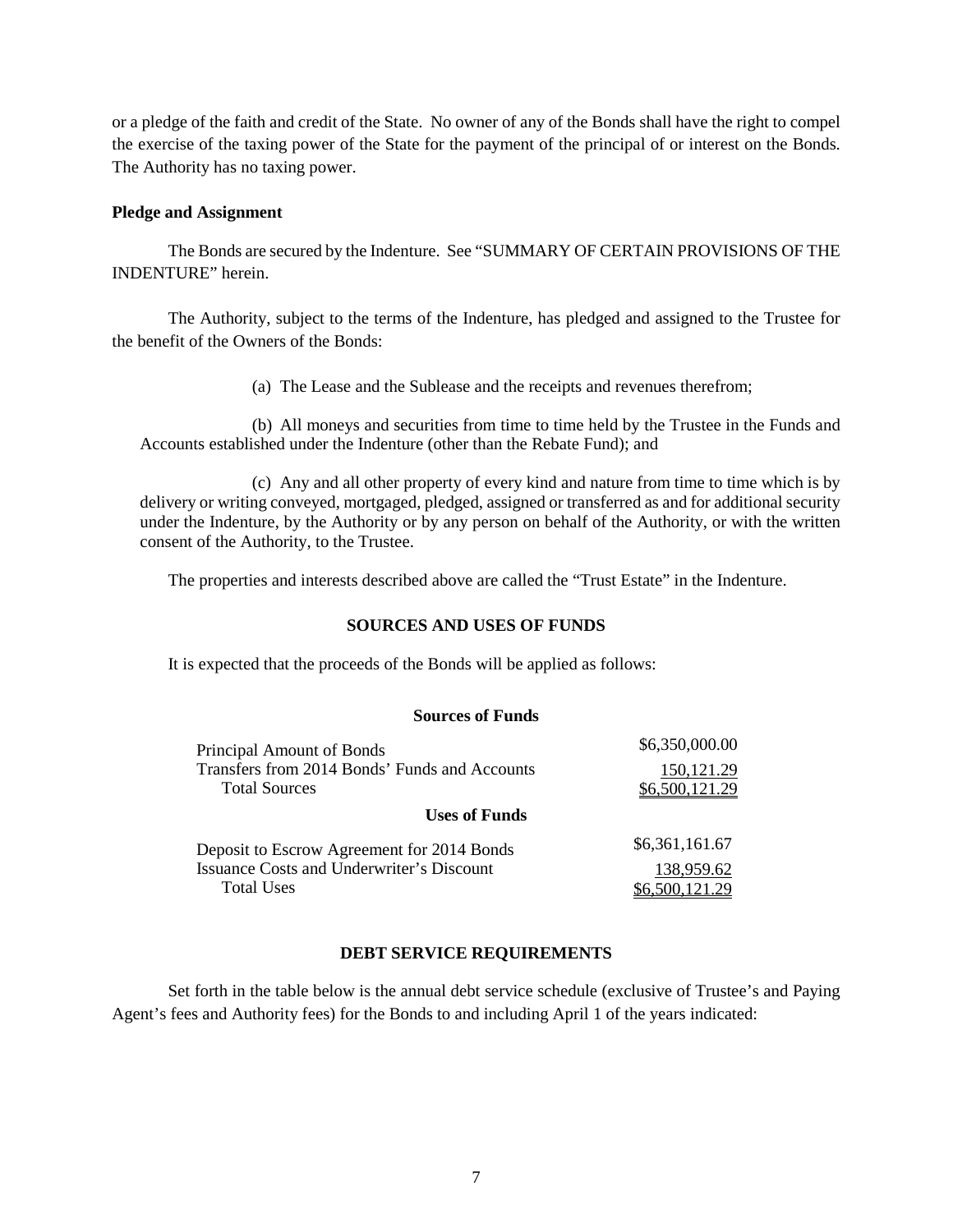or a pledge of the faith and credit of the State. No owner of any of the Bonds shall have the right to compel the exercise of the taxing power of the State for the payment of the principal of or interest on the Bonds. The Authority has no taxing power.

# **Pledge and Assignment**

The Bonds are secured by the Indenture. See "SUMMARY OF CERTAIN PROVISIONS OF THE INDENTURE" herein.

The Authority, subject to the terms of the Indenture, has pledged and assigned to the Trustee for the benefit of the Owners of the Bonds:

(a) The Lease and the Sublease and the receipts and revenues therefrom;

(b) All moneys and securities from time to time held by the Trustee in the Funds and Accounts established under the Indenture (other than the Rebate Fund); and

(c) Any and all other property of every kind and nature from time to time which is by delivery or writing conveyed, mortgaged, pledged, assigned or transferred as and for additional security under the Indenture, by the Authority or by any person on behalf of the Authority, or with the written consent of the Authority, to the Trustee.

The properties and interests described above are called the "Trust Estate" in the Indenture.

# **SOURCES AND USES OF FUNDS**

It is expected that the proceeds of the Bonds will be applied as follows:

### **Sources of Funds**

| Principal Amount of Bonds                        | \$6,350,000.00 |
|--------------------------------------------------|----------------|
| Transfers from 2014 Bonds' Funds and Accounts    | 150, 121.29    |
| <b>Total Sources</b>                             | \$6,500,121.29 |
| <b>Uses of Funds</b>                             |                |
| Deposit to Escrow Agreement for 2014 Bonds       | \$6,361,161.67 |
| <b>Issuance Costs and Underwriter's Discount</b> | 138,959.62     |
| <b>Total Uses</b>                                | \$6,500,121.29 |

# **DEBT SERVICE REQUIREMENTS**

Set forth in the table below is the annual debt service schedule (exclusive of Trustee's and Paying Agent's fees and Authority fees) for the Bonds to and including April 1 of the years indicated: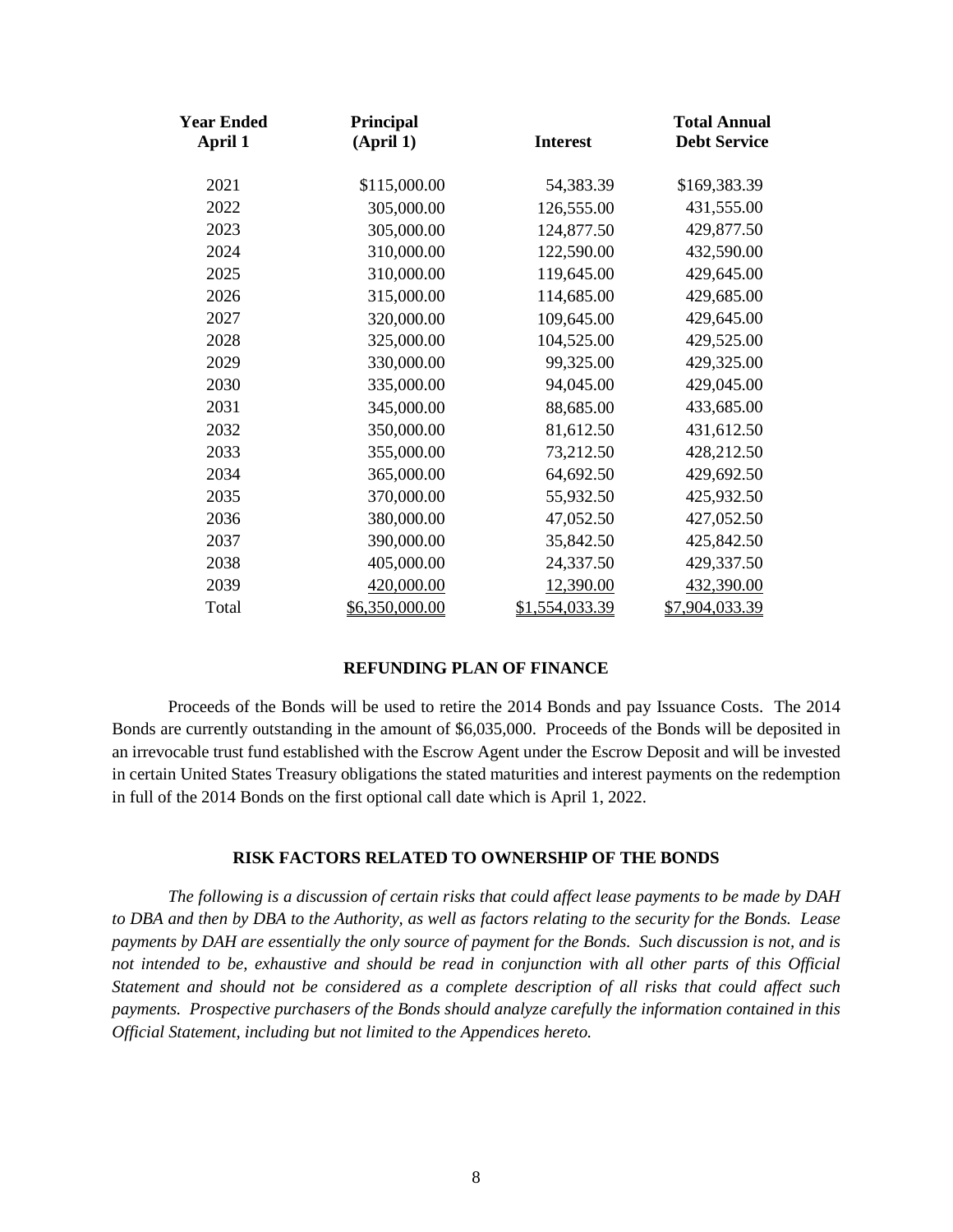| Year Ended<br>April 1 | Principal<br>(April 1) | <b>Interest</b> | <b>Total Annual</b><br><b>Debt Service</b> |
|-----------------------|------------------------|-----------------|--------------------------------------------|
| 2021                  | \$115,000.00           | 54,383.39       | \$169,383.39                               |
| 2022                  | 305,000.00             | 126,555.00      | 431,555.00                                 |
| 2023                  | 305,000.00             | 124,877.50      | 429,877.50                                 |
| 2024                  | 310,000.00             | 122,590.00      | 432,590.00                                 |
| 2025                  | 310,000.00             | 119,645.00      | 429,645.00                                 |
| 2026                  | 315,000.00             | 114,685.00      | 429,685.00                                 |
| 2027                  | 320,000.00             | 109,645.00      | 429,645.00                                 |
| 2028                  | 325,000.00             | 104,525.00      | 429,525.00                                 |
| 2029                  | 330,000.00             | 99,325.00       | 429,325.00                                 |
| 2030                  | 335,000.00             | 94,045.00       | 429,045.00                                 |
| 2031                  | 345,000.00             | 88,685.00       | 433,685.00                                 |
| 2032                  | 350,000.00             | 81,612.50       | 431,612.50                                 |
| 2033                  | 355,000.00             | 73,212.50       | 428,212.50                                 |
| 2034                  | 365,000.00             | 64,692.50       | 429,692.50                                 |
| 2035                  | 370,000.00             | 55,932.50       | 425,932.50                                 |
| 2036                  | 380,000.00             | 47,052.50       | 427,052.50                                 |
| 2037                  | 390,000.00             | 35,842.50       | 425,842.50                                 |
| 2038                  | 405,000.00             | 24,337.50       | 429,337.50                                 |
| 2039                  | 420,000.00             | 12,390.00       | 432,390.00                                 |
| Total                 | \$6,350,000.00         | \$1,554,033.39  | \$7,904,033.39                             |

# **REFUNDING PLAN OF FINANCE**

Proceeds of the Bonds will be used to retire the 2014 Bonds and pay Issuance Costs. The 2014 Bonds are currently outstanding in the amount of \$6,035,000. Proceeds of the Bonds will be deposited in an irrevocable trust fund established with the Escrow Agent under the Escrow Deposit and will be invested in certain United States Treasury obligations the stated maturities and interest payments on the redemption in full of the 2014 Bonds on the first optional call date which is April 1, 2022.

# **RISK FACTORS RELATED TO OWNERSHIP OF THE BONDS**

*The following is a discussion of certain risks that could affect lease payments to be made by DAH to DBA and then by DBA to the Authority, as well as factors relating to the security for the Bonds. Lease payments by DAH are essentially the only source of payment for the Bonds. Such discussion is not, and is not intended to be, exhaustive and should be read in conjunction with all other parts of this Official Statement and should not be considered as a complete description of all risks that could affect such payments. Prospective purchasers of the Bonds should analyze carefully the information contained in this Official Statement, including but not limited to the Appendices hereto.*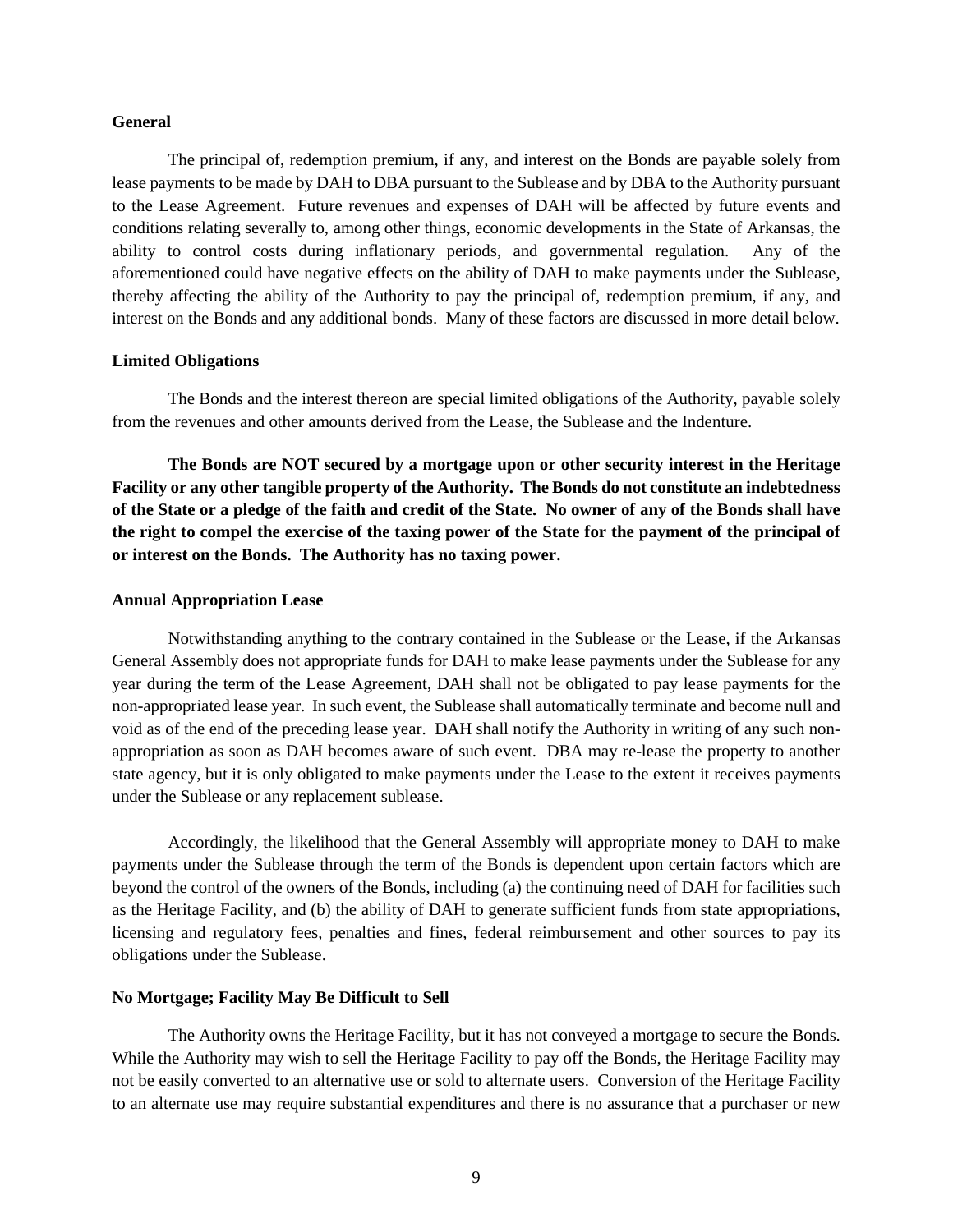#### **General**

The principal of, redemption premium, if any, and interest on the Bonds are payable solely from lease payments to be made by DAH to DBA pursuant to the Sublease and by DBA to the Authority pursuant to the Lease Agreement. Future revenues and expenses of DAH will be affected by future events and conditions relating severally to, among other things, economic developments in the State of Arkansas, the ability to control costs during inflationary periods, and governmental regulation. Any of the aforementioned could have negative effects on the ability of DAH to make payments under the Sublease, thereby affecting the ability of the Authority to pay the principal of, redemption premium, if any, and interest on the Bonds and any additional bonds. Many of these factors are discussed in more detail below.

#### **Limited Obligations**

The Bonds and the interest thereon are special limited obligations of the Authority, payable solely from the revenues and other amounts derived from the Lease, the Sublease and the Indenture.

**The Bonds are NOT secured by a mortgage upon or other security interest in the Heritage Facility or any other tangible property of the Authority. The Bonds do not constitute an indebtedness of the State or a pledge of the faith and credit of the State. No owner of any of the Bonds shall have the right to compel the exercise of the taxing power of the State for the payment of the principal of or interest on the Bonds. The Authority has no taxing power.**

#### **Annual Appropriation Lease**

Notwithstanding anything to the contrary contained in the Sublease or the Lease, if the Arkansas General Assembly does not appropriate funds for DAH to make lease payments under the Sublease for any year during the term of the Lease Agreement, DAH shall not be obligated to pay lease payments for the non-appropriated lease year. In such event, the Sublease shall automatically terminate and become null and void as of the end of the preceding lease year. DAH shall notify the Authority in writing of any such nonappropriation as soon as DAH becomes aware of such event. DBA may re-lease the property to another state agency, but it is only obligated to make payments under the Lease to the extent it receives payments under the Sublease or any replacement sublease.

Accordingly, the likelihood that the General Assembly will appropriate money to DAH to make payments under the Sublease through the term of the Bonds is dependent upon certain factors which are beyond the control of the owners of the Bonds, including (a) the continuing need of DAH for facilities such as the Heritage Facility, and (b) the ability of DAH to generate sufficient funds from state appropriations, licensing and regulatory fees, penalties and fines, federal reimbursement and other sources to pay its obligations under the Sublease.

#### **No Mortgage; Facility May Be Difficult to Sell**

The Authority owns the Heritage Facility, but it has not conveyed a mortgage to secure the Bonds. While the Authority may wish to sell the Heritage Facility to pay off the Bonds, the Heritage Facility may not be easily converted to an alternative use or sold to alternate users. Conversion of the Heritage Facility to an alternate use may require substantial expenditures and there is no assurance that a purchaser or new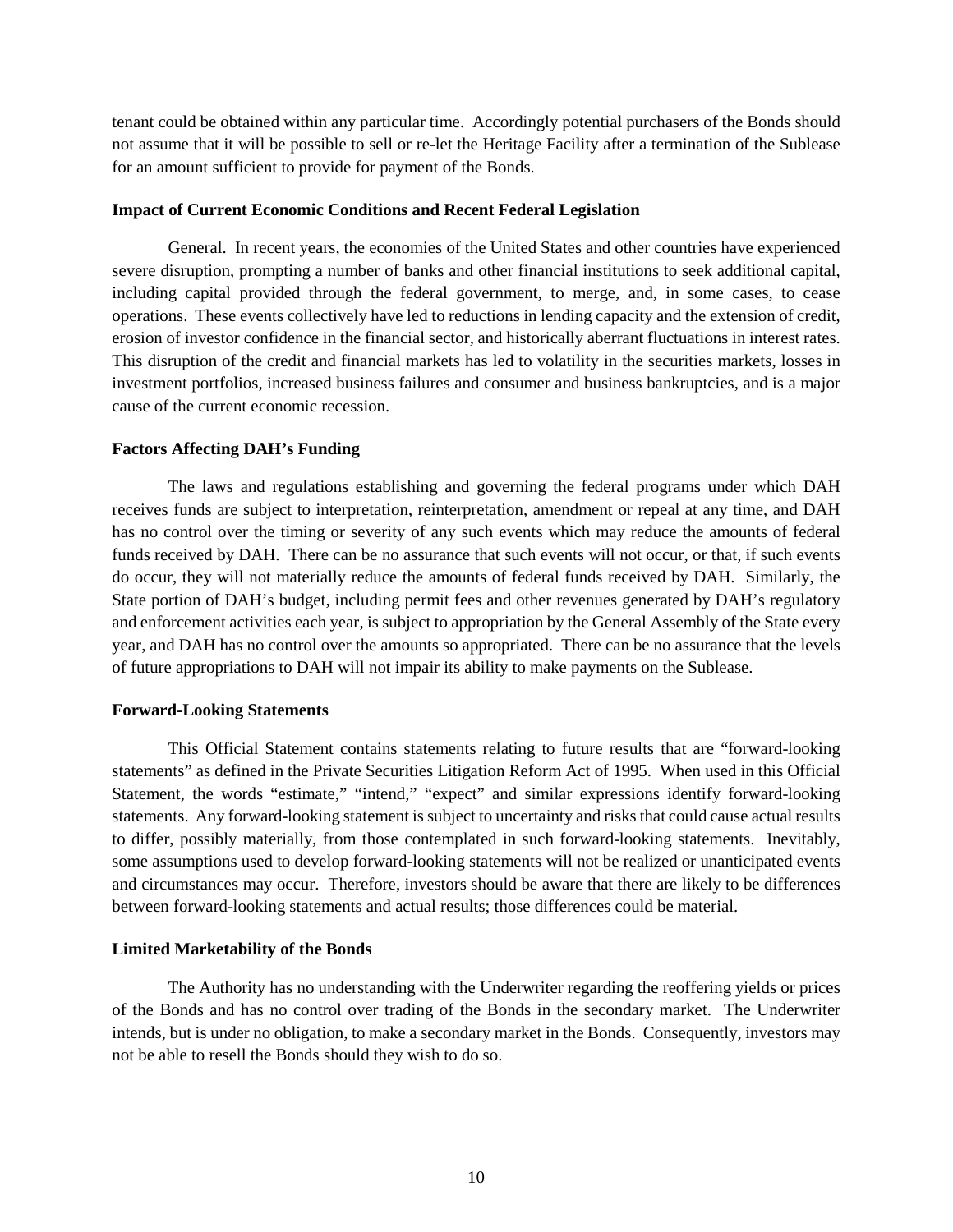tenant could be obtained within any particular time. Accordingly potential purchasers of the Bonds should not assume that it will be possible to sell or re-let the Heritage Facility after a termination of the Sublease for an amount sufficient to provide for payment of the Bonds.

# **Impact of Current Economic Conditions and Recent Federal Legislation**

General. In recent years, the economies of the United States and other countries have experienced severe disruption, prompting a number of banks and other financial institutions to seek additional capital, including capital provided through the federal government, to merge, and, in some cases, to cease operations. These events collectively have led to reductions in lending capacity and the extension of credit, erosion of investor confidence in the financial sector, and historically aberrant fluctuations in interest rates. This disruption of the credit and financial markets has led to volatility in the securities markets, losses in investment portfolios, increased business failures and consumer and business bankruptcies, and is a major cause of the current economic recession.

# **Factors Affecting DAH's Funding**

The laws and regulations establishing and governing the federal programs under which DAH receives funds are subject to interpretation, reinterpretation, amendment or repeal at any time, and DAH has no control over the timing or severity of any such events which may reduce the amounts of federal funds received by DAH. There can be no assurance that such events will not occur, or that, if such events do occur, they will not materially reduce the amounts of federal funds received by DAH. Similarly, the State portion of DAH's budget, including permit fees and other revenues generated by DAH's regulatory and enforcement activities each year, is subject to appropriation by the General Assembly of the State every year, and DAH has no control over the amounts so appropriated. There can be no assurance that the levels of future appropriations to DAH will not impair its ability to make payments on the Sublease.

# **Forward-Looking Statements**

This Official Statement contains statements relating to future results that are "forward-looking statements" as defined in the Private Securities Litigation Reform Act of 1995. When used in this Official Statement, the words "estimate," "intend," "expect" and similar expressions identify forward-looking statements. Any forward-looking statement is subject to uncertainty and risks that could cause actual results to differ, possibly materially, from those contemplated in such forward-looking statements. Inevitably, some assumptions used to develop forward-looking statements will not be realized or unanticipated events and circumstances may occur. Therefore, investors should be aware that there are likely to be differences between forward-looking statements and actual results; those differences could be material.

### **Limited Marketability of the Bonds**

The Authority has no understanding with the Underwriter regarding the reoffering yields or prices of the Bonds and has no control over trading of the Bonds in the secondary market. The Underwriter intends, but is under no obligation, to make a secondary market in the Bonds. Consequently, investors may not be able to resell the Bonds should they wish to do so.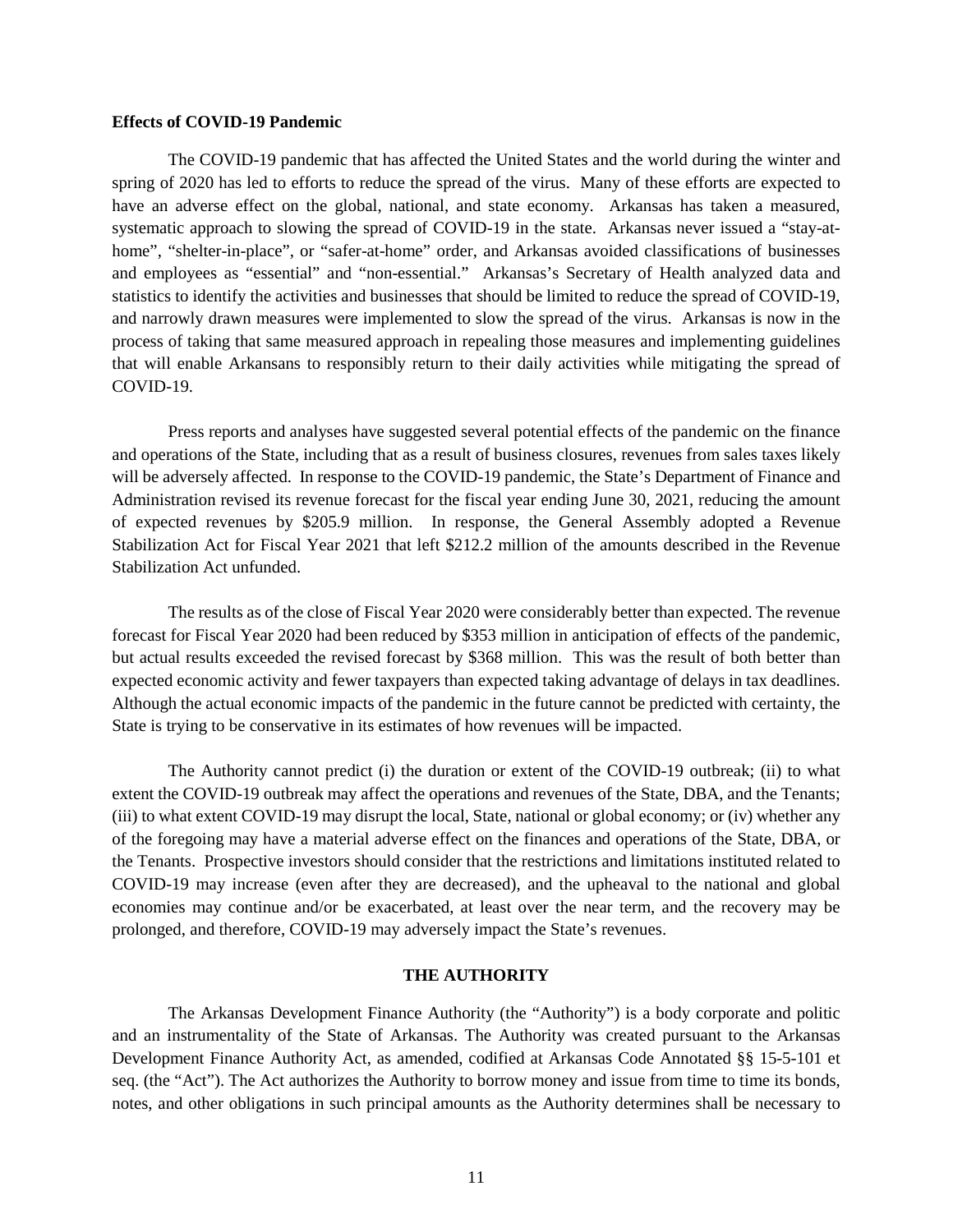#### **Effects of COVID-19 Pandemic**

The COVID-19 pandemic that has affected the United States and the world during the winter and spring of 2020 has led to efforts to reduce the spread of the virus. Many of these efforts are expected to have an adverse effect on the global, national, and state economy. Arkansas has taken a measured, systematic approach to slowing the spread of COVID-19 in the state. Arkansas never issued a "stay-athome", "shelter-in-place", or "safer-at-home" order, and Arkansas avoided classifications of businesses and employees as "essential" and "non-essential." Arkansas's Secretary of Health analyzed data and statistics to identify the activities and businesses that should be limited to reduce the spread of COVID-19, and narrowly drawn measures were implemented to slow the spread of the virus. Arkansas is now in the process of taking that same measured approach in repealing those measures and implementing guidelines that will enable Arkansans to responsibly return to their daily activities while mitigating the spread of COVID-19.

Press reports and analyses have suggested several potential effects of the pandemic on the finance and operations of the State, including that as a result of business closures, revenues from sales taxes likely will be adversely affected. In response to the COVID-19 pandemic, the State's Department of Finance and Administration revised its revenue forecast for the fiscal year ending June 30, 2021, reducing the amount of expected revenues by \$205.9 million. In response, the General Assembly adopted a Revenue Stabilization Act for Fiscal Year 2021 that left \$212.2 million of the amounts described in the Revenue Stabilization Act unfunded.

The results as of the close of Fiscal Year 2020 were considerably better than expected. The revenue forecast for Fiscal Year 2020 had been reduced by \$353 million in anticipation of effects of the pandemic, but actual results exceeded the revised forecast by \$368 million. This was the result of both better than expected economic activity and fewer taxpayers than expected taking advantage of delays in tax deadlines. Although the actual economic impacts of the pandemic in the future cannot be predicted with certainty, the State is trying to be conservative in its estimates of how revenues will be impacted.

The Authority cannot predict (i) the duration or extent of the COVID-19 outbreak; (ii) to what extent the COVID-19 outbreak may affect the operations and revenues of the State, DBA, and the Tenants; (iii) to what extent COVID-19 may disrupt the local, State, national or global economy; or (iv) whether any of the foregoing may have a material adverse effect on the finances and operations of the State, DBA, or the Tenants. Prospective investors should consider that the restrictions and limitations instituted related to COVID-19 may increase (even after they are decreased), and the upheaval to the national and global economies may continue and/or be exacerbated, at least over the near term, and the recovery may be prolonged, and therefore, COVID-19 may adversely impact the State's revenues.

# **THE AUTHORITY**

The Arkansas Development Finance Authority (the "Authority") is a body corporate and politic and an instrumentality of the State of Arkansas. The Authority was created pursuant to the Arkansas Development Finance Authority Act, as amended, codified at Arkansas Code Annotated §§ 15-5-101 et seq. (the "Act"). The Act authorizes the Authority to borrow money and issue from time to time its bonds, notes, and other obligations in such principal amounts as the Authority determines shall be necessary to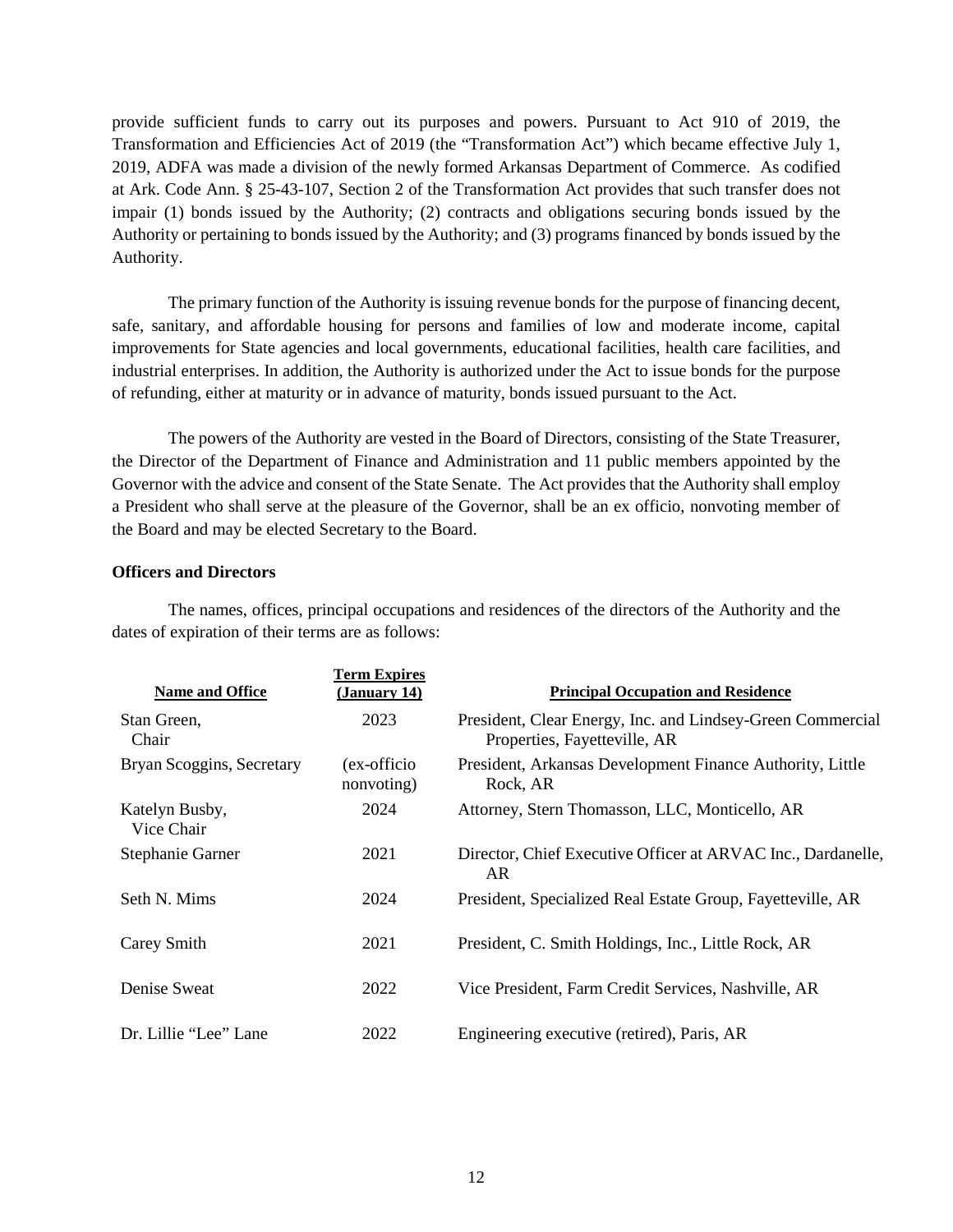provide sufficient funds to carry out its purposes and powers. Pursuant to Act 910 of 2019, the Transformation and Efficiencies Act of 2019 (the "Transformation Act") which became effective July 1, 2019, ADFA was made a division of the newly formed Arkansas Department of Commerce. As codified at Ark. Code Ann. § 25-43-107, Section 2 of the Transformation Act provides that such transfer does not impair (1) bonds issued by the Authority; (2) contracts and obligations securing bonds issued by the Authority or pertaining to bonds issued by the Authority; and (3) programs financed by bonds issued by the Authority.

The primary function of the Authority is issuing revenue bonds for the purpose of financing decent, safe, sanitary, and affordable housing for persons and families of low and moderate income, capital improvements for State agencies and local governments, educational facilities, health care facilities, and industrial enterprises. In addition, the Authority is authorized under the Act to issue bonds for the purpose of refunding, either at maturity or in advance of maturity, bonds issued pursuant to the Act.

The powers of the Authority are vested in the Board of Directors, consisting of the State Treasurer, the Director of the Department of Finance and Administration and 11 public members appointed by the Governor with the advice and consent of the State Senate. The Act provides that the Authority shall employ a President who shall serve at the pleasure of the Governor, shall be an ex officio, nonvoting member of the Board and may be elected Secretary to the Board.

# **Officers and Directors**

The names, offices, principal occupations and residences of the directors of the Authority and the dates of expiration of their terms are as follows:

| <b>Name and Office</b>       | <b>Term Expires</b><br>(January 14) | <b>Principal Occupation and Residence</b>                                                  |
|------------------------------|-------------------------------------|--------------------------------------------------------------------------------------------|
| Stan Green,<br>Chair         | 2023                                | President, Clear Energy, Inc. and Lindsey-Green Commercial<br>Properties, Fayetteville, AR |
| Bryan Scoggins, Secretary    | (ex-officio)<br>nonvoting)          | President, Arkansas Development Finance Authority, Little<br>Rock, AR                      |
| Katelyn Busby,<br>Vice Chair | 2024                                | Attorney, Stern Thomasson, LLC, Monticello, AR                                             |
| Stephanie Garner             | 2021                                | Director, Chief Executive Officer at ARVAC Inc., Dardanelle,<br>AR.                        |
| Seth N. Mims                 | 2024                                | President, Specialized Real Estate Group, Fayetteville, AR                                 |
| Carey Smith                  | 2021                                | President, C. Smith Holdings, Inc., Little Rock, AR                                        |
| Denise Sweat                 | 2022                                | Vice President, Farm Credit Services, Nashville, AR                                        |
| Dr. Lillie "Lee" Lane        | 2022                                | Engineering executive (retired), Paris, AR                                                 |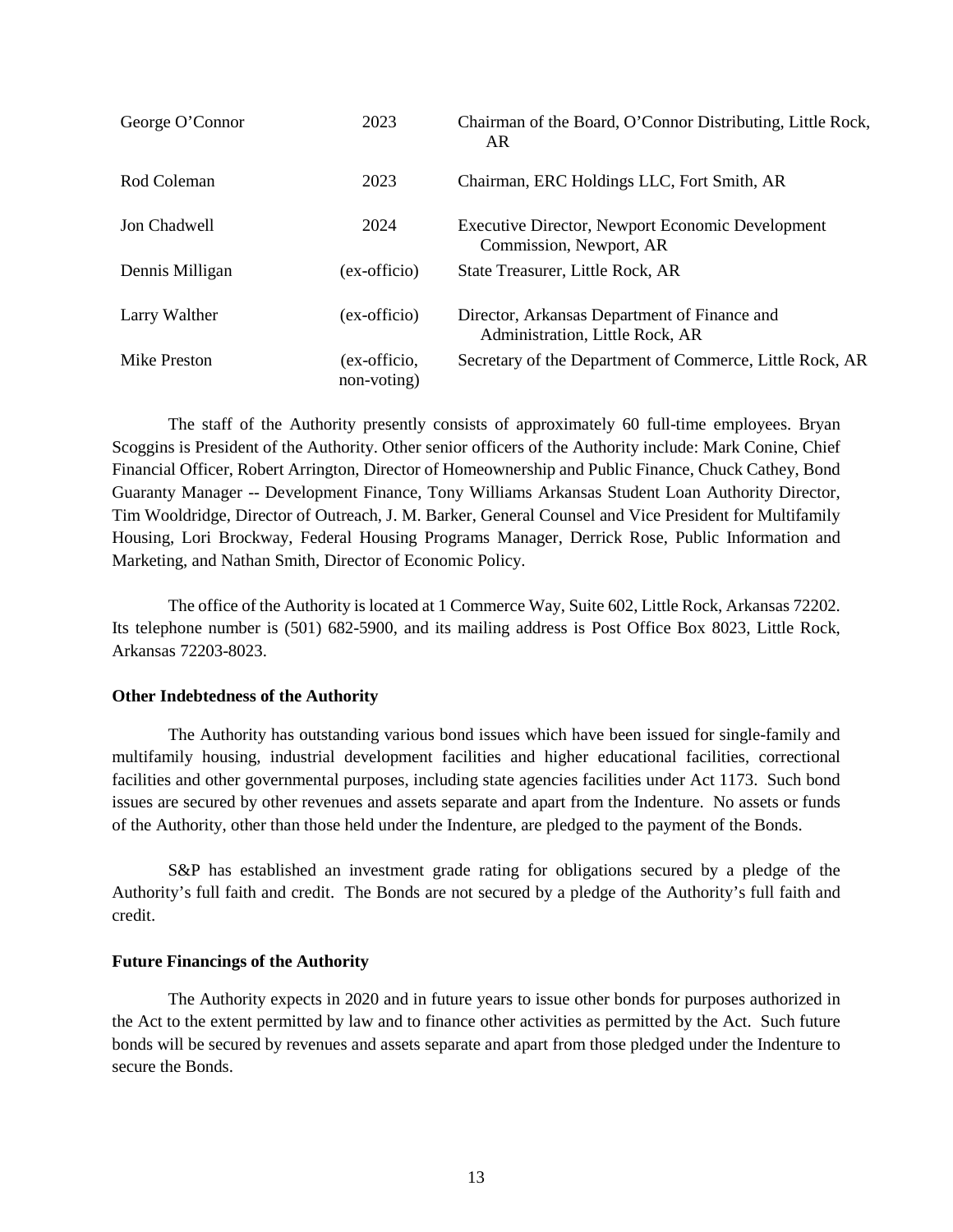| George O'Connor | 2023                        | Chairman of the Board, O'Connor Distributing, Little Rock,<br>AR                |
|-----------------|-----------------------------|---------------------------------------------------------------------------------|
| Rod Coleman     | 2023                        | Chairman, ERC Holdings LLC, Fort Smith, AR                                      |
| Jon Chadwell    | 2024                        | Executive Director, Newport Economic Development<br>Commission, Newport, AR     |
| Dennis Milligan | (ex-officio)                | State Treasurer, Little Rock, AR                                                |
| Larry Walther   | (ex-officio)                | Director, Arkansas Department of Finance and<br>Administration, Little Rock, AR |
| Mike Preston    | (ex-officio,<br>non-voting) | Secretary of the Department of Commerce, Little Rock, AR                        |

The staff of the Authority presently consists of approximately 60 full-time employees. Bryan Scoggins is President of the Authority. Other senior officers of the Authority include: Mark Conine, Chief Financial Officer, Robert Arrington, Director of Homeownership and Public Finance, Chuck Cathey, Bond Guaranty Manager -- Development Finance, Tony Williams Arkansas Student Loan Authority Director, Tim Wooldridge, Director of Outreach, J. M. Barker, General Counsel and Vice President for Multifamily Housing, Lori Brockway, Federal Housing Programs Manager, Derrick Rose, Public Information and Marketing, and Nathan Smith, Director of Economic Policy.

The office of the Authority is located at 1 Commerce Way, Suite 602, Little Rock, Arkansas 72202. Its telephone number is (501) 682-5900, and its mailing address is Post Office Box 8023, Little Rock, Arkansas 72203-8023.

### **Other Indebtedness of the Authority**

The Authority has outstanding various bond issues which have been issued for single-family and multifamily housing, industrial development facilities and higher educational facilities, correctional facilities and other governmental purposes, including state agencies facilities under Act 1173. Such bond issues are secured by other revenues and assets separate and apart from the Indenture. No assets or funds of the Authority, other than those held under the Indenture, are pledged to the payment of the Bonds.

S&P has established an investment grade rating for obligations secured by a pledge of the Authority's full faith and credit. The Bonds are not secured by a pledge of the Authority's full faith and credit.

# **Future Financings of the Authority**

The Authority expects in 2020 and in future years to issue other bonds for purposes authorized in the Act to the extent permitted by law and to finance other activities as permitted by the Act. Such future bonds will be secured by revenues and assets separate and apart from those pledged under the Indenture to secure the Bonds.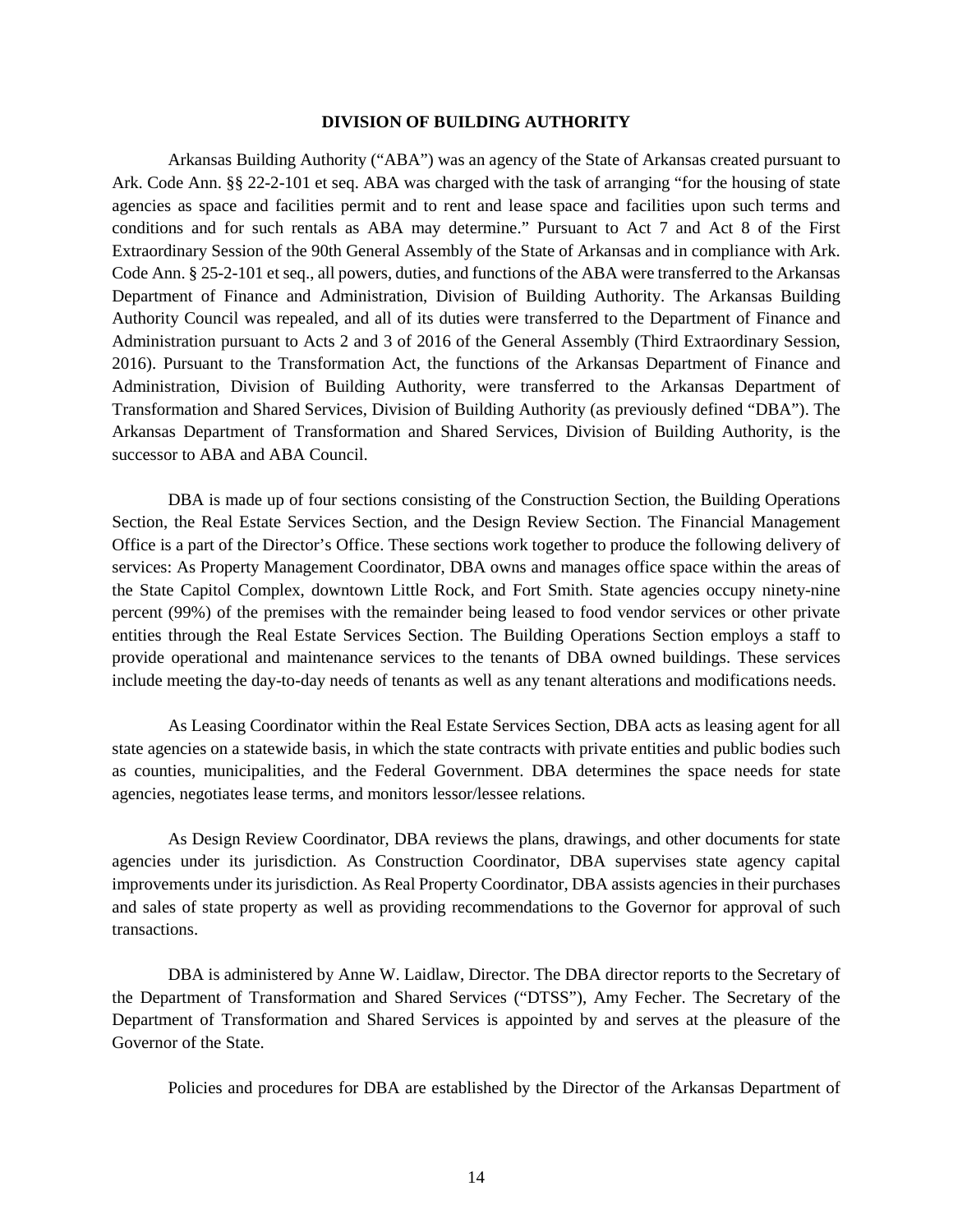#### **DIVISION OF BUILDING AUTHORITY**

Arkansas Building Authority ("ABA") was an agency of the State of Arkansas created pursuant to Ark. Code Ann. §§ 22-2-101 et seq. ABA was charged with the task of arranging "for the housing of state agencies as space and facilities permit and to rent and lease space and facilities upon such terms and conditions and for such rentals as ABA may determine." Pursuant to Act 7 and Act 8 of the First Extraordinary Session of the 90th General Assembly of the State of Arkansas and in compliance with Ark. Code Ann. § 25-2-101 et seq., all powers, duties, and functions of the ABA were transferred to the Arkansas Department of Finance and Administration, Division of Building Authority. The Arkansas Building Authority Council was repealed, and all of its duties were transferred to the Department of Finance and Administration pursuant to Acts 2 and 3 of 2016 of the General Assembly (Third Extraordinary Session, 2016). Pursuant to the Transformation Act, the functions of the Arkansas Department of Finance and Administration, Division of Building Authority, were transferred to the Arkansas Department of Transformation and Shared Services, Division of Building Authority (as previously defined "DBA"). The Arkansas Department of Transformation and Shared Services, Division of Building Authority, is the successor to ABA and ABA Council.

DBA is made up of four sections consisting of the Construction Section, the Building Operations Section, the Real Estate Services Section, and the Design Review Section. The Financial Management Office is a part of the Director's Office. These sections work together to produce the following delivery of services: As Property Management Coordinator, DBA owns and manages office space within the areas of the State Capitol Complex, downtown Little Rock, and Fort Smith. State agencies occupy ninety-nine percent (99%) of the premises with the remainder being leased to food vendor services or other private entities through the Real Estate Services Section. The Building Operations Section employs a staff to provide operational and maintenance services to the tenants of DBA owned buildings. These services include meeting the day-to-day needs of tenants as well as any tenant alterations and modifications needs.

As Leasing Coordinator within the Real Estate Services Section, DBA acts as leasing agent for all state agencies on a statewide basis, in which the state contracts with private entities and public bodies such as counties, municipalities, and the Federal Government. DBA determines the space needs for state agencies, negotiates lease terms, and monitors lessor/lessee relations.

As Design Review Coordinator, DBA reviews the plans, drawings, and other documents for state agencies under its jurisdiction. As Construction Coordinator, DBA supervises state agency capital improvements under its jurisdiction. As Real Property Coordinator, DBA assists agencies in their purchases and sales of state property as well as providing recommendations to the Governor for approval of such transactions.

DBA is administered by Anne W. Laidlaw, Director. The DBA director reports to the Secretary of the Department of Transformation and Shared Services ("DTSS"), Amy Fecher. The Secretary of the Department of Transformation and Shared Services is appointed by and serves at the pleasure of the Governor of the State.

Policies and procedures for DBA are established by the Director of the Arkansas Department of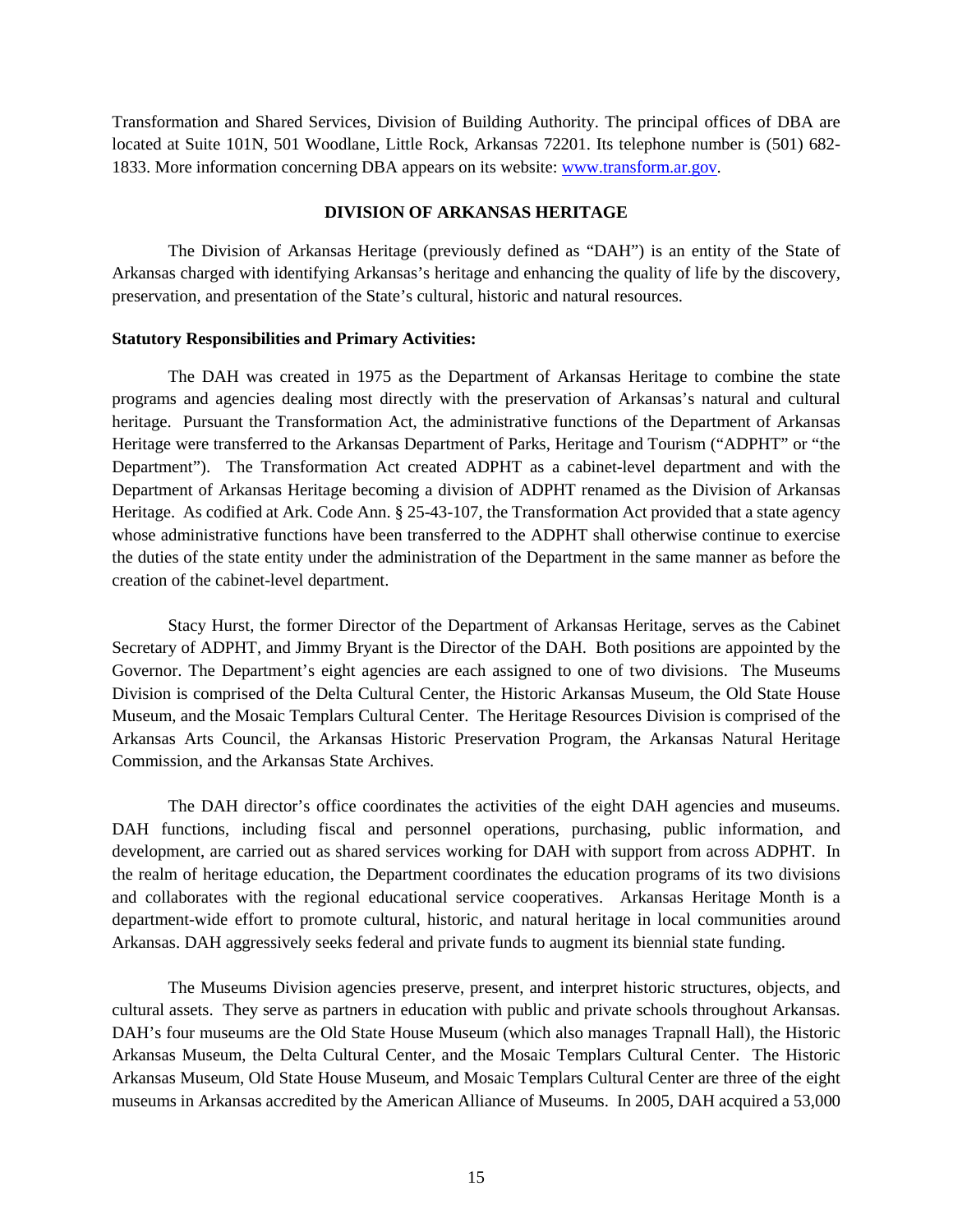Transformation and Shared Services, Division of Building Authority. The principal offices of DBA are located at Suite 101N, 501 Woodlane, Little Rock, Arkansas 72201. Its telephone number is (501) 682- 1833. More information concerning DBA appears on its website: www.transform.ar.gov.

#### **DIVISION OF ARKANSAS HERITAGE**

The Division of Arkansas Heritage (previously defined as "DAH") is an entity of the State of Arkansas charged with identifying Arkansas's heritage and enhancing the quality of life by the discovery, preservation, and presentation of the State's cultural, historic and natural resources.

#### **Statutory Responsibilities and Primary Activities:**

The DAH was created in 1975 as the Department of Arkansas Heritage to combine the state programs and agencies dealing most directly with the preservation of Arkansas's natural and cultural heritage. Pursuant the Transformation Act, the administrative functions of the Department of Arkansas Heritage were transferred to the Arkansas Department of Parks, Heritage and Tourism ("ADPHT" or "the Department"). The Transformation Act created ADPHT as a cabinet-level department and with the Department of Arkansas Heritage becoming a division of ADPHT renamed as the Division of Arkansas Heritage. As codified at Ark. Code Ann. § 25-43-107, the Transformation Act provided that a state agency whose administrative functions have been transferred to the ADPHT shall otherwise continue to exercise the duties of the state entity under the administration of the Department in the same manner as before the creation of the cabinet-level department.

Stacy Hurst, the former Director of the Department of Arkansas Heritage, serves as the Cabinet Secretary of ADPHT, and Jimmy Bryant is the Director of the DAH. Both positions are appointed by the Governor. The Department's eight agencies are each assigned to one of two divisions. The Museums Division is comprised of the Delta Cultural Center, the Historic Arkansas Museum, the Old State House Museum, and the Mosaic Templars Cultural Center. The Heritage Resources Division is comprised of the Arkansas Arts Council, the Arkansas Historic Preservation Program, the Arkansas Natural Heritage Commission, and the Arkansas State Archives.

The DAH director's office coordinates the activities of the eight DAH agencies and museums. DAH functions, including fiscal and personnel operations, purchasing, public information, and development, are carried out as shared services working for DAH with support from across ADPHT. In the realm of heritage education, the Department coordinates the education programs of its two divisions and collaborates with the regional educational service cooperatives. Arkansas Heritage Month is a department-wide effort to promote cultural, historic, and natural heritage in local communities around Arkansas. DAH aggressively seeks federal and private funds to augment its biennial state funding.

The Museums Division agencies preserve, present, and interpret historic structures, objects, and cultural assets. They serve as partners in education with public and private schools throughout Arkansas. DAH's four museums are the Old State House Museum (which also manages Trapnall Hall), the Historic Arkansas Museum, the Delta Cultural Center, and the Mosaic Templars Cultural Center. The Historic Arkansas Museum, Old State House Museum, and Mosaic Templars Cultural Center are three of the eight museums in Arkansas accredited by the American Alliance of Museums. In 2005, DAH acquired a 53,000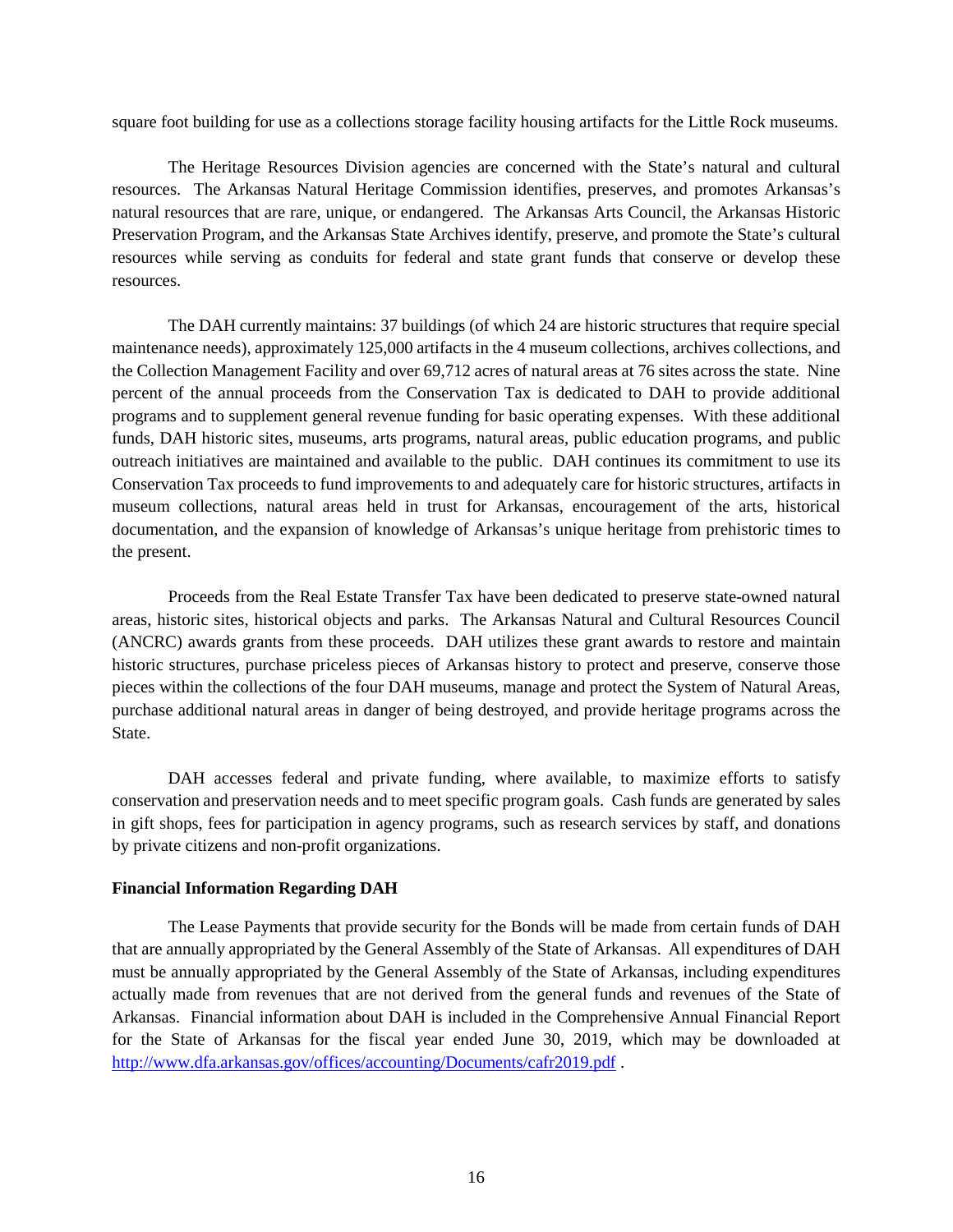square foot building for use as a collections storage facility housing artifacts for the Little Rock museums.

The Heritage Resources Division agencies are concerned with the State's natural and cultural resources. The Arkansas Natural Heritage Commission identifies, preserves, and promotes Arkansas's natural resources that are rare, unique, or endangered. The Arkansas Arts Council, the Arkansas Historic Preservation Program, and the Arkansas State Archives identify, preserve, and promote the State's cultural resources while serving as conduits for federal and state grant funds that conserve or develop these resources.

The DAH currently maintains: 37 buildings (of which 24 are historic structures that require special maintenance needs), approximately 125,000 artifacts in the 4 museum collections, archives collections, and the Collection Management Facility and over 69,712 acres of natural areas at 76 sites across the state. Nine percent of the annual proceeds from the Conservation Tax is dedicated to DAH to provide additional programs and to supplement general revenue funding for basic operating expenses. With these additional funds, DAH historic sites, museums, arts programs, natural areas, public education programs, and public outreach initiatives are maintained and available to the public. DAH continues its commitment to use its Conservation Tax proceeds to fund improvements to and adequately care for historic structures, artifacts in museum collections, natural areas held in trust for Arkansas, encouragement of the arts, historical documentation, and the expansion of knowledge of Arkansas's unique heritage from prehistoric times to the present.

Proceeds from the Real Estate Transfer Tax have been dedicated to preserve state-owned natural areas, historic sites, historical objects and parks. The Arkansas Natural and Cultural Resources Council (ANCRC) awards grants from these proceeds. DAH utilizes these grant awards to restore and maintain historic structures, purchase priceless pieces of Arkansas history to protect and preserve, conserve those pieces within the collections of the four DAH museums, manage and protect the System of Natural Areas, purchase additional natural areas in danger of being destroyed, and provide heritage programs across the State.

DAH accesses federal and private funding, where available, to maximize efforts to satisfy conservation and preservation needs and to meet specific program goals. Cash funds are generated by sales in gift shops, fees for participation in agency programs, such as research services by staff, and donations by private citizens and non-profit organizations.

### **Financial Information Regarding DAH**

The Lease Payments that provide security for the Bonds will be made from certain funds of DAH that are annually appropriated by the General Assembly of the State of Arkansas. All expenditures of DAH must be annually appropriated by the General Assembly of the State of Arkansas, including expenditures actually made from revenues that are not derived from the general funds and revenues of the State of Arkansas. Financial information about DAH is included in the Comprehensive Annual Financial Report for the State of Arkansas for the fiscal year ended June 30, 2019, which may be downloaded at http://www.dfa.arkansas.gov/offices/accounting/Documents/cafr2019.pdf .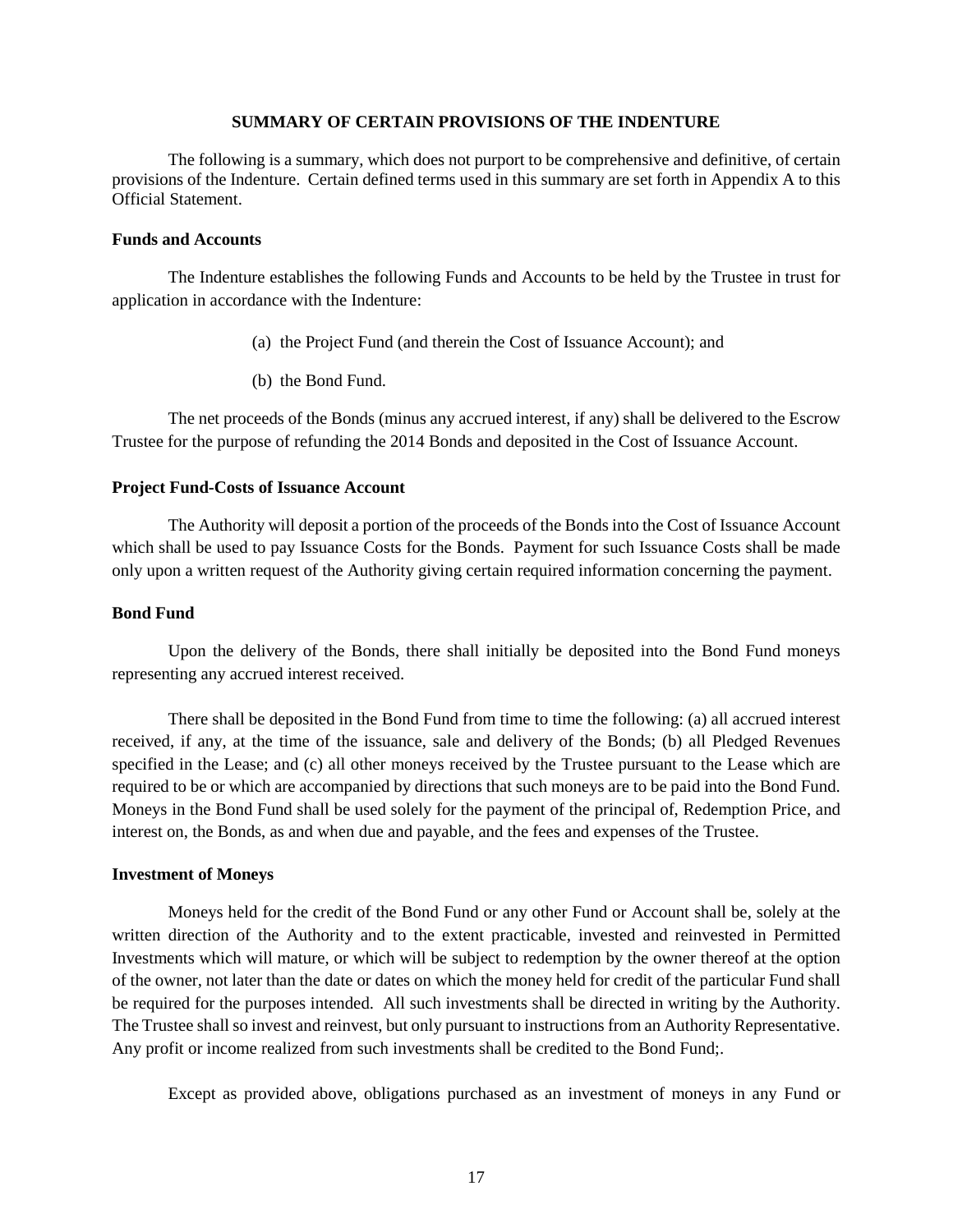# **SUMMARY OF CERTAIN PROVISIONS OF THE INDENTURE**

The following is a summary, which does not purport to be comprehensive and definitive, of certain provisions of the Indenture. Certain defined terms used in this summary are set forth in Appendix A to this Official Statement.

# **Funds and Accounts**

The Indenture establishes the following Funds and Accounts to be held by the Trustee in trust for application in accordance with the Indenture:

- (a) the Project Fund (and therein the Cost of Issuance Account); and
- (b) the Bond Fund.

The net proceeds of the Bonds (minus any accrued interest, if any) shall be delivered to the Escrow Trustee for the purpose of refunding the 2014 Bonds and deposited in the Cost of Issuance Account.

# **Project Fund-Costs of Issuance Account**

The Authority will deposit a portion of the proceeds of the Bonds into the Cost of Issuance Account which shall be used to pay Issuance Costs for the Bonds. Payment for such Issuance Costs shall be made only upon a written request of the Authority giving certain required information concerning the payment.

#### **Bond Fund**

Upon the delivery of the Bonds, there shall initially be deposited into the Bond Fund moneys representing any accrued interest received.

There shall be deposited in the Bond Fund from time to time the following: (a) all accrued interest received, if any, at the time of the issuance, sale and delivery of the Bonds; (b) all Pledged Revenues specified in the Lease; and (c) all other moneys received by the Trustee pursuant to the Lease which are required to be or which are accompanied by directions that such moneys are to be paid into the Bond Fund. Moneys in the Bond Fund shall be used solely for the payment of the principal of, Redemption Price, and interest on, the Bonds, as and when due and payable, and the fees and expenses of the Trustee.

#### **Investment of Moneys**

Moneys held for the credit of the Bond Fund or any other Fund or Account shall be, solely at the written direction of the Authority and to the extent practicable, invested and reinvested in Permitted Investments which will mature, or which will be subject to redemption by the owner thereof at the option of the owner, not later than the date or dates on which the money held for credit of the particular Fund shall be required for the purposes intended. All such investments shall be directed in writing by the Authority. The Trustee shall so invest and reinvest, but only pursuant to instructions from an Authority Representative. Any profit or income realized from such investments shall be credited to the Bond Fund;.

Except as provided above, obligations purchased as an investment of moneys in any Fund or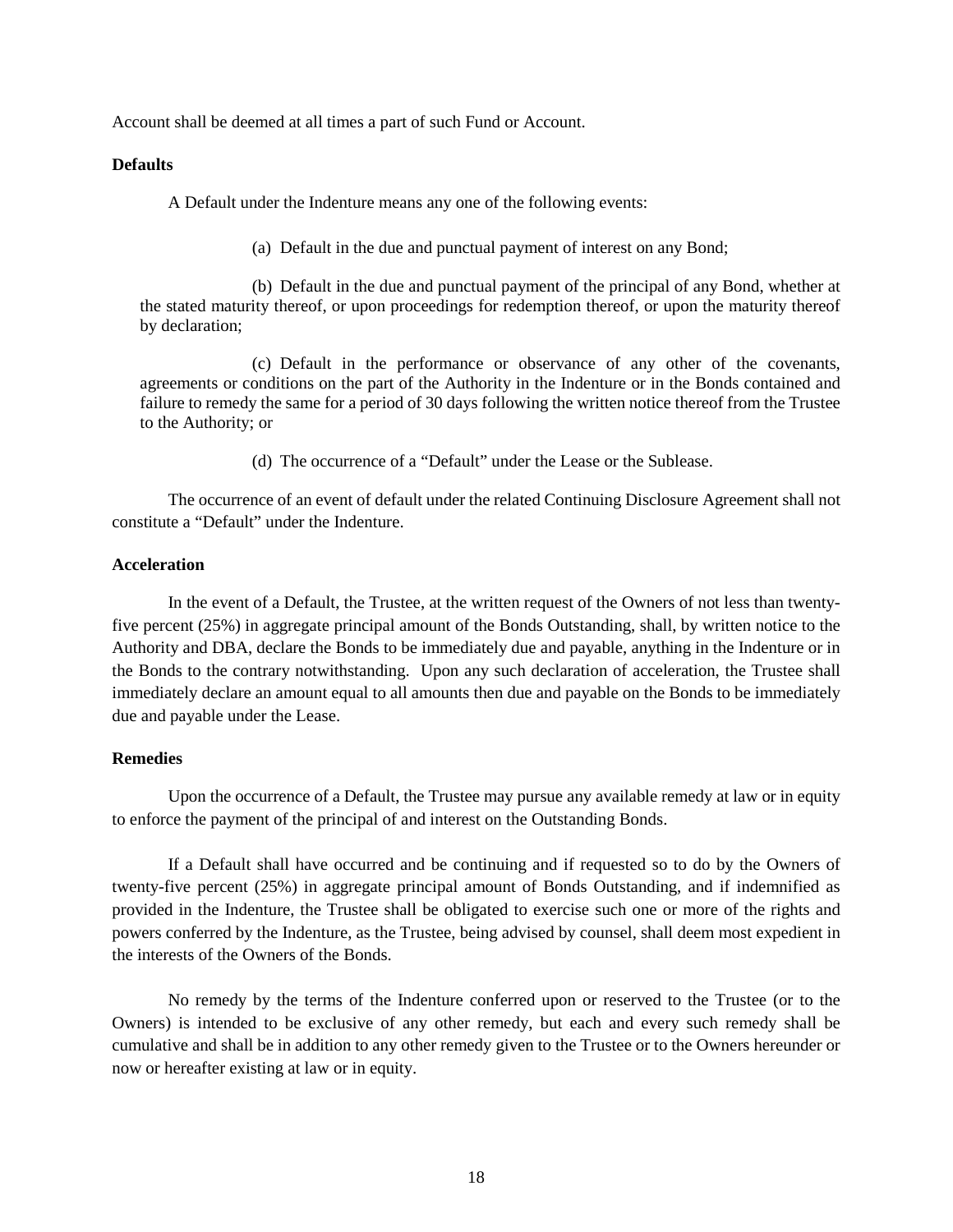Account shall be deemed at all times a part of such Fund or Account.

#### **Defaults**

A Default under the Indenture means any one of the following events:

(a) Default in the due and punctual payment of interest on any Bond;

(b) Default in the due and punctual payment of the principal of any Bond, whether at the stated maturity thereof, or upon proceedings for redemption thereof, or upon the maturity thereof by declaration;

(c) Default in the performance or observance of any other of the covenants, agreements or conditions on the part of the Authority in the Indenture or in the Bonds contained and failure to remedy the same for a period of 30 days following the written notice thereof from the Trustee to the Authority; or

(d) The occurrence of a "Default" under the Lease or the Sublease.

The occurrence of an event of default under the related Continuing Disclosure Agreement shall not constitute a "Default" under the Indenture.

# **Acceleration**

In the event of a Default, the Trustee, at the written request of the Owners of not less than twentyfive percent (25%) in aggregate principal amount of the Bonds Outstanding, shall, by written notice to the Authority and DBA, declare the Bonds to be immediately due and payable, anything in the Indenture or in the Bonds to the contrary notwithstanding. Upon any such declaration of acceleration, the Trustee shall immediately declare an amount equal to all amounts then due and payable on the Bonds to be immediately due and payable under the Lease.

# **Remedies**

Upon the occurrence of a Default, the Trustee may pursue any available remedy at law or in equity to enforce the payment of the principal of and interest on the Outstanding Bonds.

If a Default shall have occurred and be continuing and if requested so to do by the Owners of twenty-five percent (25%) in aggregate principal amount of Bonds Outstanding, and if indemnified as provided in the Indenture, the Trustee shall be obligated to exercise such one or more of the rights and powers conferred by the Indenture, as the Trustee, being advised by counsel, shall deem most expedient in the interests of the Owners of the Bonds.

No remedy by the terms of the Indenture conferred upon or reserved to the Trustee (or to the Owners) is intended to be exclusive of any other remedy, but each and every such remedy shall be cumulative and shall be in addition to any other remedy given to the Trustee or to the Owners hereunder or now or hereafter existing at law or in equity.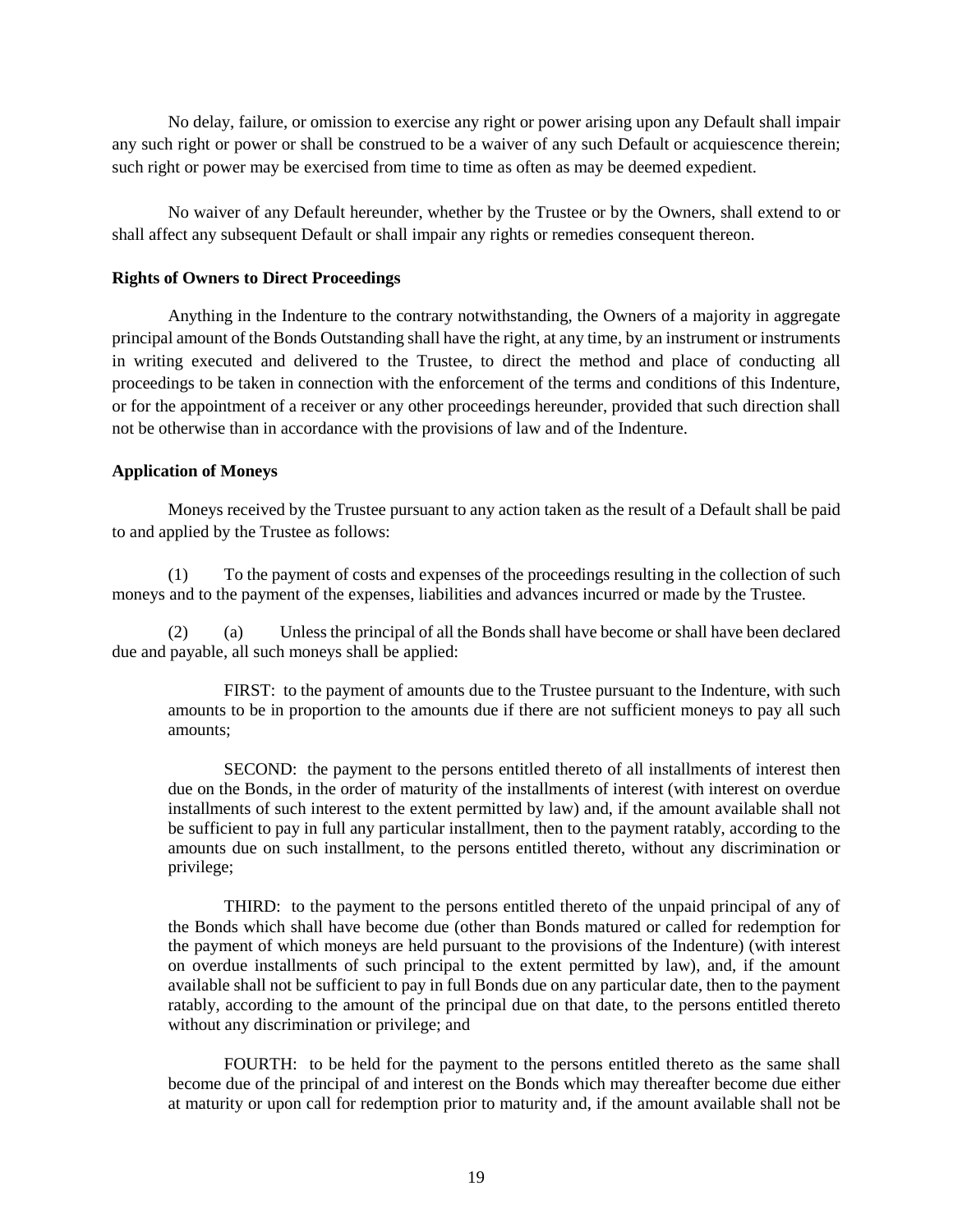No delay, failure, or omission to exercise any right or power arising upon any Default shall impair any such right or power or shall be construed to be a waiver of any such Default or acquiescence therein; such right or power may be exercised from time to time as often as may be deemed expedient.

No waiver of any Default hereunder, whether by the Trustee or by the Owners, shall extend to or shall affect any subsequent Default or shall impair any rights or remedies consequent thereon.

# **Rights of Owners to Direct Proceedings**

Anything in the Indenture to the contrary notwithstanding, the Owners of a majority in aggregate principal amount of the Bonds Outstanding shall have the right, at any time, by an instrument or instruments in writing executed and delivered to the Trustee, to direct the method and place of conducting all proceedings to be taken in connection with the enforcement of the terms and conditions of this Indenture, or for the appointment of a receiver or any other proceedings hereunder, provided that such direction shall not be otherwise than in accordance with the provisions of law and of the Indenture.

# **Application of Moneys**

Moneys received by the Trustee pursuant to any action taken as the result of a Default shall be paid to and applied by the Trustee as follows:

(1) To the payment of costs and expenses of the proceedings resulting in the collection of such moneys and to the payment of the expenses, liabilities and advances incurred or made by the Trustee.

(2) (a) Unless the principal of all the Bonds shall have become or shall have been declared due and payable, all such moneys shall be applied:

FIRST: to the payment of amounts due to the Trustee pursuant to the Indenture, with such amounts to be in proportion to the amounts due if there are not sufficient moneys to pay all such amounts;

SECOND: the payment to the persons entitled thereto of all installments of interest then due on the Bonds, in the order of maturity of the installments of interest (with interest on overdue installments of such interest to the extent permitted by law) and, if the amount available shall not be sufficient to pay in full any particular installment, then to the payment ratably, according to the amounts due on such installment, to the persons entitled thereto, without any discrimination or privilege;

THIRD: to the payment to the persons entitled thereto of the unpaid principal of any of the Bonds which shall have become due (other than Bonds matured or called for redemption for the payment of which moneys are held pursuant to the provisions of the Indenture) (with interest on overdue installments of such principal to the extent permitted by law), and, if the amount available shall not be sufficient to pay in full Bonds due on any particular date, then to the payment ratably, according to the amount of the principal due on that date, to the persons entitled thereto without any discrimination or privilege; and

FOURTH: to be held for the payment to the persons entitled thereto as the same shall become due of the principal of and interest on the Bonds which may thereafter become due either at maturity or upon call for redemption prior to maturity and, if the amount available shall not be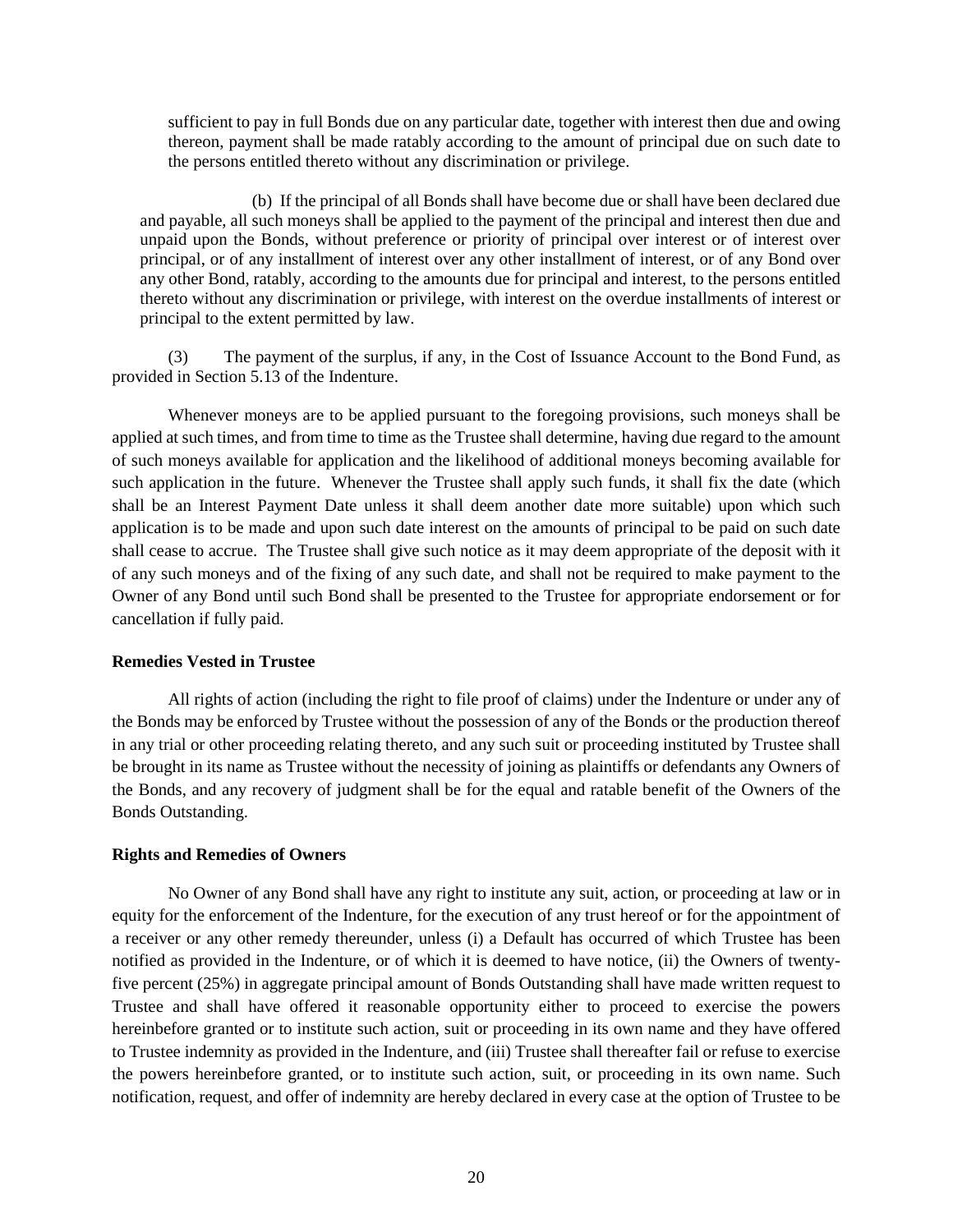sufficient to pay in full Bonds due on any particular date, together with interest then due and owing thereon, payment shall be made ratably according to the amount of principal due on such date to the persons entitled thereto without any discrimination or privilege.

(b) If the principal of all Bonds shall have become due or shall have been declared due and payable, all such moneys shall be applied to the payment of the principal and interest then due and unpaid upon the Bonds, without preference or priority of principal over interest or of interest over principal, or of any installment of interest over any other installment of interest, or of any Bond over any other Bond, ratably, according to the amounts due for principal and interest, to the persons entitled thereto without any discrimination or privilege, with interest on the overdue installments of interest or principal to the extent permitted by law.

(3) The payment of the surplus, if any, in the Cost of Issuance Account to the Bond Fund, as provided in Section 5.13 of the Indenture.

Whenever moneys are to be applied pursuant to the foregoing provisions, such moneys shall be applied at such times, and from time to time as the Trustee shall determine, having due regard to the amount of such moneys available for application and the likelihood of additional moneys becoming available for such application in the future. Whenever the Trustee shall apply such funds, it shall fix the date (which shall be an Interest Payment Date unless it shall deem another date more suitable) upon which such application is to be made and upon such date interest on the amounts of principal to be paid on such date shall cease to accrue. The Trustee shall give such notice as it may deem appropriate of the deposit with it of any such moneys and of the fixing of any such date, and shall not be required to make payment to the Owner of any Bond until such Bond shall be presented to the Trustee for appropriate endorsement or for cancellation if fully paid.

### **Remedies Vested in Trustee**

All rights of action (including the right to file proof of claims) under the Indenture or under any of the Bonds may be enforced by Trustee without the possession of any of the Bonds or the production thereof in any trial or other proceeding relating thereto, and any such suit or proceeding instituted by Trustee shall be brought in its name as Trustee without the necessity of joining as plaintiffs or defendants any Owners of the Bonds, and any recovery of judgment shall be for the equal and ratable benefit of the Owners of the Bonds Outstanding.

# **Rights and Remedies of Owners**

No Owner of any Bond shall have any right to institute any suit, action, or proceeding at law or in equity for the enforcement of the Indenture, for the execution of any trust hereof or for the appointment of a receiver or any other remedy thereunder, unless (i) a Default has occurred of which Trustee has been notified as provided in the Indenture, or of which it is deemed to have notice, (ii) the Owners of twentyfive percent (25%) in aggregate principal amount of Bonds Outstanding shall have made written request to Trustee and shall have offered it reasonable opportunity either to proceed to exercise the powers hereinbefore granted or to institute such action, suit or proceeding in its own name and they have offered to Trustee indemnity as provided in the Indenture, and (iii) Trustee shall thereafter fail or refuse to exercise the powers hereinbefore granted, or to institute such action, suit, or proceeding in its own name. Such notification, request, and offer of indemnity are hereby declared in every case at the option of Trustee to be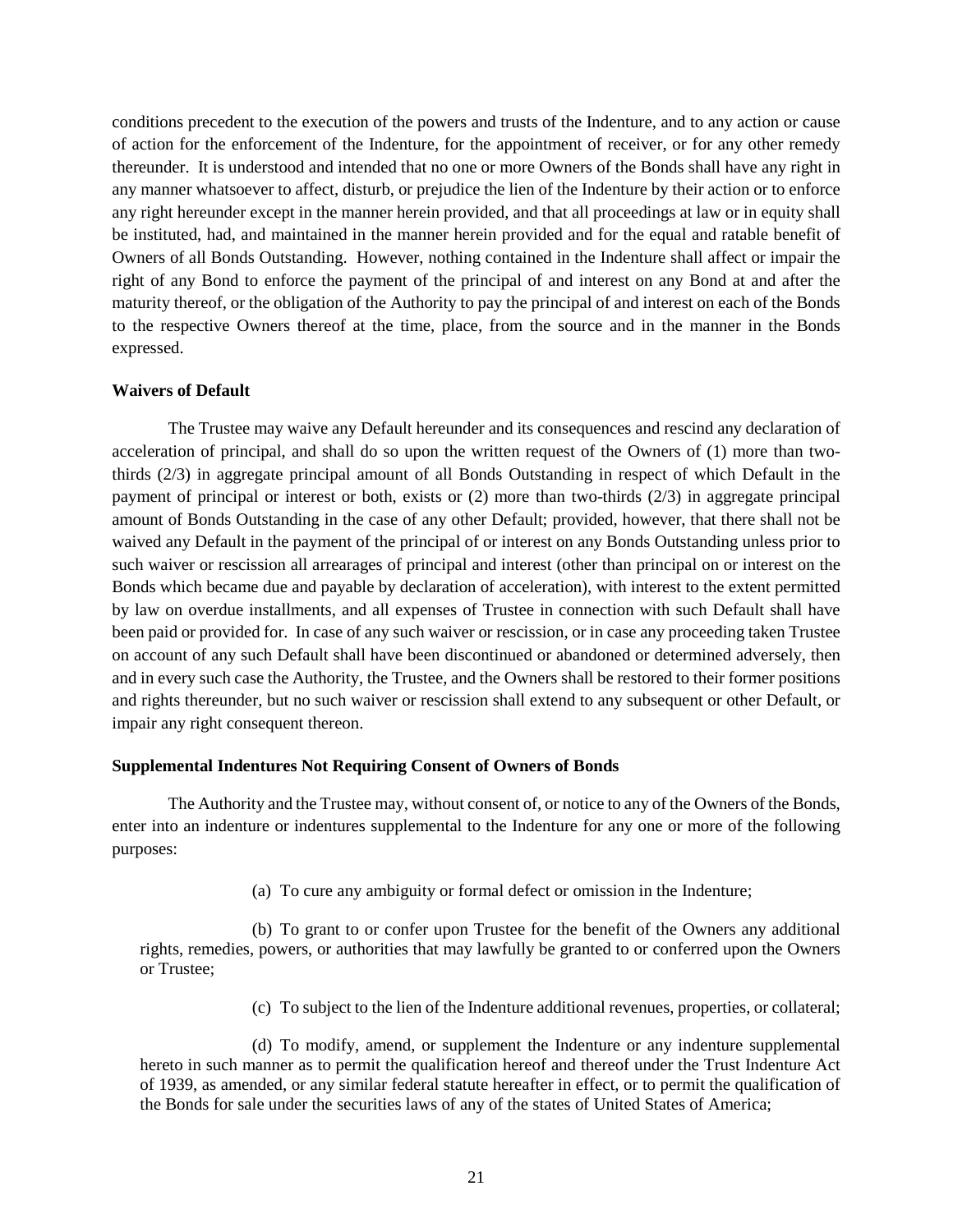conditions precedent to the execution of the powers and trusts of the Indenture, and to any action or cause of action for the enforcement of the Indenture, for the appointment of receiver, or for any other remedy thereunder. It is understood and intended that no one or more Owners of the Bonds shall have any right in any manner whatsoever to affect, disturb, or prejudice the lien of the Indenture by their action or to enforce any right hereunder except in the manner herein provided, and that all proceedings at law or in equity shall be instituted, had, and maintained in the manner herein provided and for the equal and ratable benefit of Owners of all Bonds Outstanding. However, nothing contained in the Indenture shall affect or impair the right of any Bond to enforce the payment of the principal of and interest on any Bond at and after the maturity thereof, or the obligation of the Authority to pay the principal of and interest on each of the Bonds to the respective Owners thereof at the time, place, from the source and in the manner in the Bonds expressed.

#### **Waivers of Default**

The Trustee may waive any Default hereunder and its consequences and rescind any declaration of acceleration of principal, and shall do so upon the written request of the Owners of (1) more than twothirds (2/3) in aggregate principal amount of all Bonds Outstanding in respect of which Default in the payment of principal or interest or both, exists or (2) more than two-thirds (2/3) in aggregate principal amount of Bonds Outstanding in the case of any other Default; provided, however, that there shall not be waived any Default in the payment of the principal of or interest on any Bonds Outstanding unless prior to such waiver or rescission all arrearages of principal and interest (other than principal on or interest on the Bonds which became due and payable by declaration of acceleration), with interest to the extent permitted by law on overdue installments, and all expenses of Trustee in connection with such Default shall have been paid or provided for. In case of any such waiver or rescission, or in case any proceeding taken Trustee on account of any such Default shall have been discontinued or abandoned or determined adversely, then and in every such case the Authority, the Trustee, and the Owners shall be restored to their former positions and rights thereunder, but no such waiver or rescission shall extend to any subsequent or other Default, or impair any right consequent thereon.

#### **Supplemental Indentures Not Requiring Consent of Owners of Bonds**

The Authority and the Trustee may, without consent of, or notice to any of the Owners of the Bonds, enter into an indenture or indentures supplemental to the Indenture for any one or more of the following purposes:

(a) To cure any ambiguity or formal defect or omission in the Indenture;

(b) To grant to or confer upon Trustee for the benefit of the Owners any additional rights, remedies, powers, or authorities that may lawfully be granted to or conferred upon the Owners or Trustee;

(c) To subject to the lien of the Indenture additional revenues, properties, or collateral;

(d) To modify, amend, or supplement the Indenture or any indenture supplemental hereto in such manner as to permit the qualification hereof and thereof under the Trust Indenture Act of 1939, as amended, or any similar federal statute hereafter in effect, or to permit the qualification of the Bonds for sale under the securities laws of any of the states of United States of America;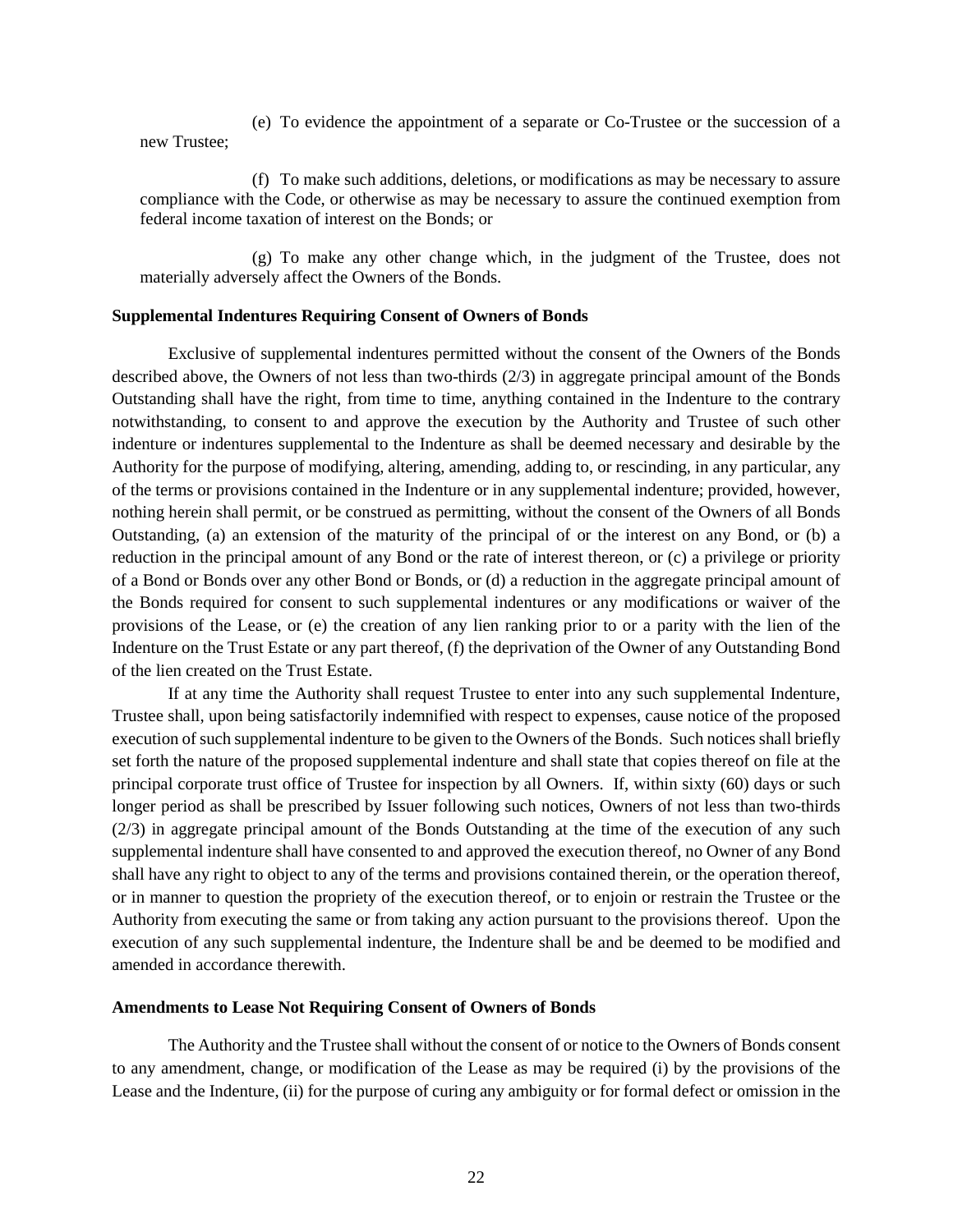(e) To evidence the appointment of a separate or Co-Trustee or the succession of a new Trustee;

(f) To make such additions, deletions, or modifications as may be necessary to assure compliance with the Code, or otherwise as may be necessary to assure the continued exemption from federal income taxation of interest on the Bonds; or

(g) To make any other change which, in the judgment of the Trustee, does not materially adversely affect the Owners of the Bonds.

#### **Supplemental Indentures Requiring Consent of Owners of Bonds**

Exclusive of supplemental indentures permitted without the consent of the Owners of the Bonds described above, the Owners of not less than two-thirds (2/3) in aggregate principal amount of the Bonds Outstanding shall have the right, from time to time, anything contained in the Indenture to the contrary notwithstanding, to consent to and approve the execution by the Authority and Trustee of such other indenture or indentures supplemental to the Indenture as shall be deemed necessary and desirable by the Authority for the purpose of modifying, altering, amending, adding to, or rescinding, in any particular, any of the terms or provisions contained in the Indenture or in any supplemental indenture; provided, however, nothing herein shall permit, or be construed as permitting, without the consent of the Owners of all Bonds Outstanding, (a) an extension of the maturity of the principal of or the interest on any Bond, or (b) a reduction in the principal amount of any Bond or the rate of interest thereon, or (c) a privilege or priority of a Bond or Bonds over any other Bond or Bonds, or (d) a reduction in the aggregate principal amount of the Bonds required for consent to such supplemental indentures or any modifications or waiver of the provisions of the Lease, or (e) the creation of any lien ranking prior to or a parity with the lien of the Indenture on the Trust Estate or any part thereof, (f) the deprivation of the Owner of any Outstanding Bond of the lien created on the Trust Estate.

If at any time the Authority shall request Trustee to enter into any such supplemental Indenture, Trustee shall, upon being satisfactorily indemnified with respect to expenses, cause notice of the proposed execution of such supplemental indenture to be given to the Owners of the Bonds. Such notices shall briefly set forth the nature of the proposed supplemental indenture and shall state that copies thereof on file at the principal corporate trust office of Trustee for inspection by all Owners. If, within sixty (60) days or such longer period as shall be prescribed by Issuer following such notices, Owners of not less than two-thirds (2/3) in aggregate principal amount of the Bonds Outstanding at the time of the execution of any such supplemental indenture shall have consented to and approved the execution thereof, no Owner of any Bond shall have any right to object to any of the terms and provisions contained therein, or the operation thereof, or in manner to question the propriety of the execution thereof, or to enjoin or restrain the Trustee or the Authority from executing the same or from taking any action pursuant to the provisions thereof. Upon the execution of any such supplemental indenture, the Indenture shall be and be deemed to be modified and amended in accordance therewith.

#### **Amendments to Lease Not Requiring Consent of Owners of Bonds**

The Authority and the Trustee shall without the consent of or notice to the Owners of Bonds consent to any amendment, change, or modification of the Lease as may be required (i) by the provisions of the Lease and the Indenture, (ii) for the purpose of curing any ambiguity or for formal defect or omission in the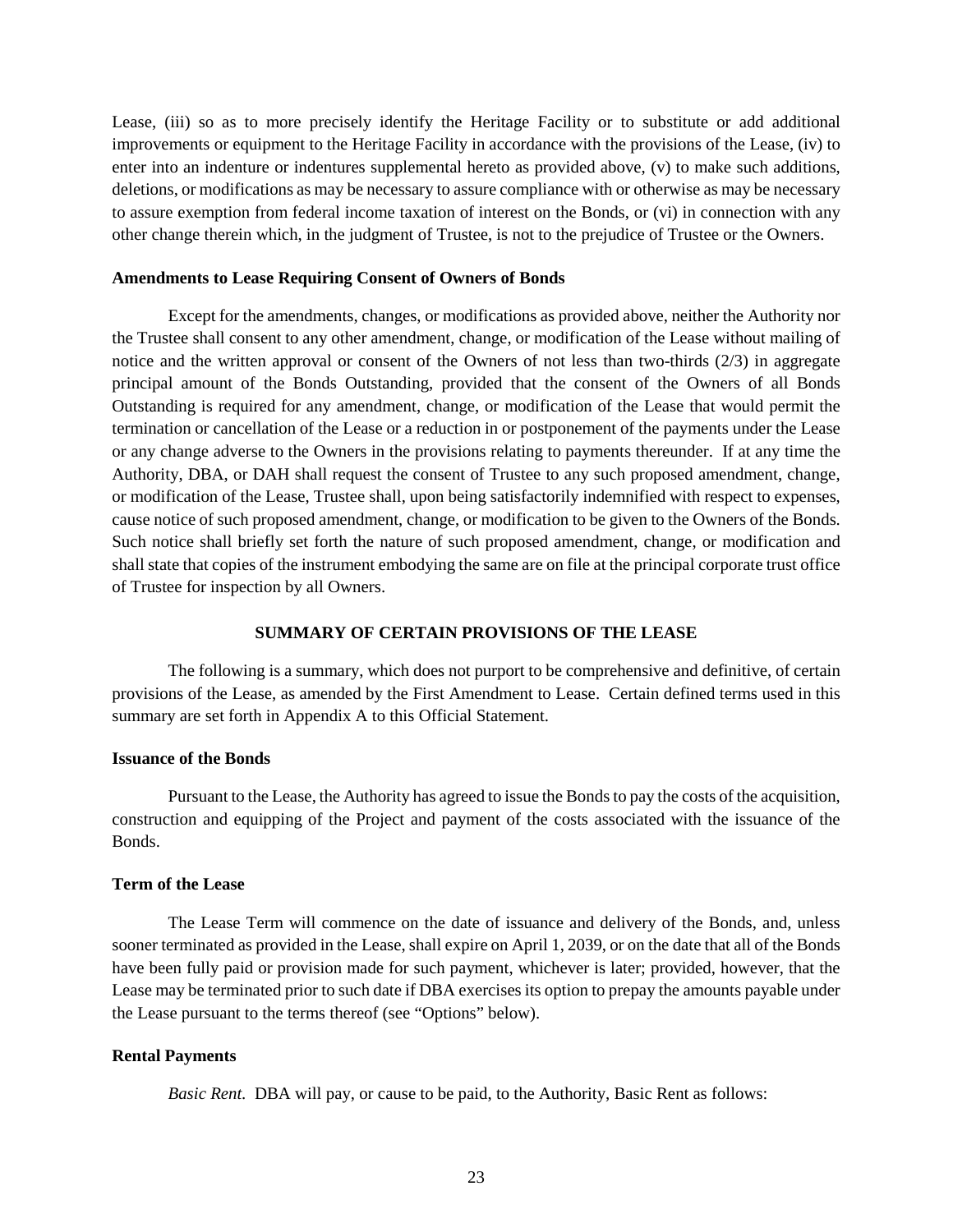Lease, (iii) so as to more precisely identify the Heritage Facility or to substitute or add additional improvements or equipment to the Heritage Facility in accordance with the provisions of the Lease, (iv) to enter into an indenture or indentures supplemental hereto as provided above, (v) to make such additions, deletions, or modifications as may be necessary to assure compliance with or otherwise as may be necessary to assure exemption from federal income taxation of interest on the Bonds, or (vi) in connection with any other change therein which, in the judgment of Trustee, is not to the prejudice of Trustee or the Owners.

#### **Amendments to Lease Requiring Consent of Owners of Bonds**

Except for the amendments, changes, or modifications as provided above, neither the Authority nor the Trustee shall consent to any other amendment, change, or modification of the Lease without mailing of notice and the written approval or consent of the Owners of not less than two-thirds (2/3) in aggregate principal amount of the Bonds Outstanding, provided that the consent of the Owners of all Bonds Outstanding is required for any amendment, change, or modification of the Lease that would permit the termination or cancellation of the Lease or a reduction in or postponement of the payments under the Lease or any change adverse to the Owners in the provisions relating to payments thereunder. If at any time the Authority, DBA, or DAH shall request the consent of Trustee to any such proposed amendment, change, or modification of the Lease, Trustee shall, upon being satisfactorily indemnified with respect to expenses, cause notice of such proposed amendment, change, or modification to be given to the Owners of the Bonds. Such notice shall briefly set forth the nature of such proposed amendment, change, or modification and shall state that copies of the instrument embodying the same are on file at the principal corporate trust office of Trustee for inspection by all Owners.

### **SUMMARY OF CERTAIN PROVISIONS OF THE LEASE**

The following is a summary, which does not purport to be comprehensive and definitive, of certain provisions of the Lease, as amended by the First Amendment to Lease. Certain defined terms used in this summary are set forth in Appendix A to this Official Statement.

#### **Issuance of the Bonds**

Pursuant to the Lease, the Authority has agreed to issue the Bonds to pay the costs of the acquisition, construction and equipping of the Project and payment of the costs associated with the issuance of the Bonds.

# **Term of the Lease**

The Lease Term will commence on the date of issuance and delivery of the Bonds, and, unless sooner terminated as provided in the Lease, shall expire on April 1, 2039, or on the date that all of the Bonds have been fully paid or provision made for such payment, whichever is later; provided, however, that the Lease may be terminated prior to such date if DBA exercises its option to prepay the amounts payable under the Lease pursuant to the terms thereof (see "Options" below).

#### **Rental Payments**

*Basic Rent.* DBA will pay, or cause to be paid, to the Authority, Basic Rent as follows: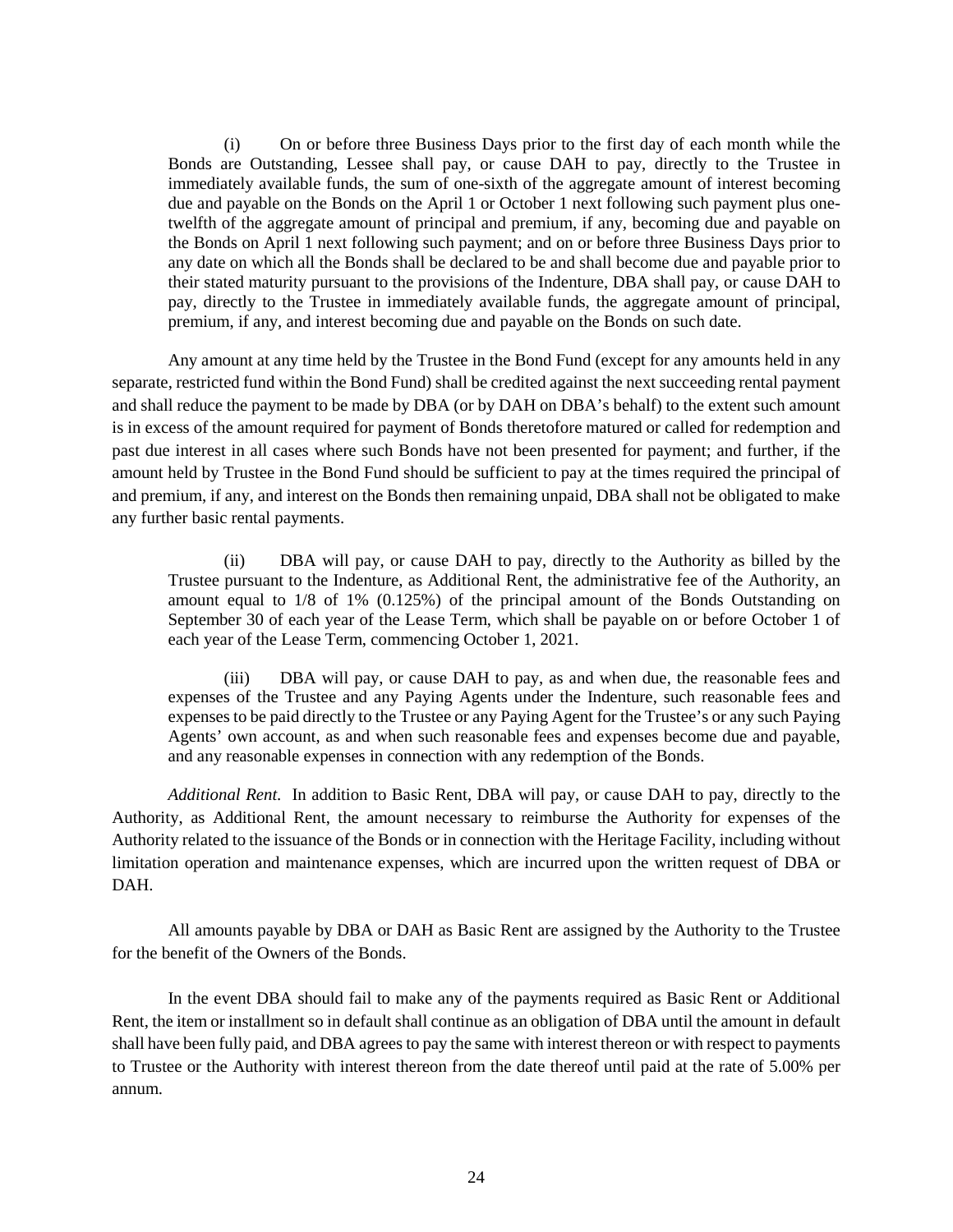(i) On or before three Business Days prior to the first day of each month while the Bonds are Outstanding, Lessee shall pay, or cause DAH to pay, directly to the Trustee in immediately available funds, the sum of one-sixth of the aggregate amount of interest becoming due and payable on the Bonds on the April 1 or October 1 next following such payment plus onetwelfth of the aggregate amount of principal and premium, if any, becoming due and payable on the Bonds on April 1 next following such payment; and on or before three Business Days prior to any date on which all the Bonds shall be declared to be and shall become due and payable prior to their stated maturity pursuant to the provisions of the Indenture, DBA shall pay, or cause DAH to pay, directly to the Trustee in immediately available funds, the aggregate amount of principal, premium, if any, and interest becoming due and payable on the Bonds on such date.

Any amount at any time held by the Trustee in the Bond Fund (except for any amounts held in any separate, restricted fund within the Bond Fund) shall be credited against the next succeeding rental payment and shall reduce the payment to be made by DBA (or by DAH on DBA's behalf) to the extent such amount is in excess of the amount required for payment of Bonds theretofore matured or called for redemption and past due interest in all cases where such Bonds have not been presented for payment; and further, if the amount held by Trustee in the Bond Fund should be sufficient to pay at the times required the principal of and premium, if any, and interest on the Bonds then remaining unpaid, DBA shall not be obligated to make any further basic rental payments.

(ii) DBA will pay, or cause DAH to pay, directly to the Authority as billed by the Trustee pursuant to the Indenture, as Additional Rent, the administrative fee of the Authority, an amount equal to 1/8 of 1% (0.125%) of the principal amount of the Bonds Outstanding on September 30 of each year of the Lease Term, which shall be payable on or before October 1 of each year of the Lease Term, commencing October 1, 2021.

(iii) DBA will pay, or cause DAH to pay, as and when due, the reasonable fees and expenses of the Trustee and any Paying Agents under the Indenture, such reasonable fees and expenses to be paid directly to the Trustee or any Paying Agent for the Trustee's or any such Paying Agents' own account, as and when such reasonable fees and expenses become due and payable, and any reasonable expenses in connection with any redemption of the Bonds.

*Additional Rent.* In addition to Basic Rent, DBA will pay, or cause DAH to pay, directly to the Authority, as Additional Rent, the amount necessary to reimburse the Authority for expenses of the Authority related to the issuance of the Bonds or in connection with the Heritage Facility, including without limitation operation and maintenance expenses, which are incurred upon the written request of DBA or DAH.

All amounts payable by DBA or DAH as Basic Rent are assigned by the Authority to the Trustee for the benefit of the Owners of the Bonds.

In the event DBA should fail to make any of the payments required as Basic Rent or Additional Rent, the item or installment so in default shall continue as an obligation of DBA until the amount in default shall have been fully paid, and DBA agrees to pay the same with interest thereon or with respect to payments to Trustee or the Authority with interest thereon from the date thereof until paid at the rate of 5.00% per annum.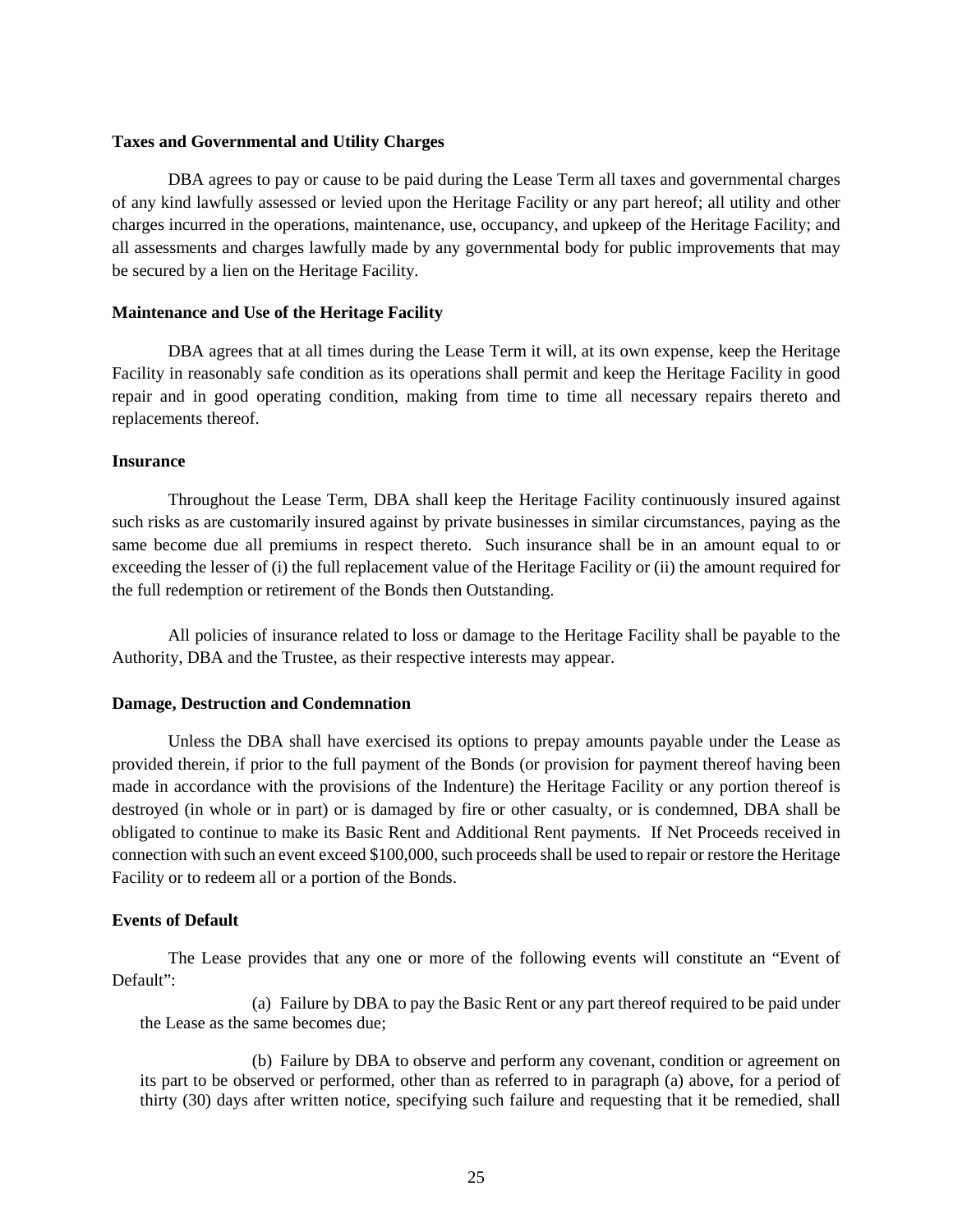# **Taxes and Governmental and Utility Charges**

DBA agrees to pay or cause to be paid during the Lease Term all taxes and governmental charges of any kind lawfully assessed or levied upon the Heritage Facility or any part hereof; all utility and other charges incurred in the operations, maintenance, use, occupancy, and upkeep of the Heritage Facility; and all assessments and charges lawfully made by any governmental body for public improvements that may be secured by a lien on the Heritage Facility.

# **Maintenance and Use of the Heritage Facility**

DBA agrees that at all times during the Lease Term it will, at its own expense, keep the Heritage Facility in reasonably safe condition as its operations shall permit and keep the Heritage Facility in good repair and in good operating condition, making from time to time all necessary repairs thereto and replacements thereof.

# **Insurance**

Throughout the Lease Term, DBA shall keep the Heritage Facility continuously insured against such risks as are customarily insured against by private businesses in similar circumstances, paying as the same become due all premiums in respect thereto. Such insurance shall be in an amount equal to or exceeding the lesser of (i) the full replacement value of the Heritage Facility or (ii) the amount required for the full redemption or retirement of the Bonds then Outstanding.

All policies of insurance related to loss or damage to the Heritage Facility shall be payable to the Authority, DBA and the Trustee, as their respective interests may appear.

# **Damage, Destruction and Condemnation**

Unless the DBA shall have exercised its options to prepay amounts payable under the Lease as provided therein, if prior to the full payment of the Bonds (or provision for payment thereof having been made in accordance with the provisions of the Indenture) the Heritage Facility or any portion thereof is destroyed (in whole or in part) or is damaged by fire or other casualty, or is condemned, DBA shall be obligated to continue to make its Basic Rent and Additional Rent payments. If Net Proceeds received in connection with such an event exceed \$100,000, such proceeds shall be used to repair or restore the Heritage Facility or to redeem all or a portion of the Bonds.

# **Events of Default**

The Lease provides that any one or more of the following events will constitute an "Event of Default":

(a) Failure by DBA to pay the Basic Rent or any part thereof required to be paid under the Lease as the same becomes due;

(b) Failure by DBA to observe and perform any covenant, condition or agreement on its part to be observed or performed, other than as referred to in paragraph (a) above, for a period of thirty (30) days after written notice, specifying such failure and requesting that it be remedied, shall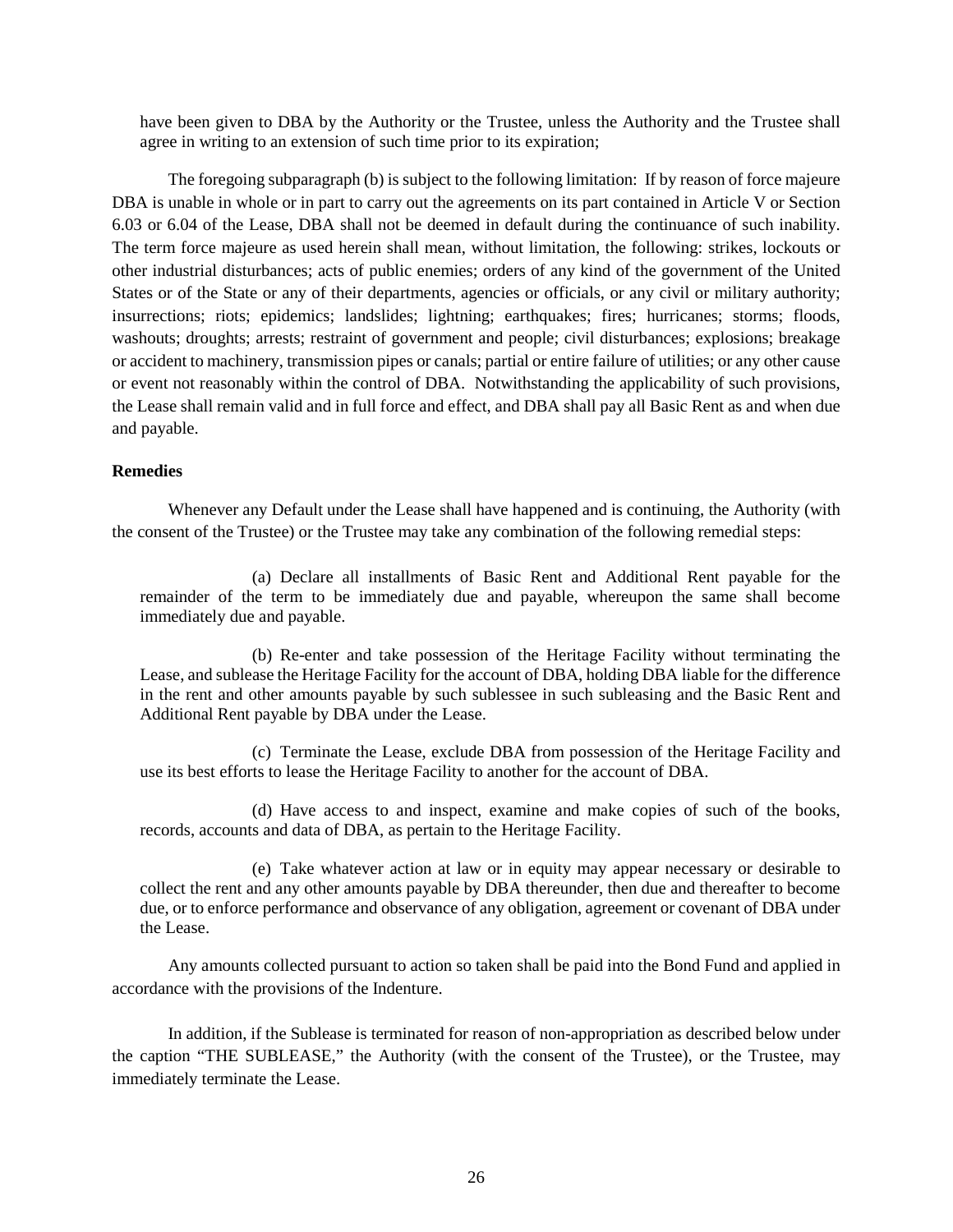have been given to DBA by the Authority or the Trustee, unless the Authority and the Trustee shall agree in writing to an extension of such time prior to its expiration;

The foregoing subparagraph (b) is subject to the following limitation: If by reason of force majeure DBA is unable in whole or in part to carry out the agreements on its part contained in Article V or Section 6.03 or 6.04 of the Lease, DBA shall not be deemed in default during the continuance of such inability. The term force majeure as used herein shall mean, without limitation, the following: strikes, lockouts or other industrial disturbances; acts of public enemies; orders of any kind of the government of the United States or of the State or any of their departments, agencies or officials, or any civil or military authority; insurrections; riots; epidemics; landslides; lightning; earthquakes; fires; hurricanes; storms; floods, washouts; droughts; arrests; restraint of government and people; civil disturbances; explosions; breakage or accident to machinery, transmission pipes or canals; partial or entire failure of utilities; or any other cause or event not reasonably within the control of DBA. Notwithstanding the applicability of such provisions, the Lease shall remain valid and in full force and effect, and DBA shall pay all Basic Rent as and when due and payable.

# **Remedies**

Whenever any Default under the Lease shall have happened and is continuing, the Authority (with the consent of the Trustee) or the Trustee may take any combination of the following remedial steps:

(a) Declare all installments of Basic Rent and Additional Rent payable for the remainder of the term to be immediately due and payable, whereupon the same shall become immediately due and payable.

(b) Re-enter and take possession of the Heritage Facility without terminating the Lease, and sublease the Heritage Facility for the account of DBA, holding DBA liable for the difference in the rent and other amounts payable by such sublessee in such subleasing and the Basic Rent and Additional Rent payable by DBA under the Lease.

(c) Terminate the Lease, exclude DBA from possession of the Heritage Facility and use its best efforts to lease the Heritage Facility to another for the account of DBA.

(d) Have access to and inspect, examine and make copies of such of the books, records, accounts and data of DBA, as pertain to the Heritage Facility.

(e) Take whatever action at law or in equity may appear necessary or desirable to collect the rent and any other amounts payable by DBA thereunder, then due and thereafter to become due, or to enforce performance and observance of any obligation, agreement or covenant of DBA under the Lease.

Any amounts collected pursuant to action so taken shall be paid into the Bond Fund and applied in accordance with the provisions of the Indenture.

In addition, if the Sublease is terminated for reason of non-appropriation as described below under the caption "THE SUBLEASE," the Authority (with the consent of the Trustee), or the Trustee, may immediately terminate the Lease.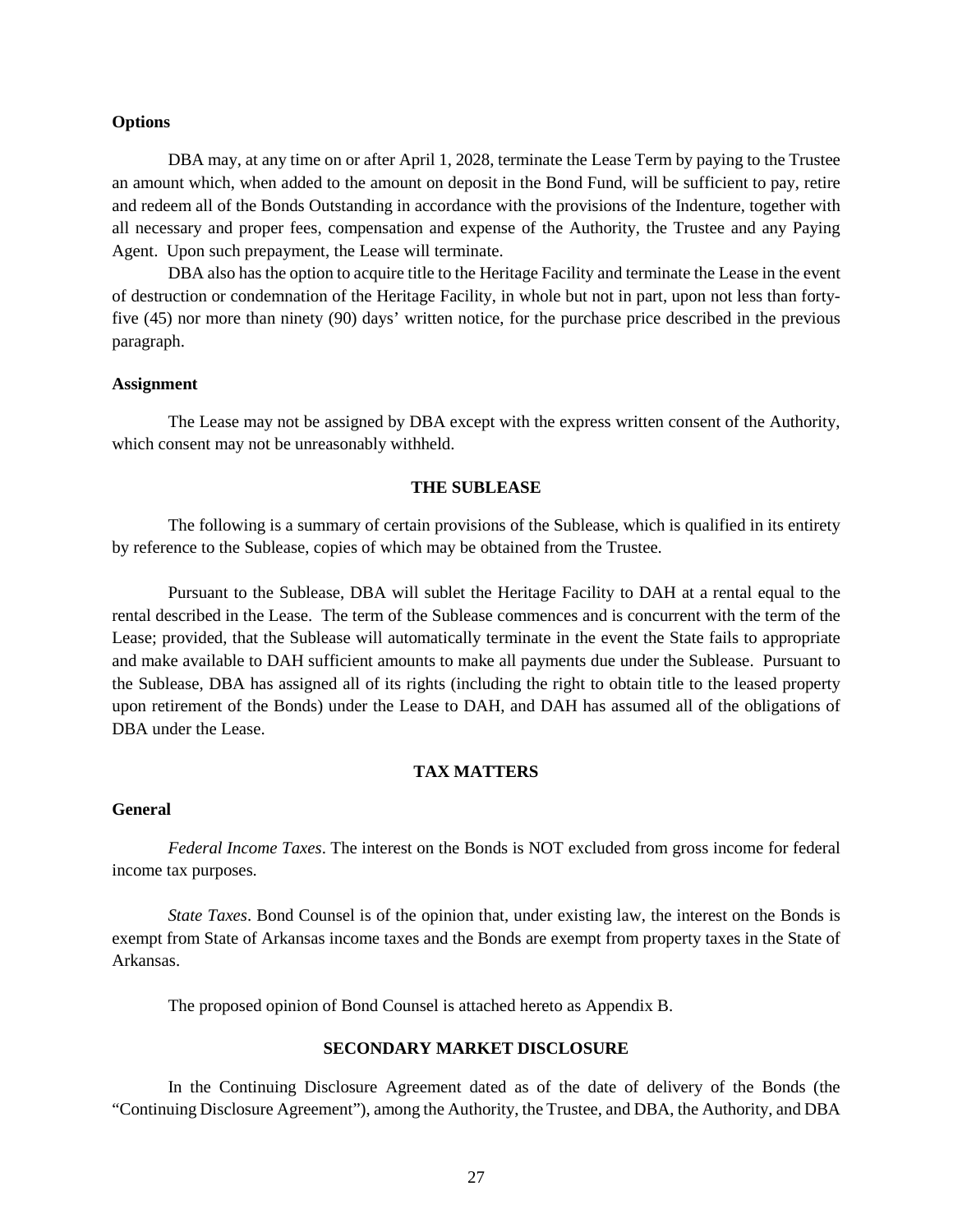#### **Options**

DBA may, at any time on or after April 1, 2028, terminate the Lease Term by paying to the Trustee an amount which, when added to the amount on deposit in the Bond Fund, will be sufficient to pay, retire and redeem all of the Bonds Outstanding in accordance with the provisions of the Indenture, together with all necessary and proper fees, compensation and expense of the Authority, the Trustee and any Paying Agent. Upon such prepayment, the Lease will terminate.

DBA also has the option to acquire title to the Heritage Facility and terminate the Lease in the event of destruction or condemnation of the Heritage Facility, in whole but not in part, upon not less than fortyfive (45) nor more than ninety (90) days' written notice, for the purchase price described in the previous paragraph.

# **Assignment**

The Lease may not be assigned by DBA except with the express written consent of the Authority, which consent may not be unreasonably withheld.

# **THE SUBLEASE**

The following is a summary of certain provisions of the Sublease, which is qualified in its entirety by reference to the Sublease, copies of which may be obtained from the Trustee.

Pursuant to the Sublease, DBA will sublet the Heritage Facility to DAH at a rental equal to the rental described in the Lease. The term of the Sublease commences and is concurrent with the term of the Lease; provided, that the Sublease will automatically terminate in the event the State fails to appropriate and make available to DAH sufficient amounts to make all payments due under the Sublease. Pursuant to the Sublease, DBA has assigned all of its rights (including the right to obtain title to the leased property upon retirement of the Bonds) under the Lease to DAH, and DAH has assumed all of the obligations of DBA under the Lease.

# **TAX MATTERS**

#### **General**

*Federal Income Taxes*. The interest on the Bonds is NOT excluded from gross income for federal income tax purposes.

*State Taxes*. Bond Counsel is of the opinion that, under existing law, the interest on the Bonds is exempt from State of Arkansas income taxes and the Bonds are exempt from property taxes in the State of Arkansas.

The proposed opinion of Bond Counsel is attached hereto as Appendix B.

# **SECONDARY MARKET DISCLOSURE**

In the Continuing Disclosure Agreement dated as of the date of delivery of the Bonds (the "Continuing Disclosure Agreement"), among the Authority, the Trustee, and DBA, the Authority, and DBA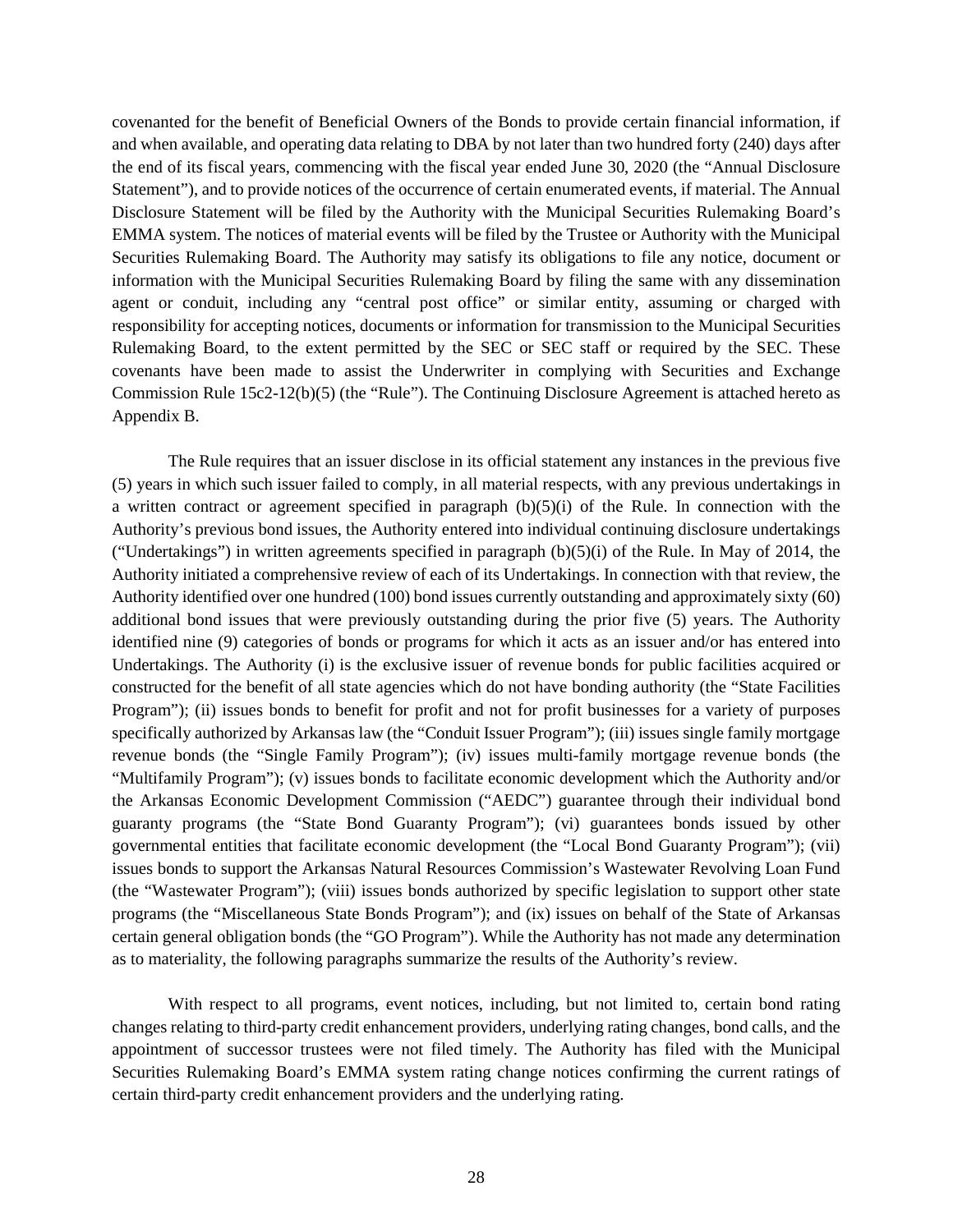covenanted for the benefit of Beneficial Owners of the Bonds to provide certain financial information, if and when available, and operating data relating to DBA by not later than two hundred forty (240) days after the end of its fiscal years, commencing with the fiscal year ended June 30, 2020 (the "Annual Disclosure Statement"), and to provide notices of the occurrence of certain enumerated events, if material. The Annual Disclosure Statement will be filed by the Authority with the Municipal Securities Rulemaking Board's EMMA system. The notices of material events will be filed by the Trustee or Authority with the Municipal Securities Rulemaking Board. The Authority may satisfy its obligations to file any notice, document or information with the Municipal Securities Rulemaking Board by filing the same with any dissemination agent or conduit, including any "central post office" or similar entity, assuming or charged with responsibility for accepting notices, documents or information for transmission to the Municipal Securities Rulemaking Board, to the extent permitted by the SEC or SEC staff or required by the SEC. These covenants have been made to assist the Underwriter in complying with Securities and Exchange Commission Rule 15c2-12(b)(5) (the "Rule"). The Continuing Disclosure Agreement is attached hereto as Appendix B.

The Rule requires that an issuer disclose in its official statement any instances in the previous five (5) years in which such issuer failed to comply, in all material respects, with any previous undertakings in a written contract or agreement specified in paragraph  $(b)(5)(i)$  of the Rule. In connection with the Authority's previous bond issues, the Authority entered into individual continuing disclosure undertakings ("Undertakings") in written agreements specified in paragraph  $(b)(5)(i)$  of the Rule. In May of 2014, the Authority initiated a comprehensive review of each of its Undertakings. In connection with that review, the Authority identified over one hundred (100) bond issues currently outstanding and approximately sixty (60) additional bond issues that were previously outstanding during the prior five (5) years. The Authority identified nine (9) categories of bonds or programs for which it acts as an issuer and/or has entered into Undertakings. The Authority (i) is the exclusive issuer of revenue bonds for public facilities acquired or constructed for the benefit of all state agencies which do not have bonding authority (the "State Facilities Program"); (ii) issues bonds to benefit for profit and not for profit businesses for a variety of purposes specifically authorized by Arkansas law (the "Conduit Issuer Program"); (iii) issues single family mortgage revenue bonds (the "Single Family Program"); (iv) issues multi-family mortgage revenue bonds (the "Multifamily Program"); (v) issues bonds to facilitate economic development which the Authority and/or the Arkansas Economic Development Commission ("AEDC") guarantee through their individual bond guaranty programs (the "State Bond Guaranty Program"); (vi) guarantees bonds issued by other governmental entities that facilitate economic development (the "Local Bond Guaranty Program"); (vii) issues bonds to support the Arkansas Natural Resources Commission's Wastewater Revolving Loan Fund (the "Wastewater Program"); (viii) issues bonds authorized by specific legislation to support other state programs (the "Miscellaneous State Bonds Program"); and (ix) issues on behalf of the State of Arkansas certain general obligation bonds (the "GO Program"). While the Authority has not made any determination as to materiality, the following paragraphs summarize the results of the Authority's review.

With respect to all programs, event notices, including, but not limited to, certain bond rating changes relating to third-party credit enhancement providers, underlying rating changes, bond calls, and the appointment of successor trustees were not filed timely. The Authority has filed with the Municipal Securities Rulemaking Board's EMMA system rating change notices confirming the current ratings of certain third-party credit enhancement providers and the underlying rating.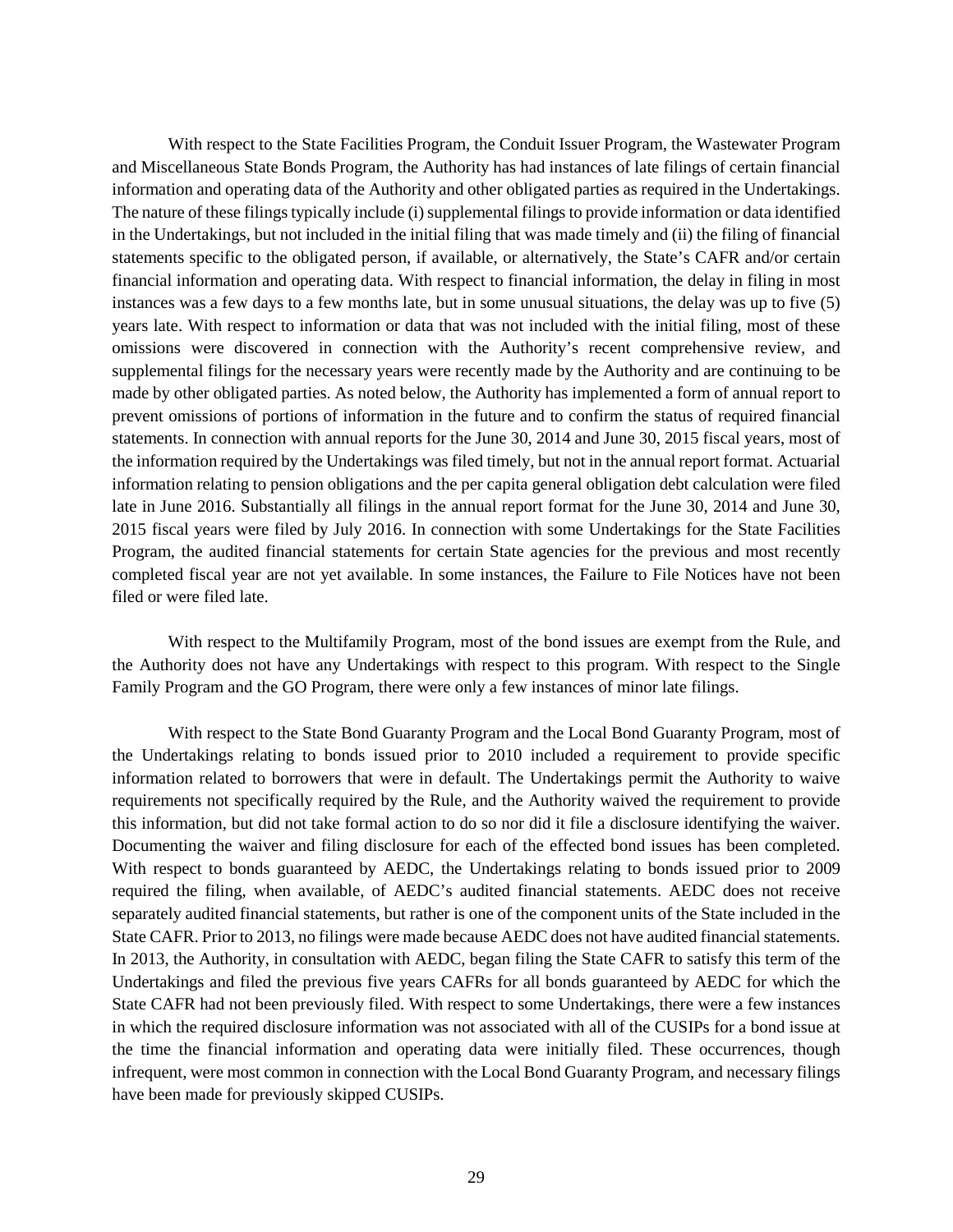With respect to the State Facilities Program, the Conduit Issuer Program, the Wastewater Program and Miscellaneous State Bonds Program, the Authority has had instances of late filings of certain financial information and operating data of the Authority and other obligated parties as required in the Undertakings. The nature of these filings typically include (i) supplemental filings to provide information or data identified in the Undertakings, but not included in the initial filing that was made timely and (ii) the filing of financial statements specific to the obligated person, if available, or alternatively, the State's CAFR and/or certain financial information and operating data. With respect to financial information, the delay in filing in most instances was a few days to a few months late, but in some unusual situations, the delay was up to five (5) years late. With respect to information or data that was not included with the initial filing, most of these omissions were discovered in connection with the Authority's recent comprehensive review, and supplemental filings for the necessary years were recently made by the Authority and are continuing to be made by other obligated parties. As noted below, the Authority has implemented a form of annual report to prevent omissions of portions of information in the future and to confirm the status of required financial statements. In connection with annual reports for the June 30, 2014 and June 30, 2015 fiscal years, most of the information required by the Undertakings was filed timely, but not in the annual report format. Actuarial information relating to pension obligations and the per capita general obligation debt calculation were filed late in June 2016. Substantially all filings in the annual report format for the June 30, 2014 and June 30, 2015 fiscal years were filed by July 2016. In connection with some Undertakings for the State Facilities Program, the audited financial statements for certain State agencies for the previous and most recently completed fiscal year are not yet available. In some instances, the Failure to File Notices have not been filed or were filed late.

With respect to the Multifamily Program, most of the bond issues are exempt from the Rule, and the Authority does not have any Undertakings with respect to this program. With respect to the Single Family Program and the GO Program, there were only a few instances of minor late filings.

With respect to the State Bond Guaranty Program and the Local Bond Guaranty Program, most of the Undertakings relating to bonds issued prior to 2010 included a requirement to provide specific information related to borrowers that were in default. The Undertakings permit the Authority to waive requirements not specifically required by the Rule, and the Authority waived the requirement to provide this information, but did not take formal action to do so nor did it file a disclosure identifying the waiver. Documenting the waiver and filing disclosure for each of the effected bond issues has been completed. With respect to bonds guaranteed by AEDC, the Undertakings relating to bonds issued prior to 2009 required the filing, when available, of AEDC's audited financial statements. AEDC does not receive separately audited financial statements, but rather is one of the component units of the State included in the State CAFR. Prior to 2013, no filings were made because AEDC does not have audited financial statements. In 2013, the Authority, in consultation with AEDC, began filing the State CAFR to satisfy this term of the Undertakings and filed the previous five years CAFRs for all bonds guaranteed by AEDC for which the State CAFR had not been previously filed. With respect to some Undertakings, there were a few instances in which the required disclosure information was not associated with all of the CUSIPs for a bond issue at the time the financial information and operating data were initially filed. These occurrences, though infrequent, were most common in connection with the Local Bond Guaranty Program, and necessary filings have been made for previously skipped CUSIPs.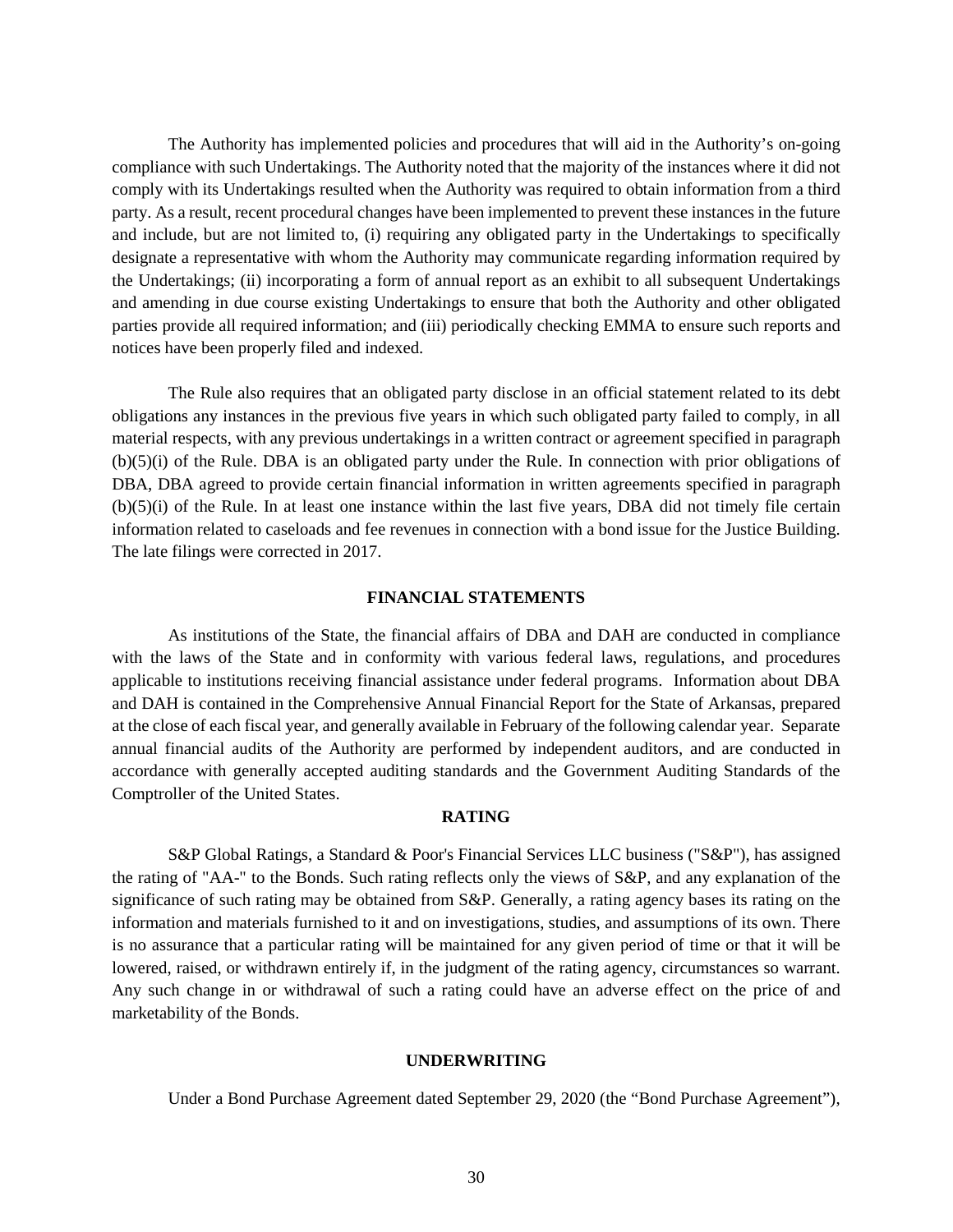The Authority has implemented policies and procedures that will aid in the Authority's on-going compliance with such Undertakings. The Authority noted that the majority of the instances where it did not comply with its Undertakings resulted when the Authority was required to obtain information from a third party. As a result, recent procedural changes have been implemented to prevent these instances in the future and include, but are not limited to, (i) requiring any obligated party in the Undertakings to specifically designate a representative with whom the Authority may communicate regarding information required by the Undertakings; (ii) incorporating a form of annual report as an exhibit to all subsequent Undertakings and amending in due course existing Undertakings to ensure that both the Authority and other obligated parties provide all required information; and (iii) periodically checking EMMA to ensure such reports and notices have been properly filed and indexed.

The Rule also requires that an obligated party disclose in an official statement related to its debt obligations any instances in the previous five years in which such obligated party failed to comply, in all material respects, with any previous undertakings in a written contract or agreement specified in paragraph (b)(5)(i) of the Rule. DBA is an obligated party under the Rule. In connection with prior obligations of DBA, DBA agreed to provide certain financial information in written agreements specified in paragraph (b)(5)(i) of the Rule. In at least one instance within the last five years, DBA did not timely file certain information related to caseloads and fee revenues in connection with a bond issue for the Justice Building. The late filings were corrected in 2017.

#### **FINANCIAL STATEMENTS**

As institutions of the State, the financial affairs of DBA and DAH are conducted in compliance with the laws of the State and in conformity with various federal laws, regulations, and procedures applicable to institutions receiving financial assistance under federal programs. Information about DBA and DAH is contained in the Comprehensive Annual Financial Report for the State of Arkansas, prepared at the close of each fiscal year, and generally available in February of the following calendar year. Separate annual financial audits of the Authority are performed by independent auditors, and are conducted in accordance with generally accepted auditing standards and the Government Auditing Standards of the Comptroller of the United States.

#### **RATING**

S&P Global Ratings, a Standard & Poor's Financial Services LLC business ("S&P"), has assigned the rating of "AA-" to the Bonds. Such rating reflects only the views of S&P, and any explanation of the significance of such rating may be obtained from S&P. Generally, a rating agency bases its rating on the information and materials furnished to it and on investigations, studies, and assumptions of its own. There is no assurance that a particular rating will be maintained for any given period of time or that it will be lowered, raised, or withdrawn entirely if, in the judgment of the rating agency, circumstances so warrant. Any such change in or withdrawal of such a rating could have an adverse effect on the price of and marketability of the Bonds.

# **UNDERWRITING**

Under a Bond Purchase Agreement dated September 29, 2020 (the "Bond Purchase Agreement"),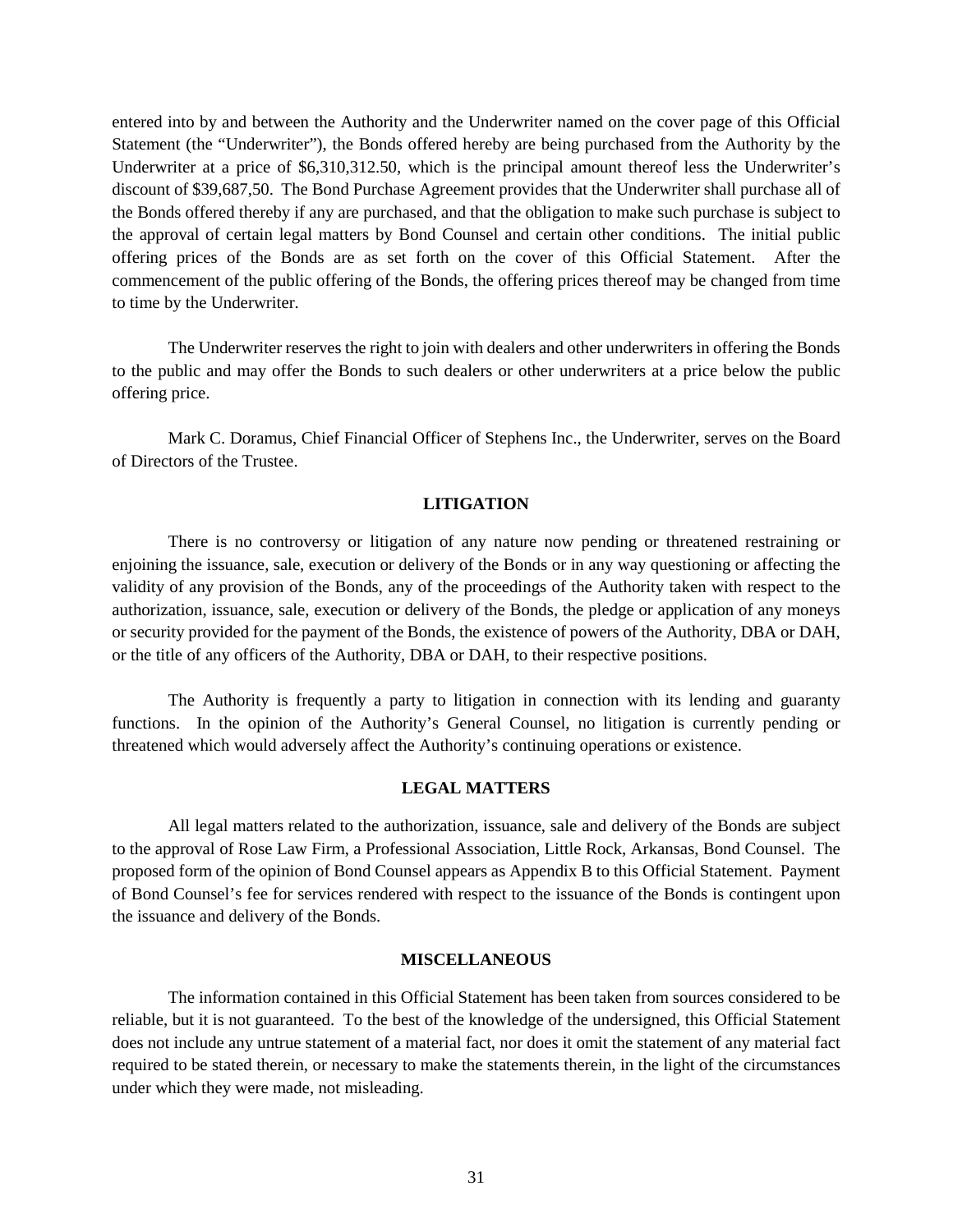entered into by and between the Authority and the Underwriter named on the cover page of this Official Statement (the "Underwriter"), the Bonds offered hereby are being purchased from the Authority by the Underwriter at a price of \$6,310,312.50, which is the principal amount thereof less the Underwriter's discount of \$39,687,50. The Bond Purchase Agreement provides that the Underwriter shall purchase all of the Bonds offered thereby if any are purchased, and that the obligation to make such purchase is subject to the approval of certain legal matters by Bond Counsel and certain other conditions. The initial public offering prices of the Bonds are as set forth on the cover of this Official Statement. After the commencement of the public offering of the Bonds, the offering prices thereof may be changed from time to time by the Underwriter.

The Underwriter reserves the right to join with dealers and other underwriters in offering the Bonds to the public and may offer the Bonds to such dealers or other underwriters at a price below the public offering price.

Mark C. Doramus, Chief Financial Officer of Stephens Inc., the Underwriter, serves on the Board of Directors of the Trustee.

# **LITIGATION**

There is no controversy or litigation of any nature now pending or threatened restraining or enjoining the issuance, sale, execution or delivery of the Bonds or in any way questioning or affecting the validity of any provision of the Bonds, any of the proceedings of the Authority taken with respect to the authorization, issuance, sale, execution or delivery of the Bonds, the pledge or application of any moneys or security provided for the payment of the Bonds, the existence of powers of the Authority, DBA or DAH, or the title of any officers of the Authority, DBA or DAH, to their respective positions.

The Authority is frequently a party to litigation in connection with its lending and guaranty functions. In the opinion of the Authority's General Counsel, no litigation is currently pending or threatened which would adversely affect the Authority's continuing operations or existence.

# **LEGAL MATTERS**

All legal matters related to the authorization, issuance, sale and delivery of the Bonds are subject to the approval of Rose Law Firm, a Professional Association, Little Rock, Arkansas, Bond Counsel. The proposed form of the opinion of Bond Counsel appears as Appendix B to this Official Statement. Payment of Bond Counsel's fee for services rendered with respect to the issuance of the Bonds is contingent upon the issuance and delivery of the Bonds.

# **MISCELLANEOUS**

The information contained in this Official Statement has been taken from sources considered to be reliable, but it is not guaranteed. To the best of the knowledge of the undersigned, this Official Statement does not include any untrue statement of a material fact, nor does it omit the statement of any material fact required to be stated therein, or necessary to make the statements therein, in the light of the circumstances under which they were made, not misleading.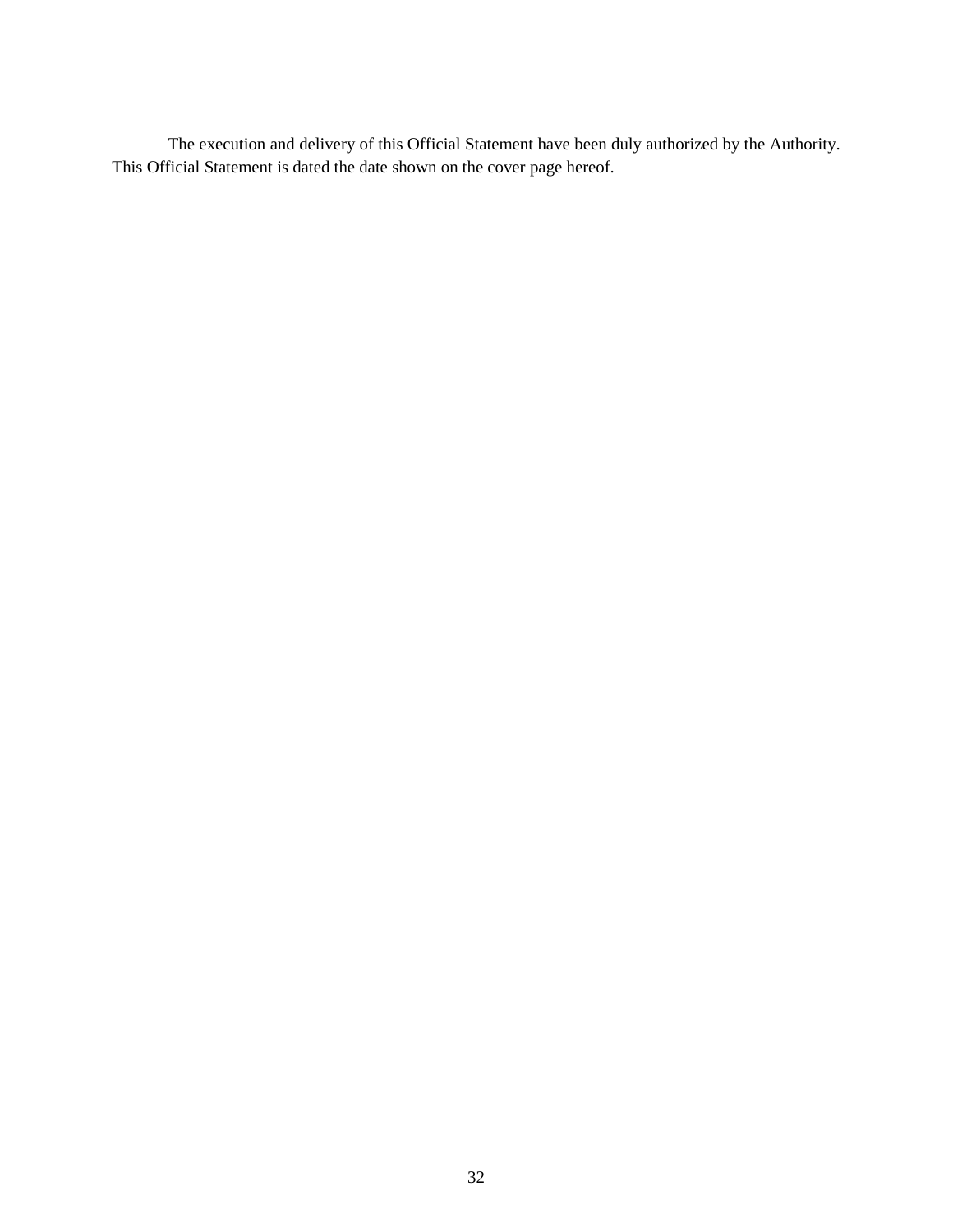The execution and delivery of this Official Statement have been duly authorized by the Authority. This Official Statement is dated the date shown on the cover page hereof.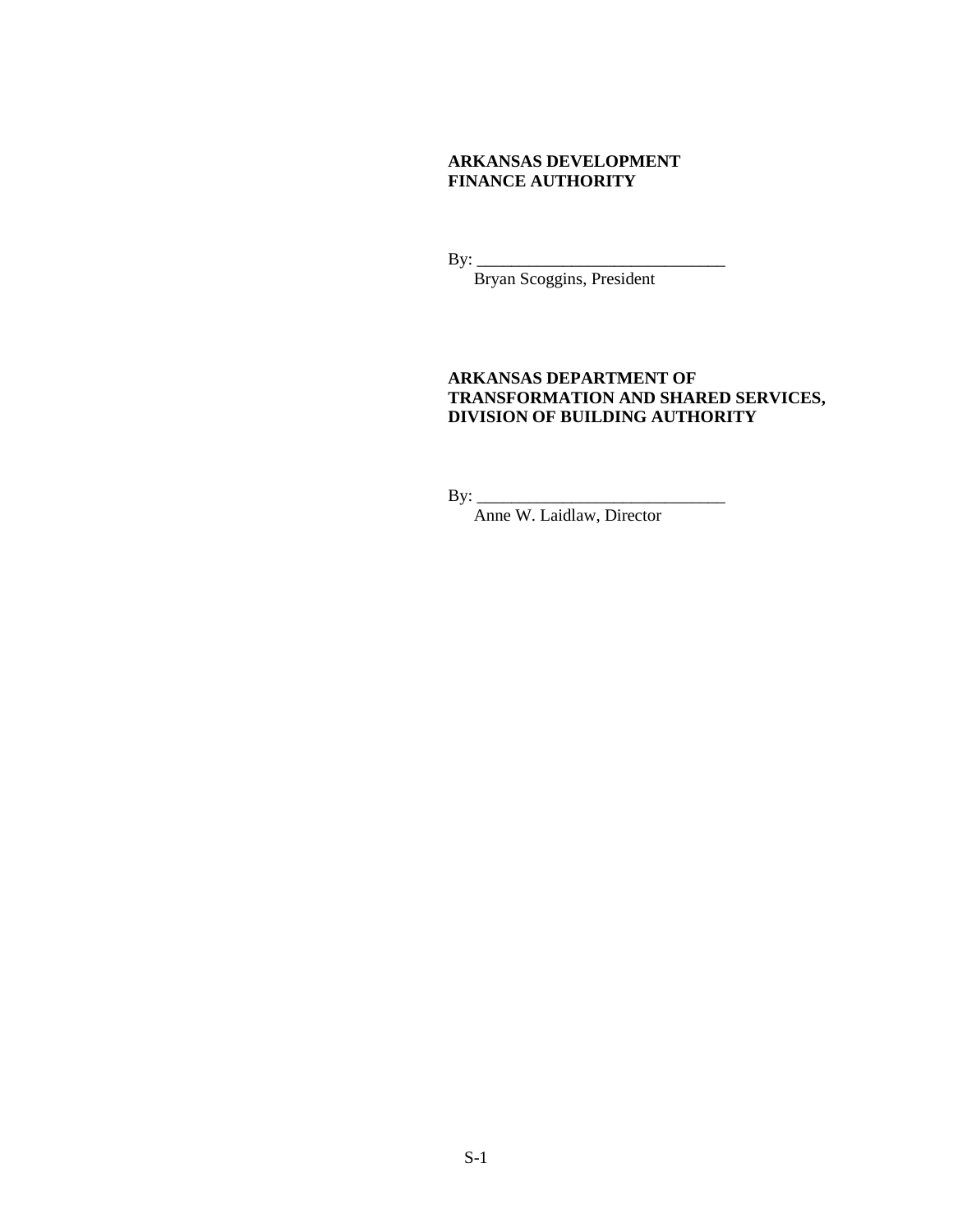# **ARKANSAS DEVELOPMENT FINANCE AUTHORITY**

By: \_\_\_\_\_\_\_\_\_\_\_\_\_\_\_\_\_\_\_\_\_\_\_\_\_\_\_\_\_

Bryan Scoggins, President

# **ARKANSAS DEPARTMENT OF TRANSFORMATION AND SHARED SERVICES, DIVISION OF BUILDING AUTHORITY**

 $By:$ 

Anne W. Laidlaw, Director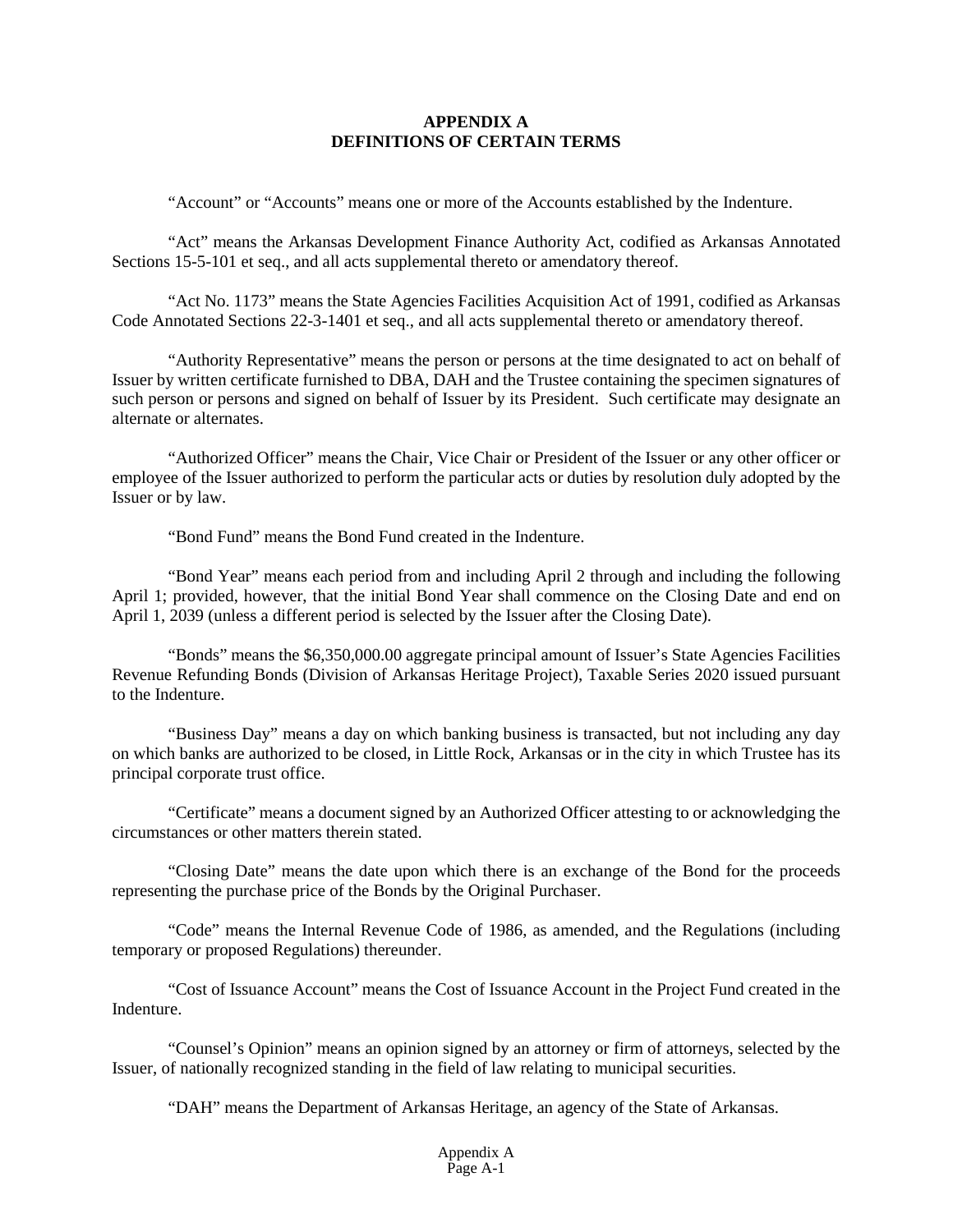# **APPENDIX A DEFINITIONS OF CERTAIN TERMS**

"Account" or "Accounts" means one or more of the Accounts established by the Indenture.

"Act" means the Arkansas Development Finance Authority Act, codified as Arkansas Annotated Sections 15-5-101 et seq., and all acts supplemental thereto or amendatory thereof.

"Act No. 1173" means the State Agencies Facilities Acquisition Act of 1991, codified as Arkansas Code Annotated Sections 22-3-1401 et seq., and all acts supplemental thereto or amendatory thereof.

"Authority Representative" means the person or persons at the time designated to act on behalf of Issuer by written certificate furnished to DBA, DAH and the Trustee containing the specimen signatures of such person or persons and signed on behalf of Issuer by its President. Such certificate may designate an alternate or alternates.

"Authorized Officer" means the Chair, Vice Chair or President of the Issuer or any other officer or employee of the Issuer authorized to perform the particular acts or duties by resolution duly adopted by the Issuer or by law.

"Bond Fund" means the Bond Fund created in the Indenture.

"Bond Year" means each period from and including April 2 through and including the following April 1; provided, however, that the initial Bond Year shall commence on the Closing Date and end on April 1, 2039 (unless a different period is selected by the Issuer after the Closing Date).

"Bonds" means the \$6,350,000.00 aggregate principal amount of Issuer's State Agencies Facilities Revenue Refunding Bonds (Division of Arkansas Heritage Project), Taxable Series 2020 issued pursuant to the Indenture.

"Business Day" means a day on which banking business is transacted, but not including any day on which banks are authorized to be closed, in Little Rock, Arkansas or in the city in which Trustee has its principal corporate trust office.

"Certificate" means a document signed by an Authorized Officer attesting to or acknowledging the circumstances or other matters therein stated.

"Closing Date" means the date upon which there is an exchange of the Bond for the proceeds representing the purchase price of the Bonds by the Original Purchaser.

"Code" means the Internal Revenue Code of 1986, as amended, and the Regulations (including temporary or proposed Regulations) thereunder.

"Cost of Issuance Account" means the Cost of Issuance Account in the Project Fund created in the Indenture.

"Counsel's Opinion" means an opinion signed by an attorney or firm of attorneys, selected by the Issuer, of nationally recognized standing in the field of law relating to municipal securities.

"DAH" means the Department of Arkansas Heritage, an agency of the State of Arkansas.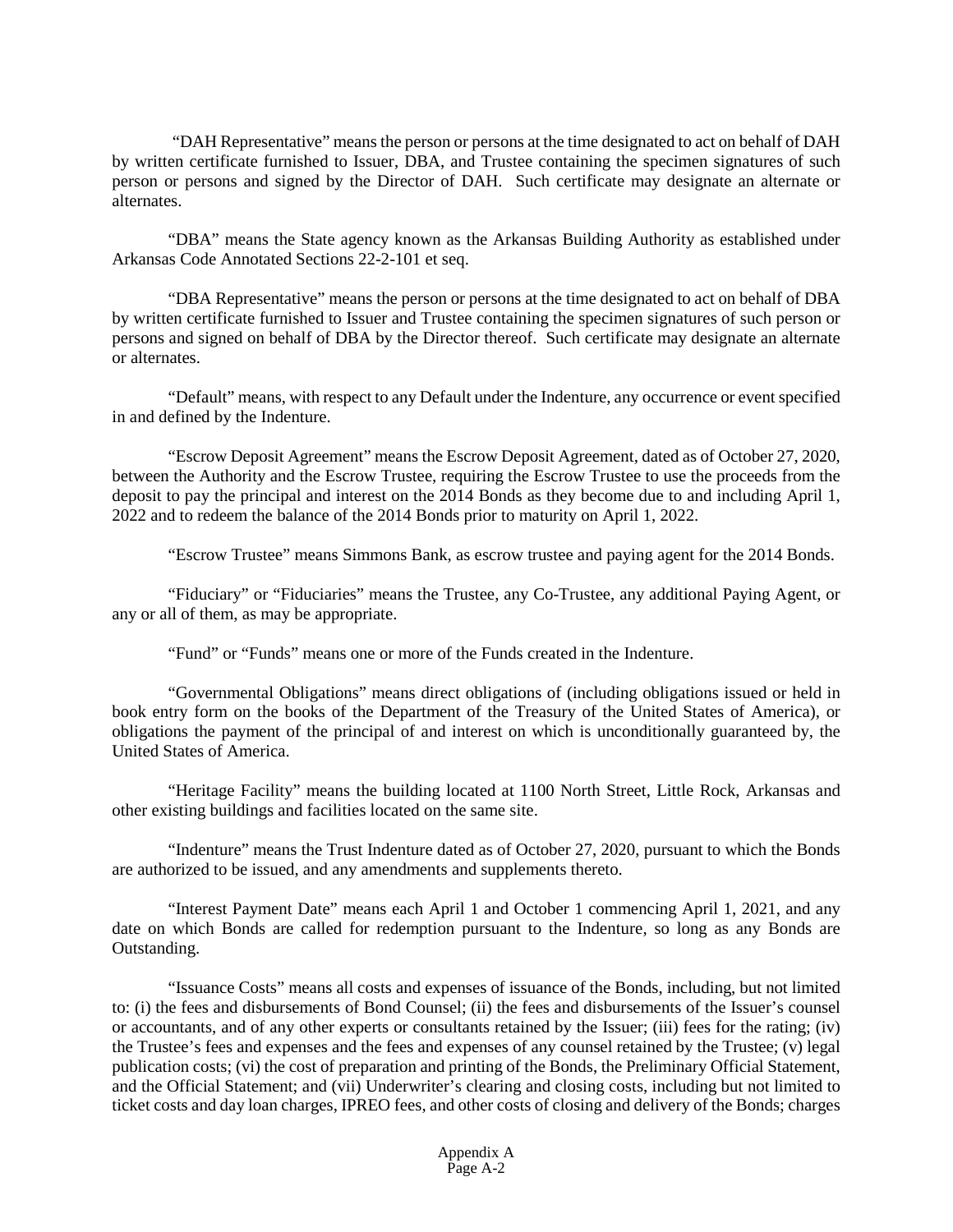"DAH Representative" means the person or persons at the time designated to act on behalf of DAH by written certificate furnished to Issuer, DBA, and Trustee containing the specimen signatures of such person or persons and signed by the Director of DAH. Such certificate may designate an alternate or alternates.

"DBA" means the State agency known as the Arkansas Building Authority as established under Arkansas Code Annotated Sections 22-2-101 et seq.

"DBA Representative" means the person or persons at the time designated to act on behalf of DBA by written certificate furnished to Issuer and Trustee containing the specimen signatures of such person or persons and signed on behalf of DBA by the Director thereof. Such certificate may designate an alternate or alternates.

"Default" means, with respect to any Default under the Indenture, any occurrence or event specified in and defined by the Indenture.

"Escrow Deposit Agreement" means the Escrow Deposit Agreement, dated as of October 27, 2020, between the Authority and the Escrow Trustee, requiring the Escrow Trustee to use the proceeds from the deposit to pay the principal and interest on the 2014 Bonds as they become due to and including April 1, 2022 and to redeem the balance of the 2014 Bonds prior to maturity on April 1, 2022.

"Escrow Trustee" means Simmons Bank, as escrow trustee and paying agent for the 2014 Bonds.

"Fiduciary" or "Fiduciaries" means the Trustee, any Co-Trustee, any additional Paying Agent, or any or all of them, as may be appropriate.

"Fund" or "Funds" means one or more of the Funds created in the Indenture.

"Governmental Obligations" means direct obligations of (including obligations issued or held in book entry form on the books of the Department of the Treasury of the United States of America), or obligations the payment of the principal of and interest on which is unconditionally guaranteed by, the United States of America.

"Heritage Facility" means the building located at 1100 North Street, Little Rock, Arkansas and other existing buildings and facilities located on the same site.

"Indenture" means the Trust Indenture dated as of October 27, 2020, pursuant to which the Bonds are authorized to be issued, and any amendments and supplements thereto.

"Interest Payment Date" means each April 1 and October 1 commencing April 1, 2021, and any date on which Bonds are called for redemption pursuant to the Indenture, so long as any Bonds are Outstanding.

"Issuance Costs" means all costs and expenses of issuance of the Bonds, including, but not limited to: (i) the fees and disbursements of Bond Counsel; (ii) the fees and disbursements of the Issuer's counsel or accountants, and of any other experts or consultants retained by the Issuer; (iii) fees for the rating; (iv) the Trustee's fees and expenses and the fees and expenses of any counsel retained by the Trustee; (v) legal publication costs; (vi) the cost of preparation and printing of the Bonds, the Preliminary Official Statement, and the Official Statement; and (vii) Underwriter's clearing and closing costs, including but not limited to ticket costs and day loan charges, IPREO fees, and other costs of closing and delivery of the Bonds; charges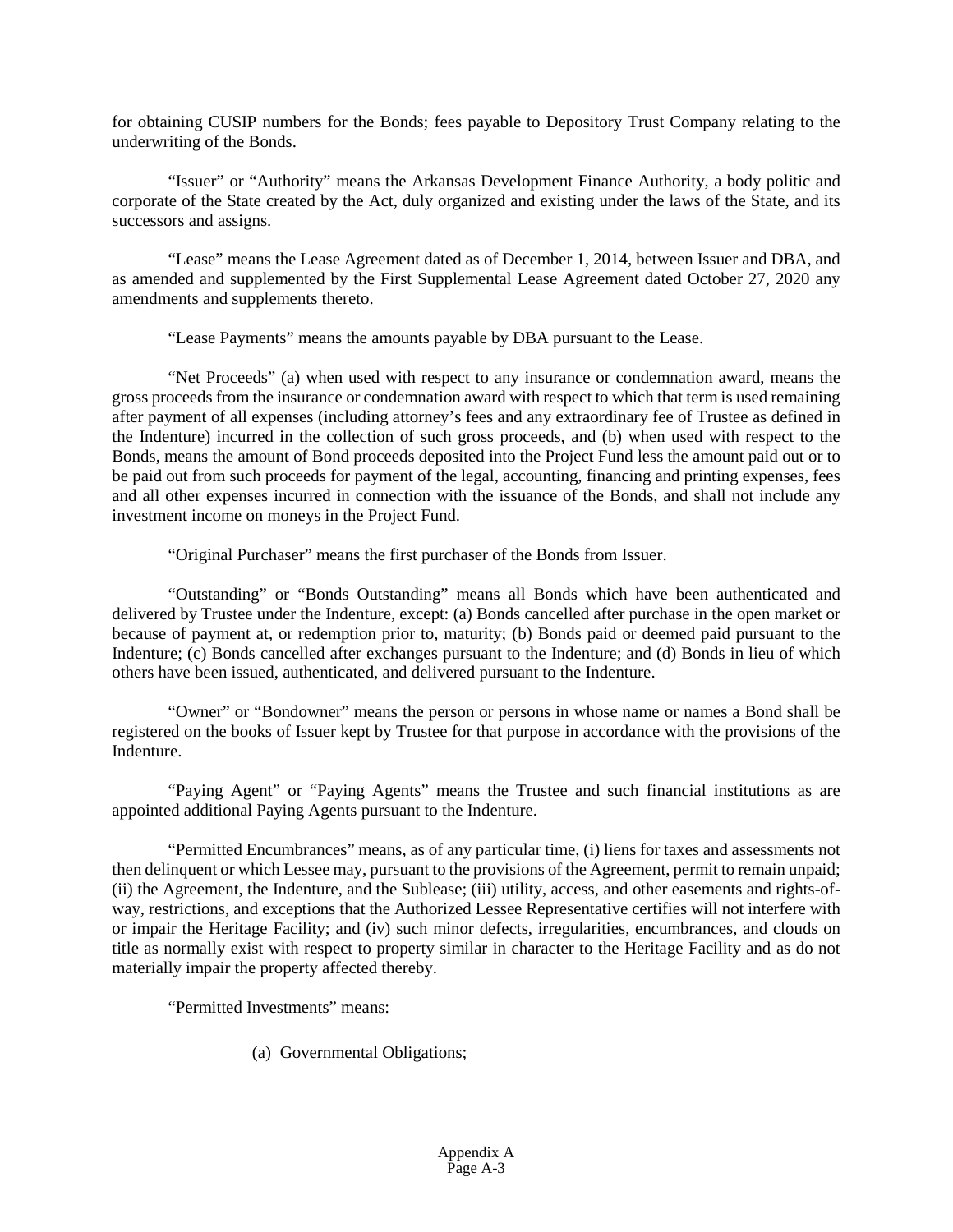for obtaining CUSIP numbers for the Bonds; fees payable to Depository Trust Company relating to the underwriting of the Bonds.

"Issuer" or "Authority" means the Arkansas Development Finance Authority, a body politic and corporate of the State created by the Act, duly organized and existing under the laws of the State, and its successors and assigns.

"Lease" means the Lease Agreement dated as of December 1, 2014, between Issuer and DBA, and as amended and supplemented by the First Supplemental Lease Agreement dated October 27, 2020 any amendments and supplements thereto.

"Lease Payments" means the amounts payable by DBA pursuant to the Lease.

"Net Proceeds" (a) when used with respect to any insurance or condemnation award, means the gross proceeds from the insurance or condemnation award with respect to which that term is used remaining after payment of all expenses (including attorney's fees and any extraordinary fee of Trustee as defined in the Indenture) incurred in the collection of such gross proceeds, and (b) when used with respect to the Bonds, means the amount of Bond proceeds deposited into the Project Fund less the amount paid out or to be paid out from such proceeds for payment of the legal, accounting, financing and printing expenses, fees and all other expenses incurred in connection with the issuance of the Bonds, and shall not include any investment income on moneys in the Project Fund.

"Original Purchaser" means the first purchaser of the Bonds from Issuer.

"Outstanding" or "Bonds Outstanding" means all Bonds which have been authenticated and delivered by Trustee under the Indenture, except: (a) Bonds cancelled after purchase in the open market or because of payment at, or redemption prior to, maturity; (b) Bonds paid or deemed paid pursuant to the Indenture; (c) Bonds cancelled after exchanges pursuant to the Indenture; and (d) Bonds in lieu of which others have been issued, authenticated, and delivered pursuant to the Indenture.

"Owner" or "Bondowner" means the person or persons in whose name or names a Bond shall be registered on the books of Issuer kept by Trustee for that purpose in accordance with the provisions of the Indenture.

"Paying Agent" or "Paying Agents" means the Trustee and such financial institutions as are appointed additional Paying Agents pursuant to the Indenture.

"Permitted Encumbrances" means, as of any particular time, (i) liens for taxes and assessments not then delinquent or which Lessee may, pursuant to the provisions of the Agreement, permit to remain unpaid; (ii) the Agreement, the Indenture, and the Sublease; (iii) utility, access, and other easements and rights-ofway, restrictions, and exceptions that the Authorized Lessee Representative certifies will not interfere with or impair the Heritage Facility; and (iv) such minor defects, irregularities, encumbrances, and clouds on title as normally exist with respect to property similar in character to the Heritage Facility and as do not materially impair the property affected thereby.

"Permitted Investments" means:

(a) Governmental Obligations;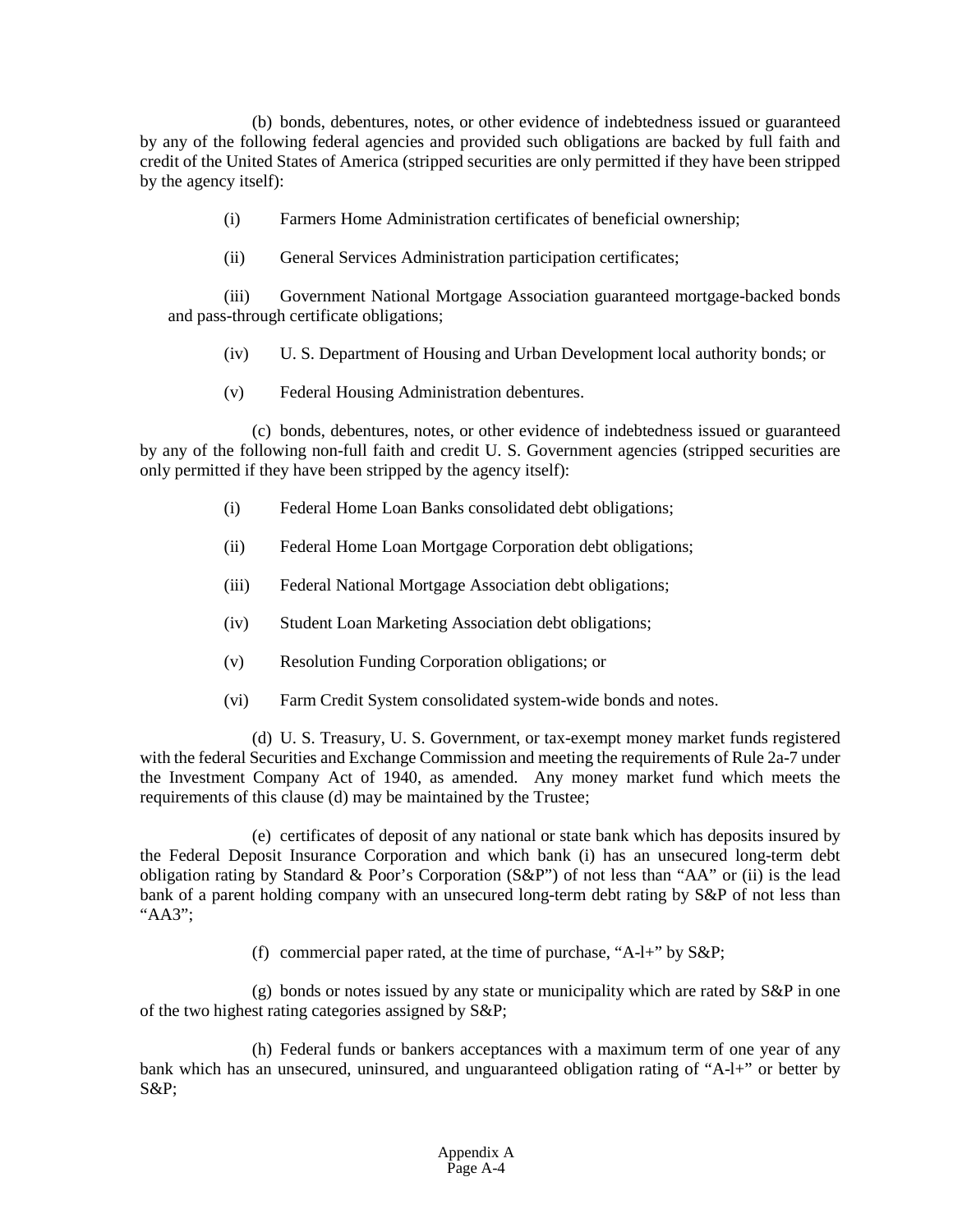(b) bonds, debentures, notes, or other evidence of indebtedness issued or guaranteed by any of the following federal agencies and provided such obligations are backed by full faith and credit of the United States of America (stripped securities are only permitted if they have been stripped by the agency itself):

- (i) Farmers Home Administration certificates of beneficial ownership;
- (ii) General Services Administration participation certificates;

(iii) Government National Mortgage Association guaranteed mortgage-backed bonds and pass-through certificate obligations;

- (iv) U. S. Department of Housing and Urban Development local authority bonds; or
- (v) Federal Housing Administration debentures.

(c) bonds, debentures, notes, or other evidence of indebtedness issued or guaranteed by any of the following non-full faith and credit U. S. Government agencies (stripped securities are only permitted if they have been stripped by the agency itself):

- (i) Federal Home Loan Banks consolidated debt obligations;
- (ii) Federal Home Loan Mortgage Corporation debt obligations;
- (iii) Federal National Mortgage Association debt obligations;
- (iv) Student Loan Marketing Association debt obligations;
- (v) Resolution Funding Corporation obligations; or
- (vi) Farm Credit System consolidated system-wide bonds and notes.

(d) U. S. Treasury, U. S. Government, or tax-exempt money market funds registered with the federal Securities and Exchange Commission and meeting the requirements of Rule 2a-7 under the Investment Company Act of 1940, as amended. Any money market fund which meets the requirements of this clause (d) may be maintained by the Trustee;

(e) certificates of deposit of any national or state bank which has deposits insured by the Federal Deposit Insurance Corporation and which bank (i) has an unsecured long-term debt obligation rating by Standard & Poor's Corporation  $(S\&P'')$  of not less than "AA" or (ii) is the lead bank of a parent holding company with an unsecured long-term debt rating by S&P of not less than "AA3";

(f) commercial paper rated, at the time of purchase, "A-l+" by S&P;

(g) bonds or notes issued by any state or municipality which are rated by S&P in one of the two highest rating categories assigned by S&P;

(h) Federal funds or bankers acceptances with a maximum term of one year of any bank which has an unsecured, uninsured, and unguaranteed obligation rating of "A-l+" or better by S&P;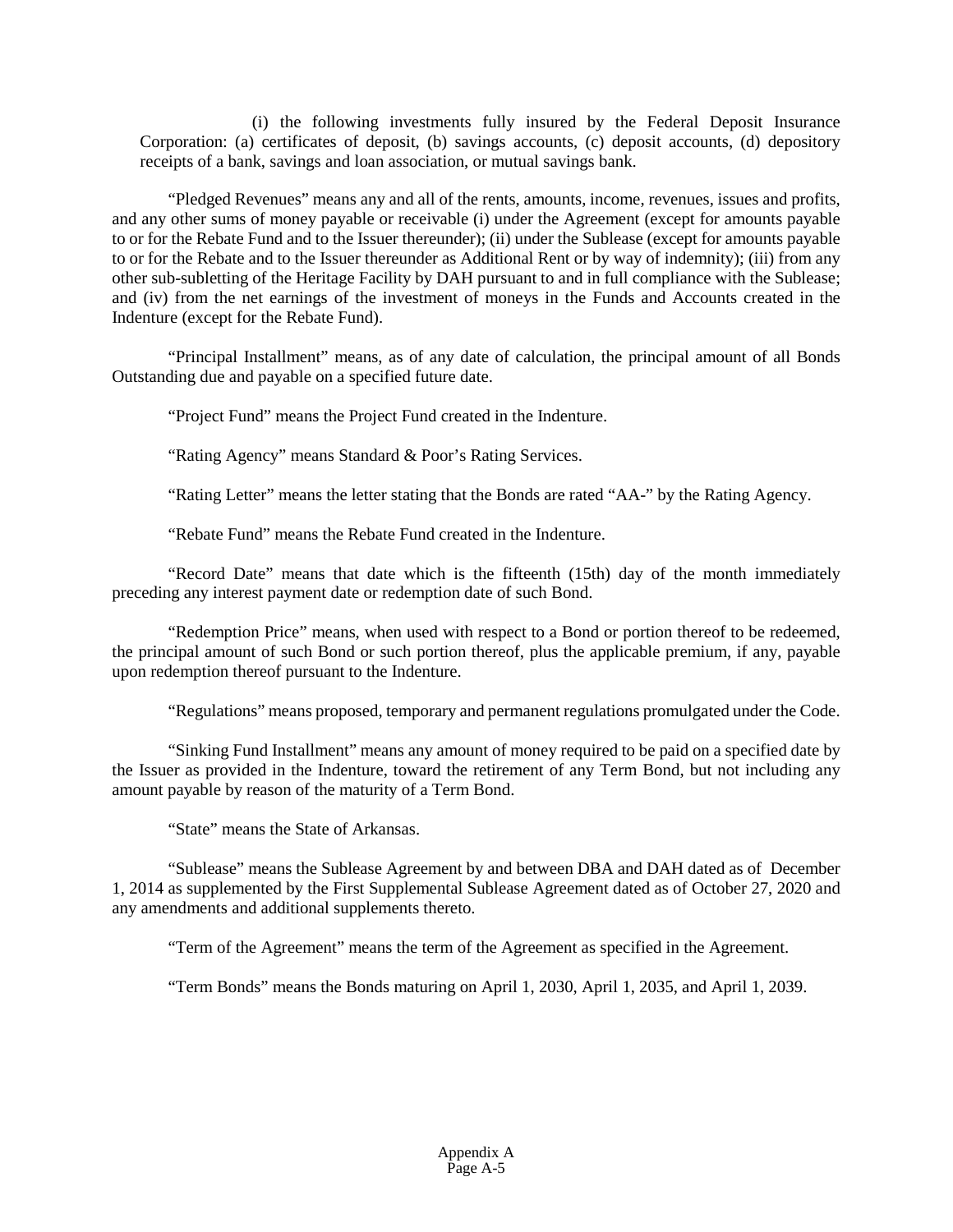(i) the following investments fully insured by the Federal Deposit Insurance Corporation: (a) certificates of deposit, (b) savings accounts, (c) deposit accounts, (d) depository receipts of a bank, savings and loan association, or mutual savings bank.

"Pledged Revenues" means any and all of the rents, amounts, income, revenues, issues and profits, and any other sums of money payable or receivable (i) under the Agreement (except for amounts payable to or for the Rebate Fund and to the Issuer thereunder); (ii) under the Sublease (except for amounts payable to or for the Rebate and to the Issuer thereunder as Additional Rent or by way of indemnity); (iii) from any other sub-subletting of the Heritage Facility by DAH pursuant to and in full compliance with the Sublease; and (iv) from the net earnings of the investment of moneys in the Funds and Accounts created in the Indenture (except for the Rebate Fund).

"Principal Installment" means, as of any date of calculation, the principal amount of all Bonds Outstanding due and payable on a specified future date.

"Project Fund" means the Project Fund created in the Indenture.

"Rating Agency" means Standard & Poor's Rating Services.

"Rating Letter" means the letter stating that the Bonds are rated "AA-" by the Rating Agency.

"Rebate Fund" means the Rebate Fund created in the Indenture.

"Record Date" means that date which is the fifteenth (15th) day of the month immediately preceding any interest payment date or redemption date of such Bond.

"Redemption Price" means, when used with respect to a Bond or portion thereof to be redeemed, the principal amount of such Bond or such portion thereof, plus the applicable premium, if any, payable upon redemption thereof pursuant to the Indenture.

"Regulations" means proposed, temporary and permanent regulations promulgated under the Code.

"Sinking Fund Installment" means any amount of money required to be paid on a specified date by the Issuer as provided in the Indenture, toward the retirement of any Term Bond, but not including any amount payable by reason of the maturity of a Term Bond.

"State" means the State of Arkansas.

"Sublease" means the Sublease Agreement by and between DBA and DAH dated as of December 1, 2014 as supplemented by the First Supplemental Sublease Agreement dated as of October 27, 2020 and any amendments and additional supplements thereto.

"Term of the Agreement" means the term of the Agreement as specified in the Agreement.

"Term Bonds" means the Bonds maturing on April 1, 2030, April 1, 2035, and April 1, 2039.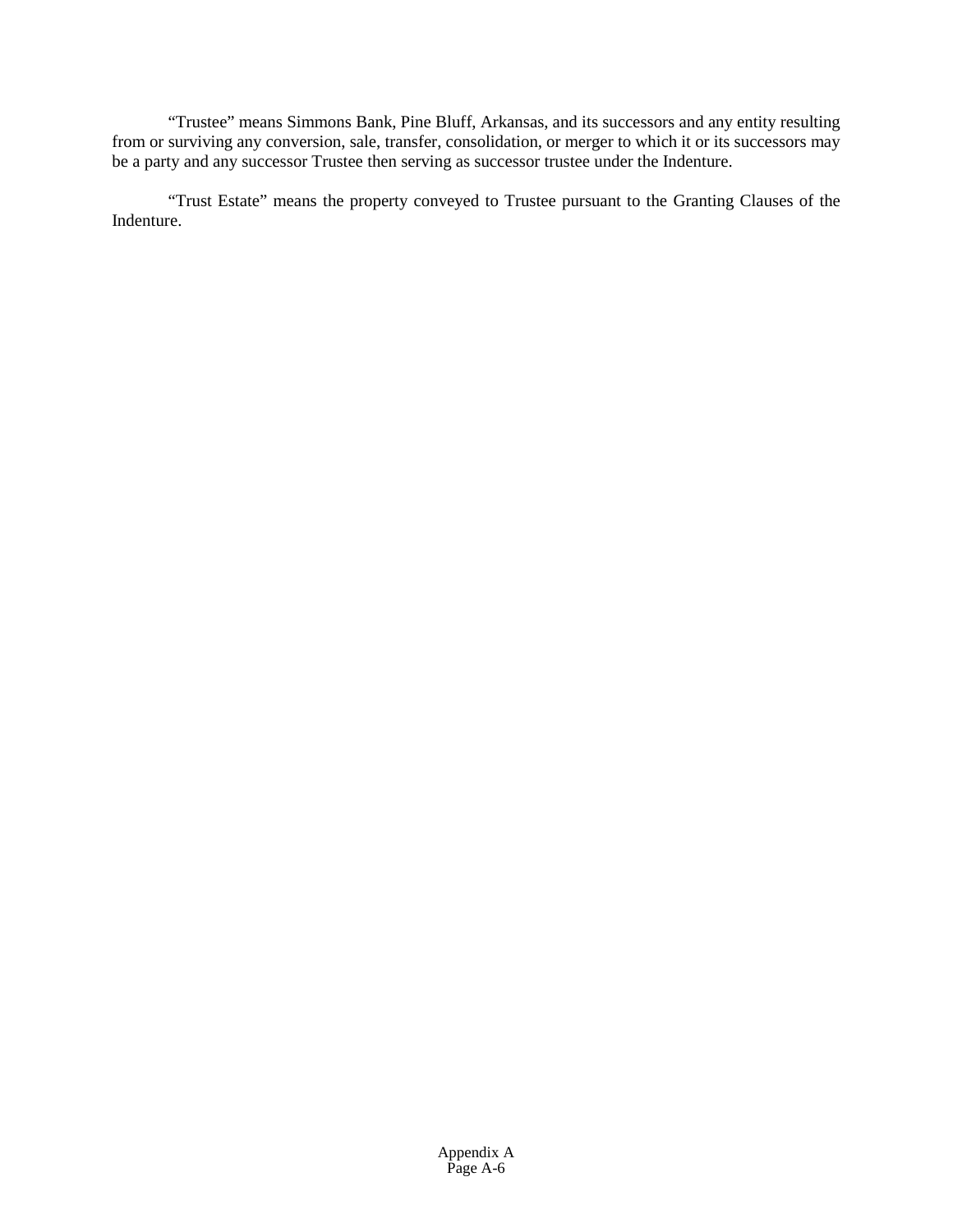"Trustee" means Simmons Bank, Pine Bluff, Arkansas, and its successors and any entity resulting from or surviving any conversion, sale, transfer, consolidation, or merger to which it or its successors may be a party and any successor Trustee then serving as successor trustee under the Indenture.

"Trust Estate" means the property conveyed to Trustee pursuant to the Granting Clauses of the Indenture.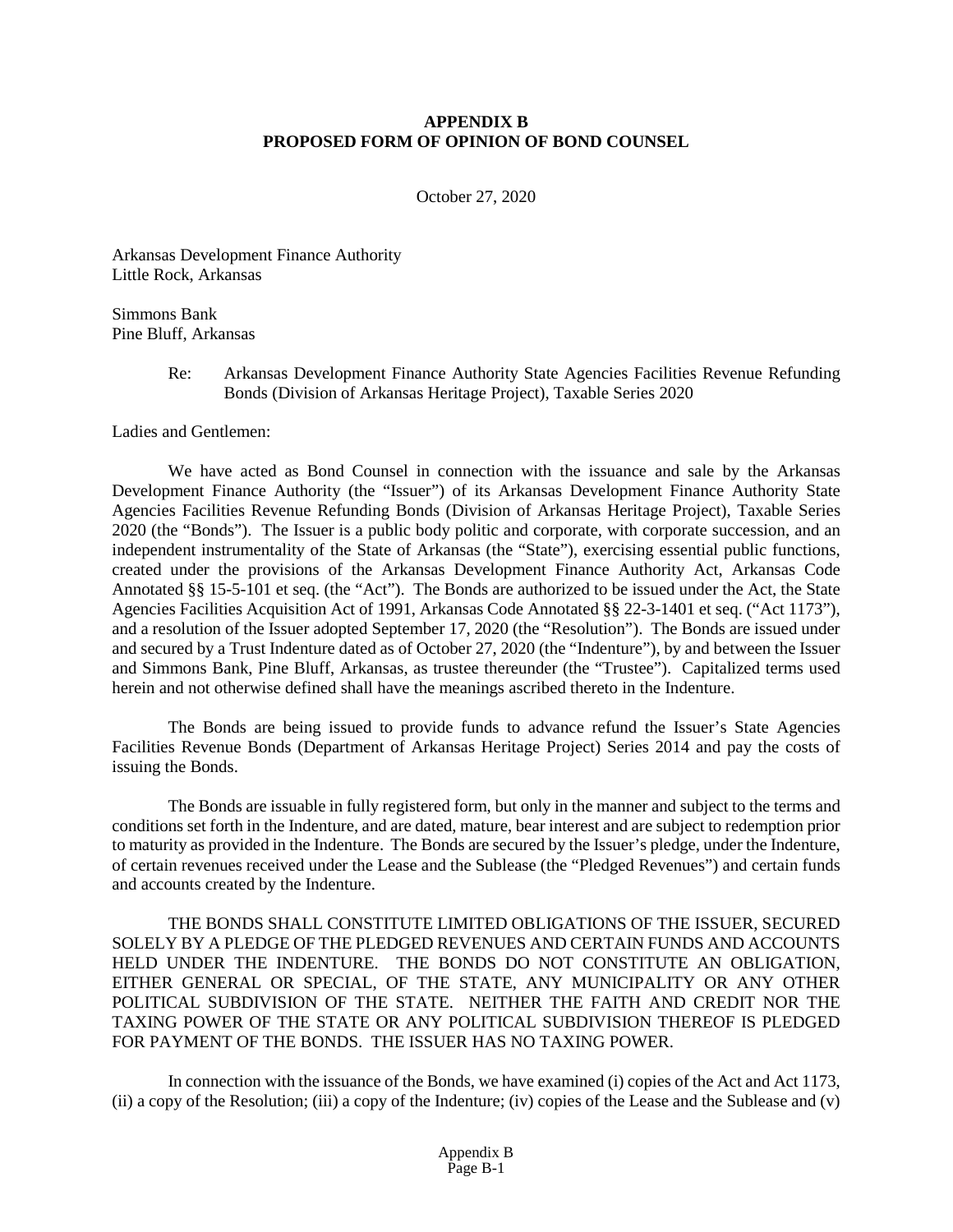# **APPENDIX B PROPOSED FORM OF OPINION OF BOND COUNSEL**

October 27, 2020

Arkansas Development Finance Authority Little Rock, Arkansas

Simmons Bank Pine Bluff, Arkansas

> Re: Arkansas Development Finance Authority State Agencies Facilities Revenue Refunding Bonds (Division of Arkansas Heritage Project), Taxable Series 2020

Ladies and Gentlemen:

We have acted as Bond Counsel in connection with the issuance and sale by the Arkansas Development Finance Authority (the "Issuer") of its Arkansas Development Finance Authority State Agencies Facilities Revenue Refunding Bonds (Division of Arkansas Heritage Project), Taxable Series 2020 (the "Bonds"). The Issuer is a public body politic and corporate, with corporate succession, and an independent instrumentality of the State of Arkansas (the "State"), exercising essential public functions, created under the provisions of the Arkansas Development Finance Authority Act, Arkansas Code Annotated §§ 15-5-101 et seq. (the "Act"). The Bonds are authorized to be issued under the Act, the State Agencies Facilities Acquisition Act of 1991, Arkansas Code Annotated §§ 22-3-1401 et seq. ("Act 1173"), and a resolution of the Issuer adopted September 17, 2020 (the "Resolution"). The Bonds are issued under and secured by a Trust Indenture dated as of October 27, 2020 (the "Indenture"), by and between the Issuer and Simmons Bank, Pine Bluff, Arkansas, as trustee thereunder (the "Trustee"). Capitalized terms used herein and not otherwise defined shall have the meanings ascribed thereto in the Indenture.

The Bonds are being issued to provide funds to advance refund the Issuer's State Agencies Facilities Revenue Bonds (Department of Arkansas Heritage Project) Series 2014 and pay the costs of issuing the Bonds.

The Bonds are issuable in fully registered form, but only in the manner and subject to the terms and conditions set forth in the Indenture, and are dated, mature, bear interest and are subject to redemption prior to maturity as provided in the Indenture. The Bonds are secured by the Issuer's pledge, under the Indenture, of certain revenues received under the Lease and the Sublease (the "Pledged Revenues") and certain funds and accounts created by the Indenture.

THE BONDS SHALL CONSTITUTE LIMITED OBLIGATIONS OF THE ISSUER, SECURED SOLELY BY A PLEDGE OF THE PLEDGED REVENUES AND CERTAIN FUNDS AND ACCOUNTS HELD UNDER THE INDENTURE. THE BONDS DO NOT CONSTITUTE AN OBLIGATION, EITHER GENERAL OR SPECIAL, OF THE STATE, ANY MUNICIPALITY OR ANY OTHER POLITICAL SUBDIVISION OF THE STATE. NEITHER THE FAITH AND CREDIT NOR THE TAXING POWER OF THE STATE OR ANY POLITICAL SUBDIVISION THEREOF IS PLEDGED FOR PAYMENT OF THE BONDS. THE ISSUER HAS NO TAXING POWER.

In connection with the issuance of the Bonds, we have examined (i) copies of the Act and Act 1173, (ii) a copy of the Resolution; (iii) a copy of the Indenture; (iv) copies of the Lease and the Sublease and (v)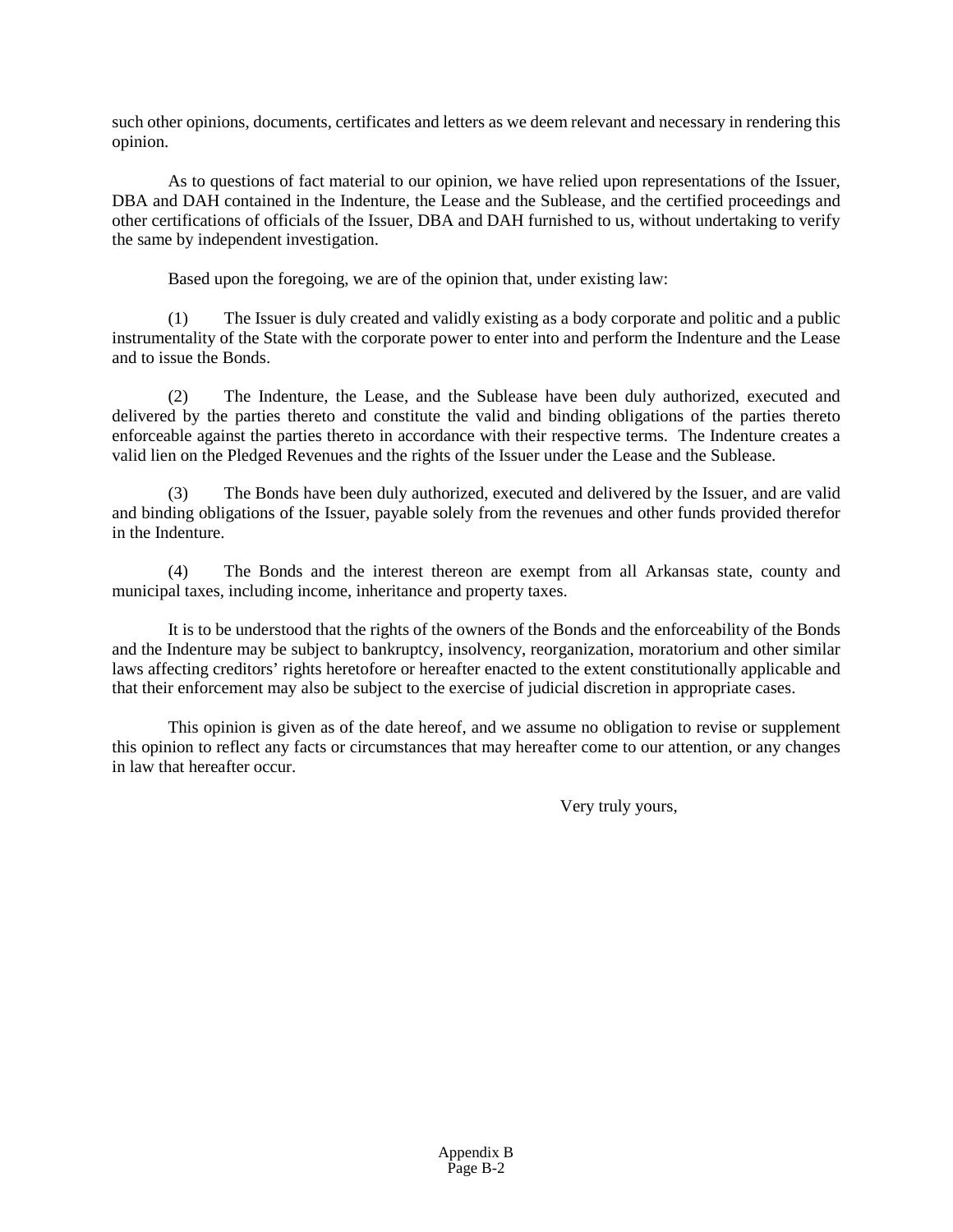such other opinions, documents, certificates and letters as we deem relevant and necessary in rendering this opinion.

As to questions of fact material to our opinion, we have relied upon representations of the Issuer, DBA and DAH contained in the Indenture, the Lease and the Sublease, and the certified proceedings and other certifications of officials of the Issuer, DBA and DAH furnished to us, without undertaking to verify the same by independent investigation.

Based upon the foregoing, we are of the opinion that, under existing law:

(1) The Issuer is duly created and validly existing as a body corporate and politic and a public instrumentality of the State with the corporate power to enter into and perform the Indenture and the Lease and to issue the Bonds.

(2) The Indenture, the Lease, and the Sublease have been duly authorized, executed and delivered by the parties thereto and constitute the valid and binding obligations of the parties thereto enforceable against the parties thereto in accordance with their respective terms. The Indenture creates a valid lien on the Pledged Revenues and the rights of the Issuer under the Lease and the Sublease.

(3) The Bonds have been duly authorized, executed and delivered by the Issuer, and are valid and binding obligations of the Issuer, payable solely from the revenues and other funds provided therefor in the Indenture.

(4) The Bonds and the interest thereon are exempt from all Arkansas state, county and municipal taxes, including income, inheritance and property taxes.

It is to be understood that the rights of the owners of the Bonds and the enforceability of the Bonds and the Indenture may be subject to bankruptcy, insolvency, reorganization, moratorium and other similar laws affecting creditors' rights heretofore or hereafter enacted to the extent constitutionally applicable and that their enforcement may also be subject to the exercise of judicial discretion in appropriate cases.

This opinion is given as of the date hereof, and we assume no obligation to revise or supplement this opinion to reflect any facts or circumstances that may hereafter come to our attention, or any changes in law that hereafter occur.

Very truly yours,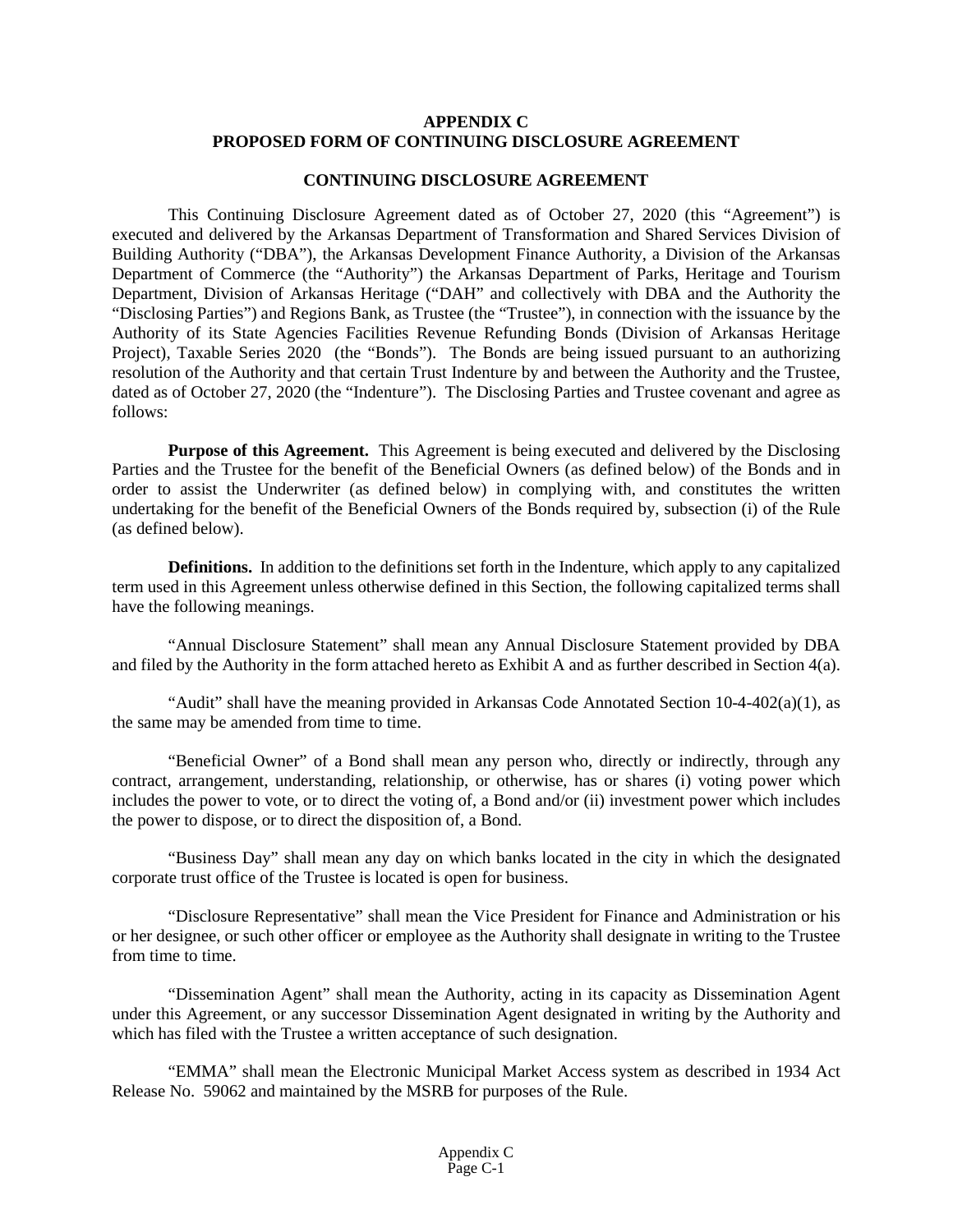# **APPENDIX C PROPOSED FORM OF CONTINUING DISCLOSURE AGREEMENT**

# **CONTINUING DISCLOSURE AGREEMENT**

This Continuing Disclosure Agreement dated as of October 27, 2020 (this "Agreement") is executed and delivered by the Arkansas Department of Transformation and Shared Services Division of Building Authority ("DBA"), the Arkansas Development Finance Authority, a Division of the Arkansas Department of Commerce (the "Authority") the Arkansas Department of Parks, Heritage and Tourism Department, Division of Arkansas Heritage ("DAH" and collectively with DBA and the Authority the "Disclosing Parties") and Regions Bank, as Trustee (the "Trustee"), in connection with the issuance by the Authority of its State Agencies Facilities Revenue Refunding Bonds (Division of Arkansas Heritage Project), Taxable Series 2020 (the "Bonds"). The Bonds are being issued pursuant to an authorizing resolution of the Authority and that certain Trust Indenture by and between the Authority and the Trustee, dated as of October 27, 2020 (the "Indenture"). The Disclosing Parties and Trustee covenant and agree as follows:

**Purpose of this Agreement.** This Agreement is being executed and delivered by the Disclosing Parties and the Trustee for the benefit of the Beneficial Owners (as defined below) of the Bonds and in order to assist the Underwriter (as defined below) in complying with, and constitutes the written undertaking for the benefit of the Beneficial Owners of the Bonds required by, subsection (i) of the Rule (as defined below).

**Definitions.** In addition to the definitions set forth in the Indenture, which apply to any capitalized term used in this Agreement unless otherwise defined in this Section, the following capitalized terms shall have the following meanings.

"Annual Disclosure Statement" shall mean any Annual Disclosure Statement provided by DBA and filed by the Authority in the form attached hereto as Exhibit A and as further described in Section 4(a).

"Audit" shall have the meaning provided in Arkansas Code Annotated Section  $10-4-402(a)(1)$ , as the same may be amended from time to time.

"Beneficial Owner" of a Bond shall mean any person who, directly or indirectly, through any contract, arrangement, understanding, relationship, or otherwise, has or shares (i) voting power which includes the power to vote, or to direct the voting of, a Bond and/or (ii) investment power which includes the power to dispose, or to direct the disposition of, a Bond.

"Business Day" shall mean any day on which banks located in the city in which the designated corporate trust office of the Trustee is located is open for business.

"Disclosure Representative" shall mean the Vice President for Finance and Administration or his or her designee, or such other officer or employee as the Authority shall designate in writing to the Trustee from time to time.

"Dissemination Agent" shall mean the Authority, acting in its capacity as Dissemination Agent under this Agreement, or any successor Dissemination Agent designated in writing by the Authority and which has filed with the Trustee a written acceptance of such designation.

"EMMA" shall mean the Electronic Municipal Market Access system as described in 1934 Act Release No. 59062 and maintained by the MSRB for purposes of the Rule.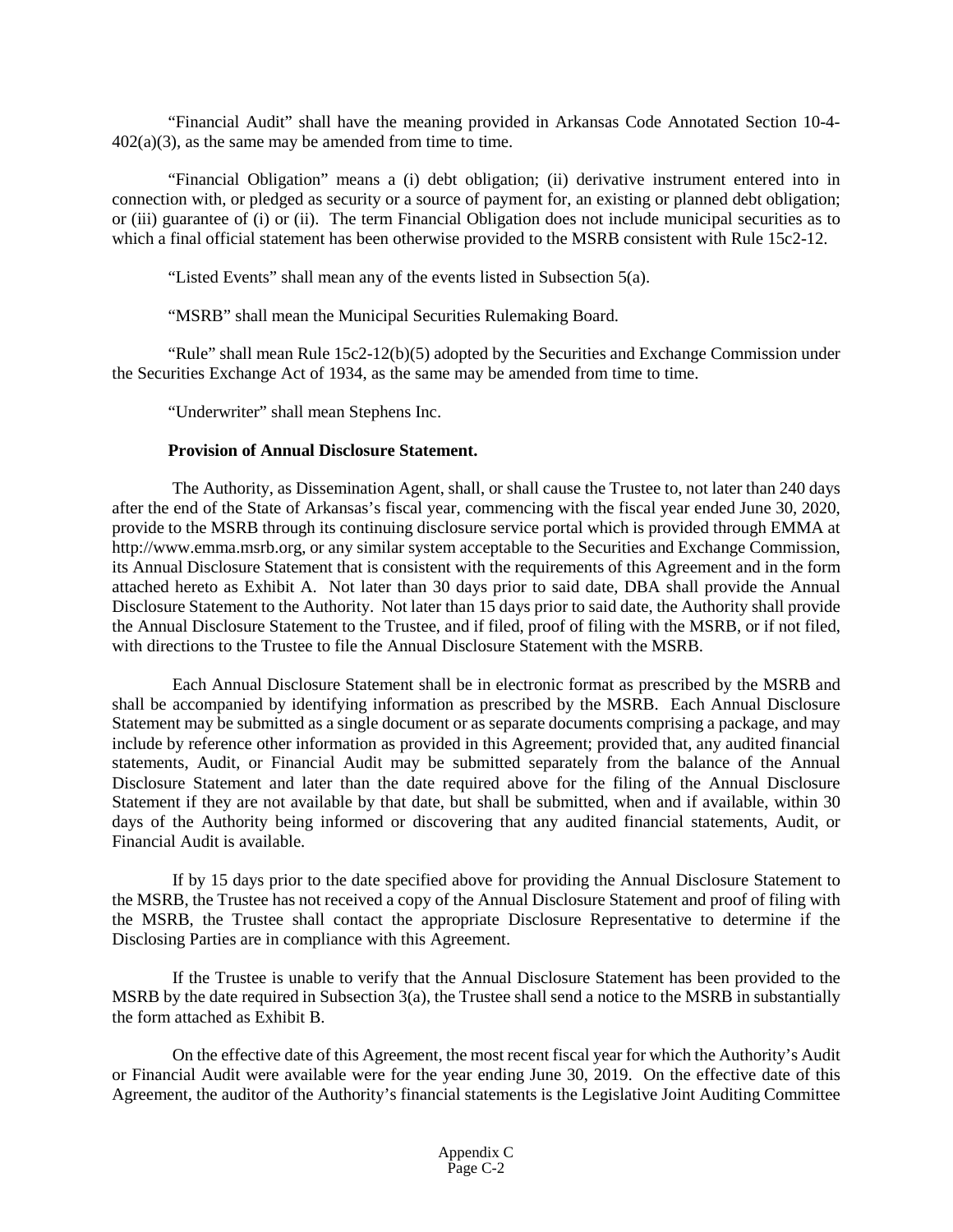"Financial Audit" shall have the meaning provided in Arkansas Code Annotated Section 10-4-  $402(a)(3)$ , as the same may be amended from time to time.

"Financial Obligation" means a (i) debt obligation; (ii) derivative instrument entered into in connection with, or pledged as security or a source of payment for, an existing or planned debt obligation; or (iii) guarantee of (i) or (ii). The term Financial Obligation does not include municipal securities as to which a final official statement has been otherwise provided to the MSRB consistent with Rule 15c2-12.

"Listed Events" shall mean any of the events listed in Subsection 5(a).

"MSRB" shall mean the Municipal Securities Rulemaking Board.

"Rule" shall mean Rule  $15c2-12(b)(5)$  adopted by the Securities and Exchange Commission under the Securities Exchange Act of 1934, as the same may be amended from time to time.

"Underwriter" shall mean Stephens Inc.

# **Provision of Annual Disclosure Statement.**

The Authority, as Dissemination Agent, shall, or shall cause the Trustee to, not later than 240 days after the end of the State of Arkansas's fiscal year, commencing with the fiscal year ended June 30, 2020, provide to the MSRB through its continuing disclosure service portal which is provided through EMMA at http://www.emma.msrb.org, or any similar system acceptable to the Securities and Exchange Commission, its Annual Disclosure Statement that is consistent with the requirements of this Agreement and in the form attached hereto as Exhibit A. Not later than 30 days prior to said date, DBA shall provide the Annual Disclosure Statement to the Authority. Not later than 15 days prior to said date, the Authority shall provide the Annual Disclosure Statement to the Trustee, and if filed, proof of filing with the MSRB, or if not filed, with directions to the Trustee to file the Annual Disclosure Statement with the MSRB.

Each Annual Disclosure Statement shall be in electronic format as prescribed by the MSRB and shall be accompanied by identifying information as prescribed by the MSRB. Each Annual Disclosure Statement may be submitted as a single document or as separate documents comprising a package, and may include by reference other information as provided in this Agreement; provided that, any audited financial statements, Audit, or Financial Audit may be submitted separately from the balance of the Annual Disclosure Statement and later than the date required above for the filing of the Annual Disclosure Statement if they are not available by that date, but shall be submitted, when and if available, within 30 days of the Authority being informed or discovering that any audited financial statements, Audit, or Financial Audit is available.

If by 15 days prior to the date specified above for providing the Annual Disclosure Statement to the MSRB, the Trustee has not received a copy of the Annual Disclosure Statement and proof of filing with the MSRB, the Trustee shall contact the appropriate Disclosure Representative to determine if the Disclosing Parties are in compliance with this Agreement.

If the Trustee is unable to verify that the Annual Disclosure Statement has been provided to the MSRB by the date required in Subsection  $3(a)$ , the Trustee shall send a notice to the MSRB in substantially the form attached as Exhibit B.

On the effective date of this Agreement, the most recent fiscal year for which the Authority's Audit or Financial Audit were available were for the year ending June 30, 2019. On the effective date of this Agreement, the auditor of the Authority's financial statements is the Legislative Joint Auditing Committee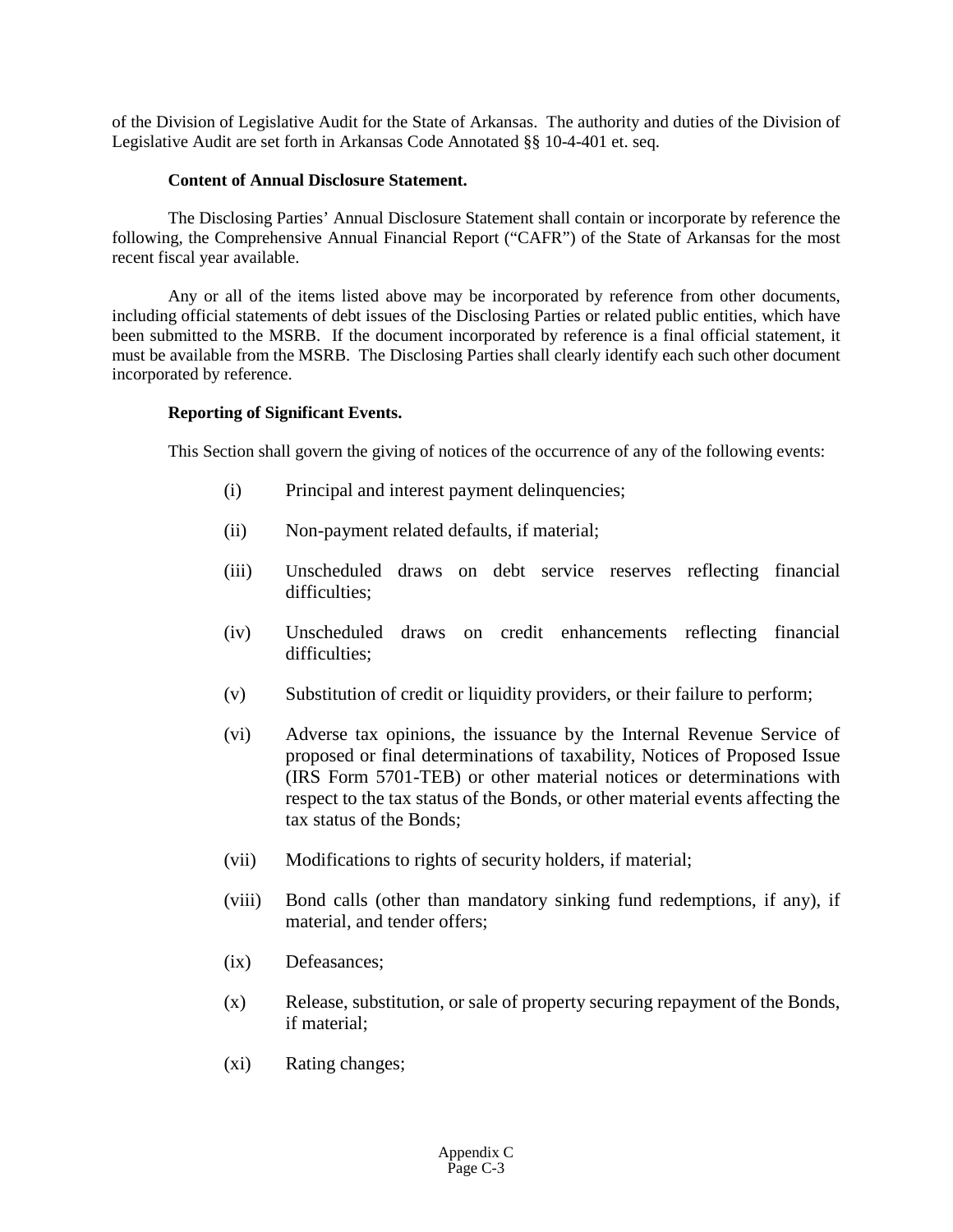of the Division of Legislative Audit for the State of Arkansas. The authority and duties of the Division of Legislative Audit are set forth in Arkansas Code Annotated §§ 10-4-401 et. seq.

# **Content of Annual Disclosure Statement.**

The Disclosing Parties' Annual Disclosure Statement shall contain or incorporate by reference the following, the Comprehensive Annual Financial Report ("CAFR") of the State of Arkansas for the most recent fiscal year available.

Any or all of the items listed above may be incorporated by reference from other documents, including official statements of debt issues of the Disclosing Parties or related public entities, which have been submitted to the MSRB. If the document incorporated by reference is a final official statement, it must be available from the MSRB. The Disclosing Parties shall clearly identify each such other document incorporated by reference.

# **Reporting of Significant Events.**

This Section shall govern the giving of notices of the occurrence of any of the following events:

- (i) Principal and interest payment delinquencies;
- (ii) Non-payment related defaults, if material;
- (iii) Unscheduled draws on debt service reserves reflecting financial difficulties:
- (iv) Unscheduled draws on credit enhancements reflecting financial difficulties;
- (v) Substitution of credit or liquidity providers, or their failure to perform;
- (vi) Adverse tax opinions, the issuance by the Internal Revenue Service of proposed or final determinations of taxability, Notices of Proposed Issue (IRS Form 5701-TEB) or other material notices or determinations with respect to the tax status of the Bonds, or other material events affecting the tax status of the Bonds;
- (vii) Modifications to rights of security holders, if material;
- (viii) Bond calls (other than mandatory sinking fund redemptions, if any), if material, and tender offers;
- (ix) Defeasances;
- (x) Release, substitution, or sale of property securing repayment of the Bonds, if material;
- (xi) Rating changes;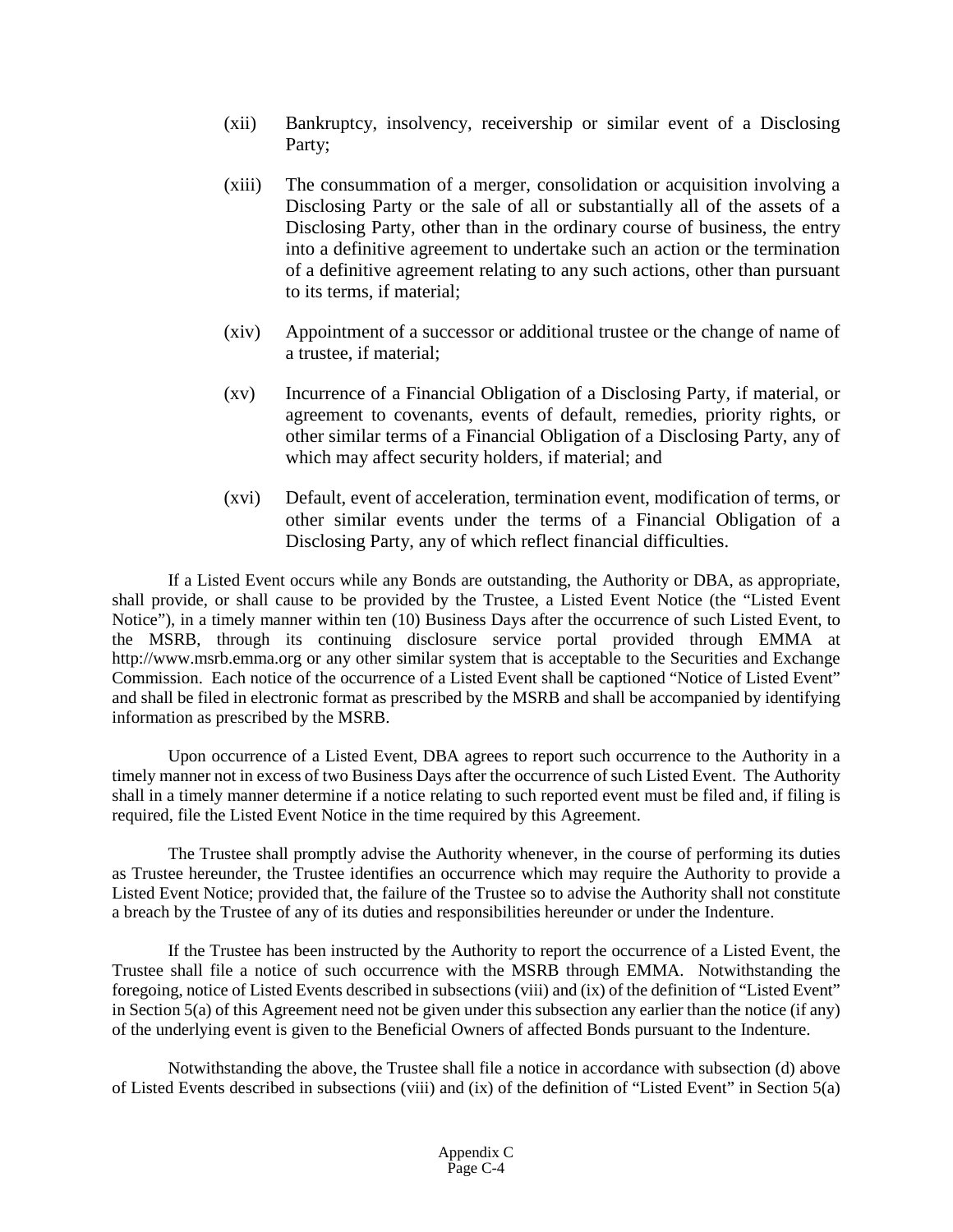- (xii) Bankruptcy, insolvency, receivership or similar event of a Disclosing Party;
- (xiii) The consummation of a merger, consolidation or acquisition involving a Disclosing Party or the sale of all or substantially all of the assets of a Disclosing Party, other than in the ordinary course of business, the entry into a definitive agreement to undertake such an action or the termination of a definitive agreement relating to any such actions, other than pursuant to its terms, if material;
- (xiv) Appointment of a successor or additional trustee or the change of name of a trustee, if material;
- (xv) Incurrence of a Financial Obligation of a Disclosing Party, if material, or agreement to covenants, events of default, remedies, priority rights, or other similar terms of a Financial Obligation of a Disclosing Party, any of which may affect security holders, if material; and
- (xvi) Default, event of acceleration, termination event, modification of terms, or other similar events under the terms of a Financial Obligation of a Disclosing Party, any of which reflect financial difficulties.

If a Listed Event occurs while any Bonds are outstanding, the Authority or DBA, as appropriate, shall provide, or shall cause to be provided by the Trustee, a Listed Event Notice (the "Listed Event Notice"), in a timely manner within ten (10) Business Days after the occurrence of such Listed Event, to the MSRB, through its continuing disclosure service portal provided through EMMA at http://www.msrb.emma.org or any other similar system that is acceptable to the Securities and Exchange Commission. Each notice of the occurrence of a Listed Event shall be captioned "Notice of Listed Event" and shall be filed in electronic format as prescribed by the MSRB and shall be accompanied by identifying information as prescribed by the MSRB.

Upon occurrence of a Listed Event, DBA agrees to report such occurrence to the Authority in a timely manner not in excess of two Business Days after the occurrence of such Listed Event. The Authority shall in a timely manner determine if a notice relating to such reported event must be filed and, if filing is required, file the Listed Event Notice in the time required by this Agreement.

The Trustee shall promptly advise the Authority whenever, in the course of performing its duties as Trustee hereunder, the Trustee identifies an occurrence which may require the Authority to provide a Listed Event Notice; provided that, the failure of the Trustee so to advise the Authority shall not constitute a breach by the Trustee of any of its duties and responsibilities hereunder or under the Indenture.

If the Trustee has been instructed by the Authority to report the occurrence of a Listed Event, the Trustee shall file a notice of such occurrence with the MSRB through EMMA. Notwithstanding the foregoing, notice of Listed Events described in subsections (viii) and (ix) of the definition of "Listed Event" in Section 5(a) of this Agreement need not be given under this subsection any earlier than the notice (if any) of the underlying event is given to the Beneficial Owners of affected Bonds pursuant to the Indenture.

Notwithstanding the above, the Trustee shall file a notice in accordance with subsection (d) above of Listed Events described in subsections (viii) and (ix) of the definition of "Listed Event" in Section 5(a)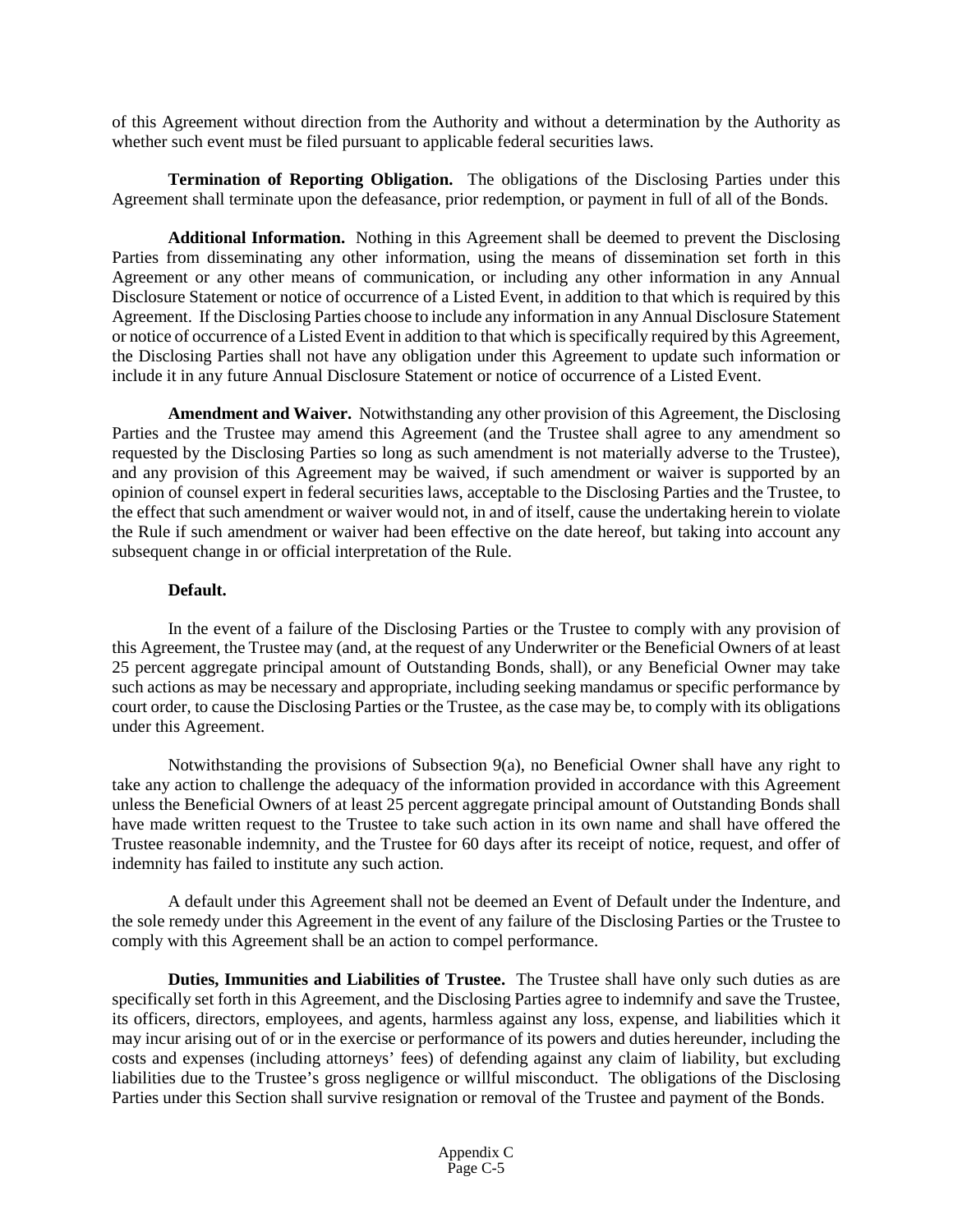of this Agreement without direction from the Authority and without a determination by the Authority as whether such event must be filed pursuant to applicable federal securities laws.

**Termination of Reporting Obligation.** The obligations of the Disclosing Parties under this Agreement shall terminate upon the defeasance, prior redemption, or payment in full of all of the Bonds.

**Additional Information.** Nothing in this Agreement shall be deemed to prevent the Disclosing Parties from disseminating any other information, using the means of dissemination set forth in this Agreement or any other means of communication, or including any other information in any Annual Disclosure Statement or notice of occurrence of a Listed Event, in addition to that which is required by this Agreement. If the Disclosing Parties choose to include any information in any Annual Disclosure Statement or notice of occurrence of a Listed Event in addition to that which is specifically required by this Agreement, the Disclosing Parties shall not have any obligation under this Agreement to update such information or include it in any future Annual Disclosure Statement or notice of occurrence of a Listed Event.

**Amendment and Waiver.** Notwithstanding any other provision of this Agreement, the Disclosing Parties and the Trustee may amend this Agreement (and the Trustee shall agree to any amendment so requested by the Disclosing Parties so long as such amendment is not materially adverse to the Trustee), and any provision of this Agreement may be waived, if such amendment or waiver is supported by an opinion of counsel expert in federal securities laws, acceptable to the Disclosing Parties and the Trustee, to the effect that such amendment or waiver would not, in and of itself, cause the undertaking herein to violate the Rule if such amendment or waiver had been effective on the date hereof, but taking into account any subsequent change in or official interpretation of the Rule.

# **Default.**

In the event of a failure of the Disclosing Parties or the Trustee to comply with any provision of this Agreement, the Trustee may (and, at the request of any Underwriter or the Beneficial Owners of at least 25 percent aggregate principal amount of Outstanding Bonds, shall), or any Beneficial Owner may take such actions as may be necessary and appropriate, including seeking mandamus or specific performance by court order, to cause the Disclosing Parties or the Trustee, as the case may be, to comply with its obligations under this Agreement.

Notwithstanding the provisions of Subsection 9(a), no Beneficial Owner shall have any right to take any action to challenge the adequacy of the information provided in accordance with this Agreement unless the Beneficial Owners of at least 25 percent aggregate principal amount of Outstanding Bonds shall have made written request to the Trustee to take such action in its own name and shall have offered the Trustee reasonable indemnity, and the Trustee for 60 days after its receipt of notice, request, and offer of indemnity has failed to institute any such action.

A default under this Agreement shall not be deemed an Event of Default under the Indenture, and the sole remedy under this Agreement in the event of any failure of the Disclosing Parties or the Trustee to comply with this Agreement shall be an action to compel performance.

**Duties, Immunities and Liabilities of Trustee.** The Trustee shall have only such duties as are specifically set forth in this Agreement, and the Disclosing Parties agree to indemnify and save the Trustee, its officers, directors, employees, and agents, harmless against any loss, expense, and liabilities which it may incur arising out of or in the exercise or performance of its powers and duties hereunder, including the costs and expenses (including attorneys' fees) of defending against any claim of liability, but excluding liabilities due to the Trustee's gross negligence or willful misconduct. The obligations of the Disclosing Parties under this Section shall survive resignation or removal of the Trustee and payment of the Bonds.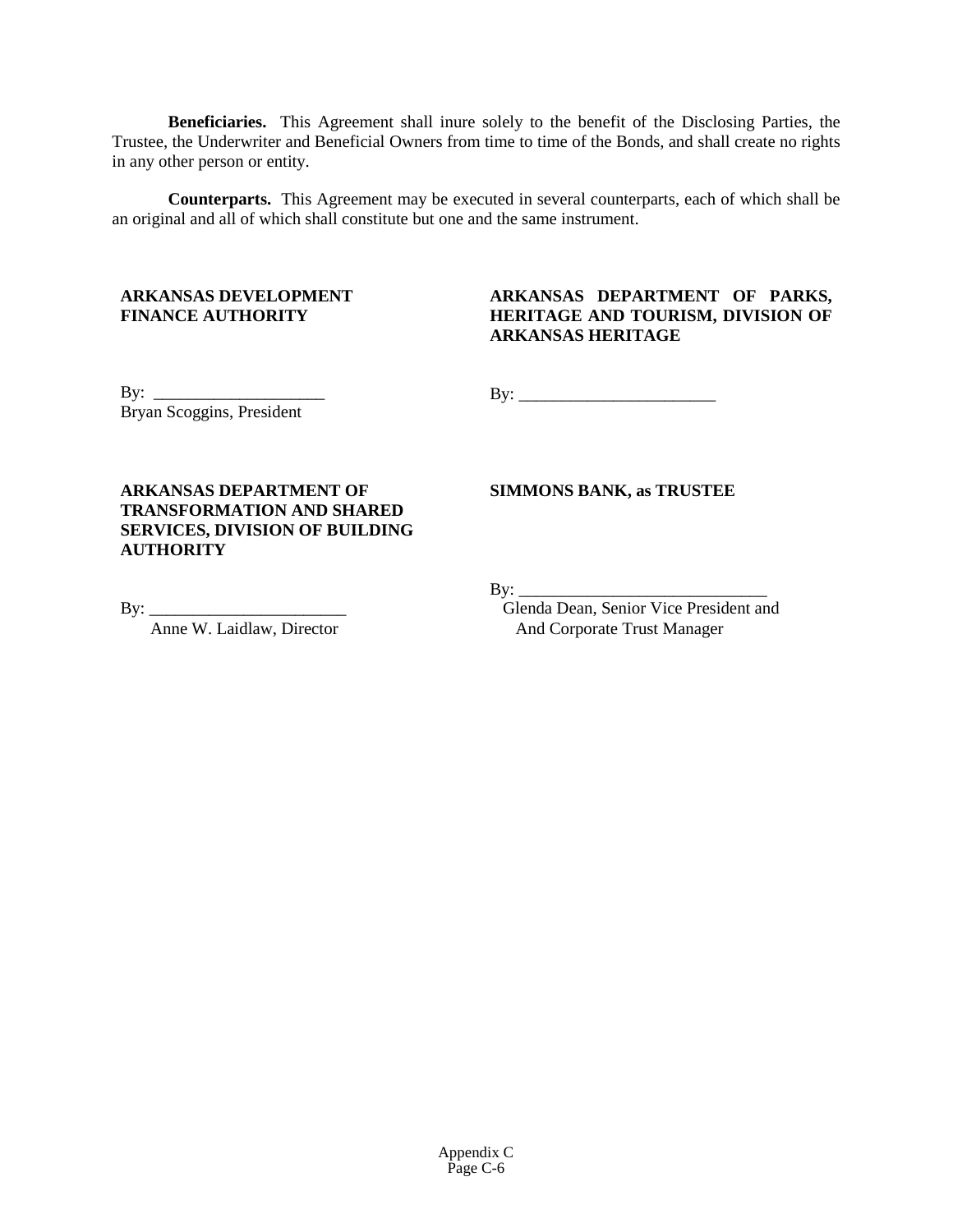**Beneficiaries.** This Agreement shall inure solely to the benefit of the Disclosing Parties, the Trustee, the Underwriter and Beneficial Owners from time to time of the Bonds, and shall create no rights in any other person or entity.

**Counterparts.** This Agreement may be executed in several counterparts, each of which shall be an original and all of which shall constitute but one and the same instrument.

# **ARKANSAS DEVELOPMENT FINANCE AUTHORITY**

# **ARKANSAS DEPARTMENT OF PARKS, HERITAGE AND TOURISM, DIVISION OF ARKANSAS HERITAGE**

By:  $\frac{1}{\sqrt{2}}$ Bryan Scoggins, President

By: \_\_\_\_\_\_\_\_\_\_\_\_\_\_\_\_\_\_\_\_\_\_\_

**ARKANSAS DEPARTMENT OF TRANSFORMATION AND SHARED SERVICES, DIVISION OF BUILDING AUTHORITY**

**SIMMONS BANK, as TRUSTEE**

 $By:$ 

Glenda Dean, Senior Vice President and And Corporate Trust Manager

By: \_\_\_\_\_\_\_\_\_\_\_\_\_\_\_\_\_\_\_\_\_\_\_

Anne W. Laidlaw, Director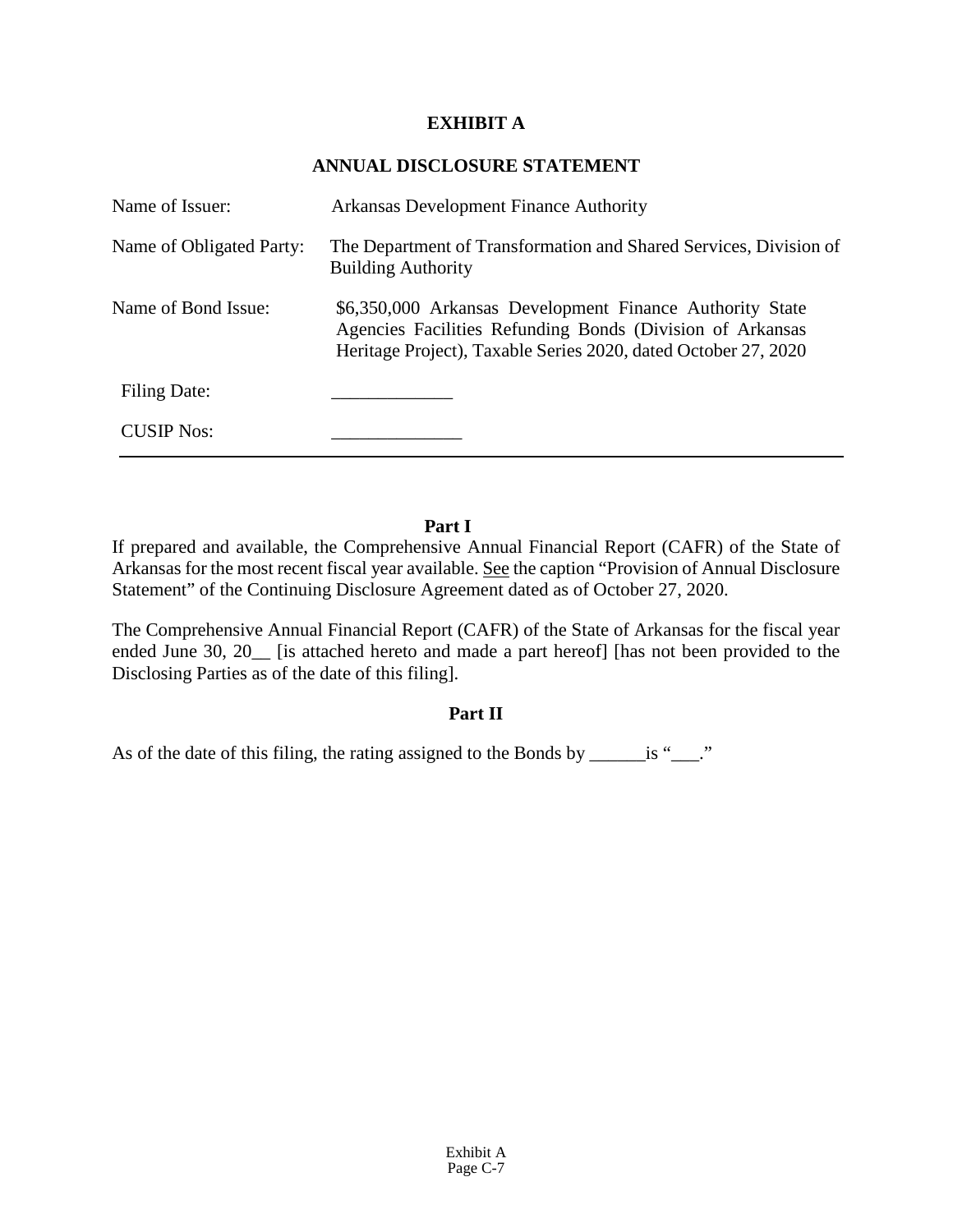# **EXHIBIT A**

# **ANNUAL DISCLOSURE STATEMENT**

| Name of Issuer:          | <b>Arkansas Development Finance Authority</b>                                                                                                                                           |
|--------------------------|-----------------------------------------------------------------------------------------------------------------------------------------------------------------------------------------|
| Name of Obligated Party: | The Department of Transformation and Shared Services, Division of<br><b>Building Authority</b>                                                                                          |
| Name of Bond Issue:      | \$6,350,000 Arkansas Development Finance Authority State<br>Agencies Facilities Refunding Bonds (Division of Arkansas<br>Heritage Project), Taxable Series 2020, dated October 27, 2020 |
| Filing Date:             |                                                                                                                                                                                         |
| <b>CUSIP Nos:</b>        |                                                                                                                                                                                         |

# **Part I**

If prepared and available, the Comprehensive Annual Financial Report (CAFR) of the State of Arkansas for the most recent fiscal year available. See the caption "Provision of Annual Disclosure Statement" of the Continuing Disclosure Agreement dated as of October 27, 2020.

The Comprehensive Annual Financial Report (CAFR) of the State of Arkansas for the fiscal year ended June 30, 20 [is attached hereto and made a part hereof] [has not been provided to the Disclosing Parties as of the date of this filing].

# **Part II**

As of the date of this filing, the rating assigned to the Bonds by \_\_\_\_\_\_\_\_ is "\_\_\_\_."